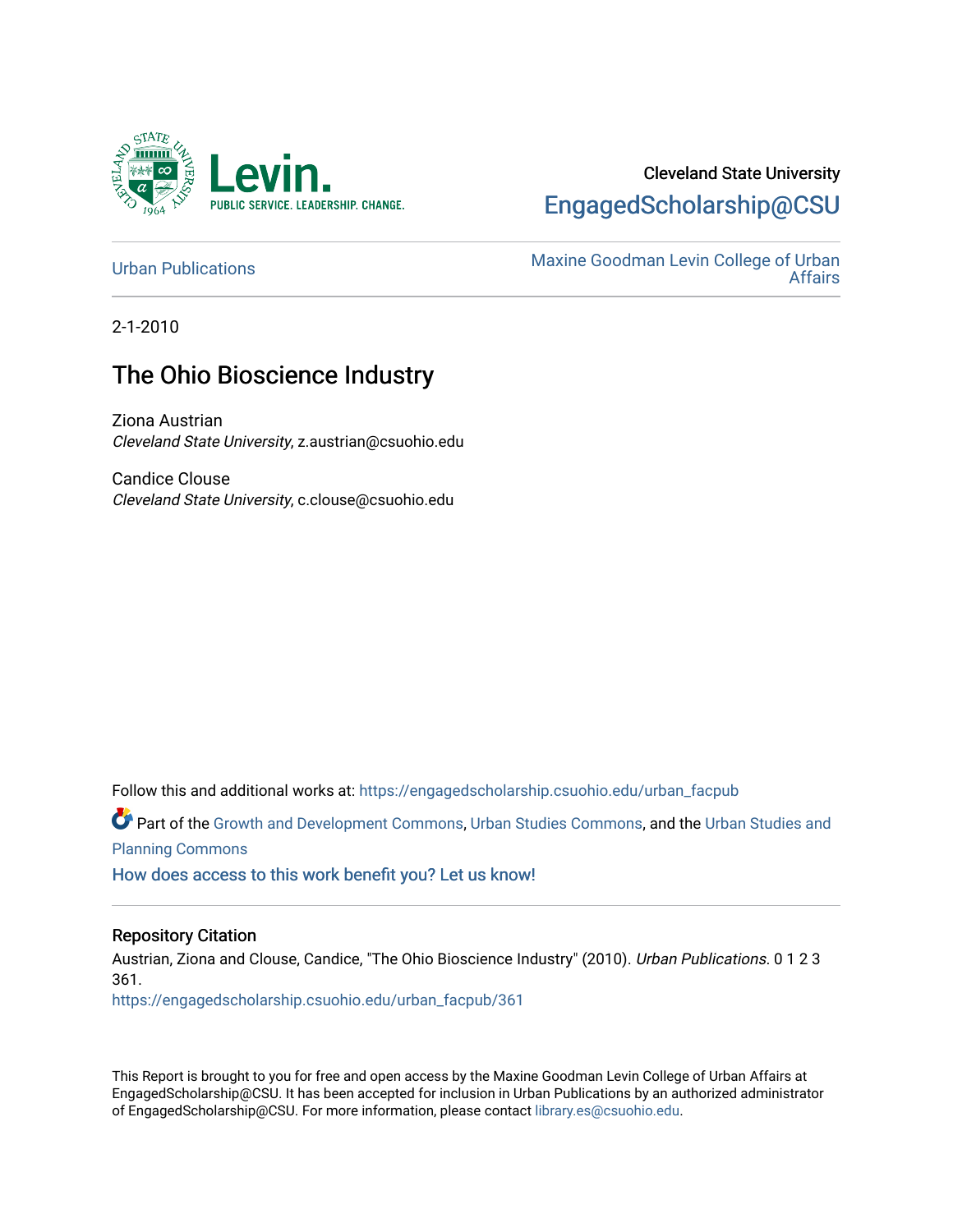

# Cleveland State University [EngagedScholarship@CSU](https://engagedscholarship.csuohio.edu/)

[Urban Publications](https://engagedscholarship.csuohio.edu/urban_facpub) Maxine Goodman Levin College of Urban [Affairs](https://engagedscholarship.csuohio.edu/urban) 

2-1-2010

# The Ohio Bioscience Industry

Ziona Austrian Cleveland State University, z.austrian@csuohio.edu

Candice Clouse Cleveland State University, c.clouse@csuohio.edu

Follow this and additional works at: [https://engagedscholarship.csuohio.edu/urban\\_facpub](https://engagedscholarship.csuohio.edu/urban_facpub?utm_source=engagedscholarship.csuohio.edu%2Furban_facpub%2F361&utm_medium=PDF&utm_campaign=PDFCoverPages) 

Part of the [Growth and Development Commons,](http://network.bepress.com/hgg/discipline/346?utm_source=engagedscholarship.csuohio.edu%2Furban_facpub%2F361&utm_medium=PDF&utm_campaign=PDFCoverPages) [Urban Studies Commons](http://network.bepress.com/hgg/discipline/402?utm_source=engagedscholarship.csuohio.edu%2Furban_facpub%2F361&utm_medium=PDF&utm_campaign=PDFCoverPages), and the [Urban Studies and](http://network.bepress.com/hgg/discipline/436?utm_source=engagedscholarship.csuohio.edu%2Furban_facpub%2F361&utm_medium=PDF&utm_campaign=PDFCoverPages) [Planning Commons](http://network.bepress.com/hgg/discipline/436?utm_source=engagedscholarship.csuohio.edu%2Furban_facpub%2F361&utm_medium=PDF&utm_campaign=PDFCoverPages)

[How does access to this work benefit you? Let us know!](http://library.csuohio.edu/engaged/)

#### Repository Citation

Austrian, Ziona and Clouse, Candice, "The Ohio Bioscience Industry" (2010). Urban Publications. 0 1 2 3 361. [https://engagedscholarship.csuohio.edu/urban\\_facpub/361](https://engagedscholarship.csuohio.edu/urban_facpub/361?utm_source=engagedscholarship.csuohio.edu%2Furban_facpub%2F361&utm_medium=PDF&utm_campaign=PDFCoverPages)

This Report is brought to you for free and open access by the Maxine Goodman Levin College of Urban Affairs at EngagedScholarship@CSU. It has been accepted for inclusion in Urban Publications by an authorized administrator of EngagedScholarship@CSU. For more information, please contact [library.es@csuohio.edu.](mailto:library.es@csuohio.edu)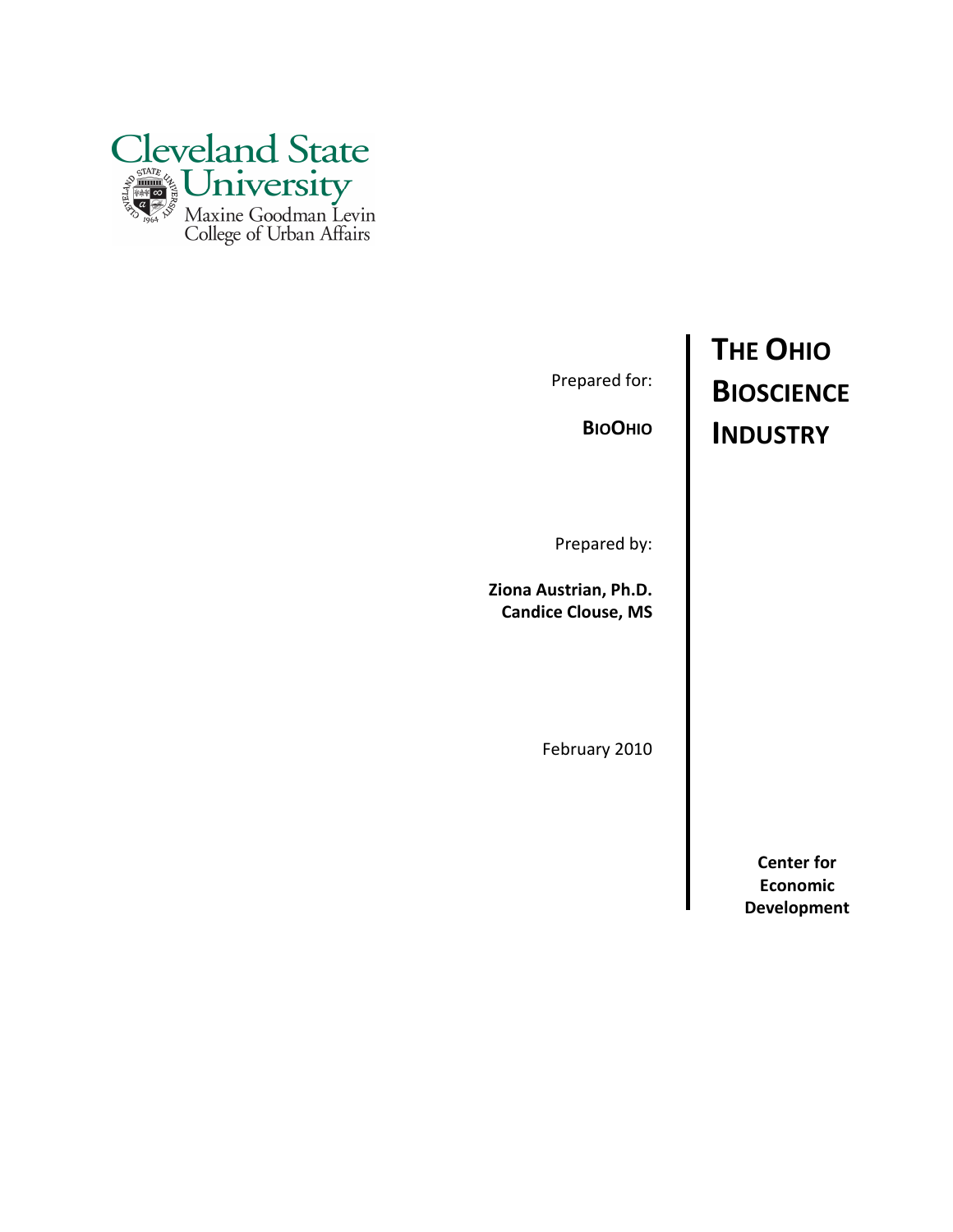

Prepared for:

**BIOOHIO** 

Prepared by:

Ziona Austrian, Ph.D. Candice Clouse, MS

February 2010

# THE OHIO **BIOSCIENCE** INDUSTRY

Center for Economic Development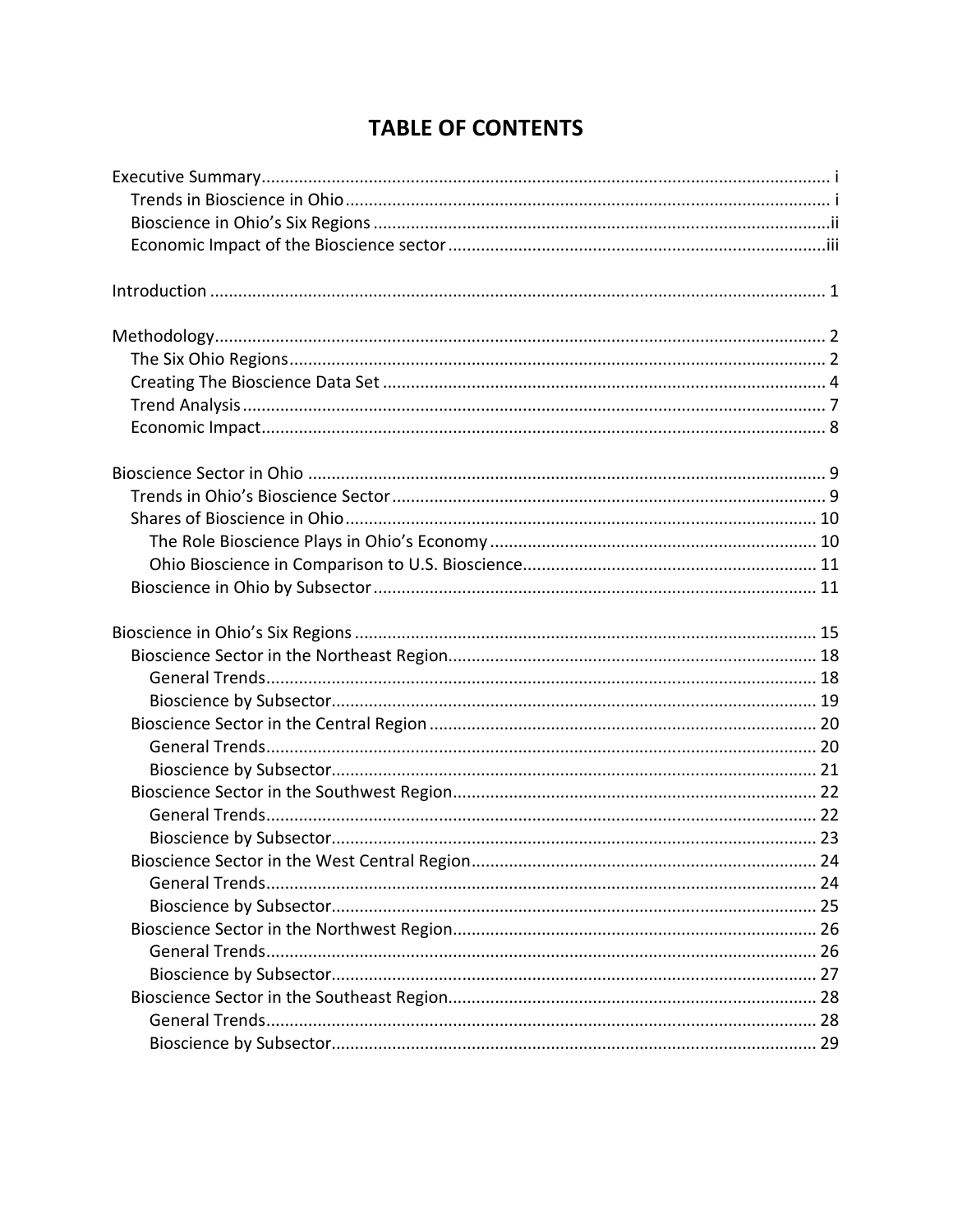# **TABLE OF CONTENTS**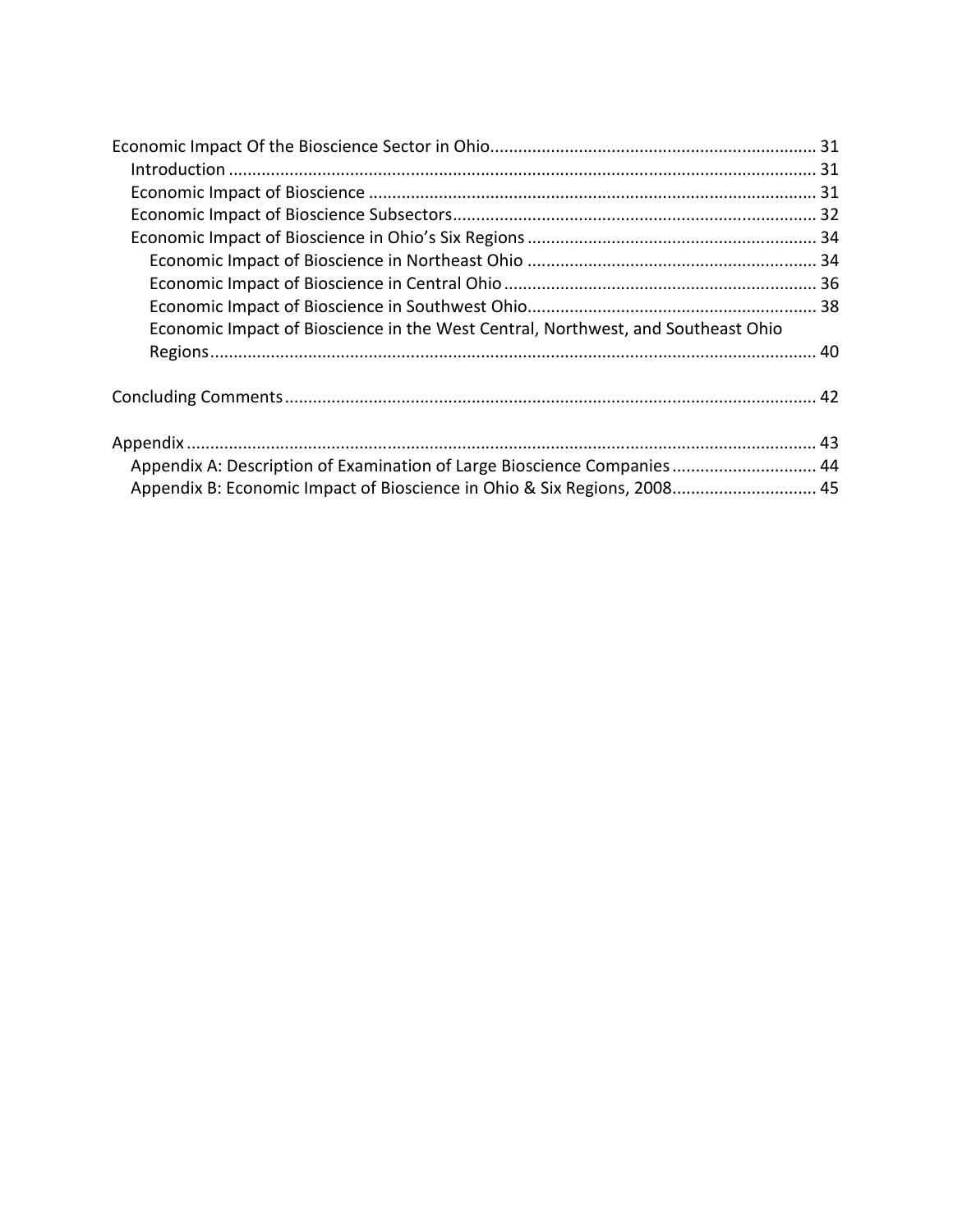| Economic Impact of Bioscience in the West Central, Northwest, and Southeast Ohio |  |
|----------------------------------------------------------------------------------|--|
|                                                                                  |  |
|                                                                                  |  |
|                                                                                  |  |
| Appendix A: Description of Examination of Large Bioscience Companies 44          |  |
| Appendix B: Economic Impact of Bioscience in Ohio & Six Regions, 2008 45         |  |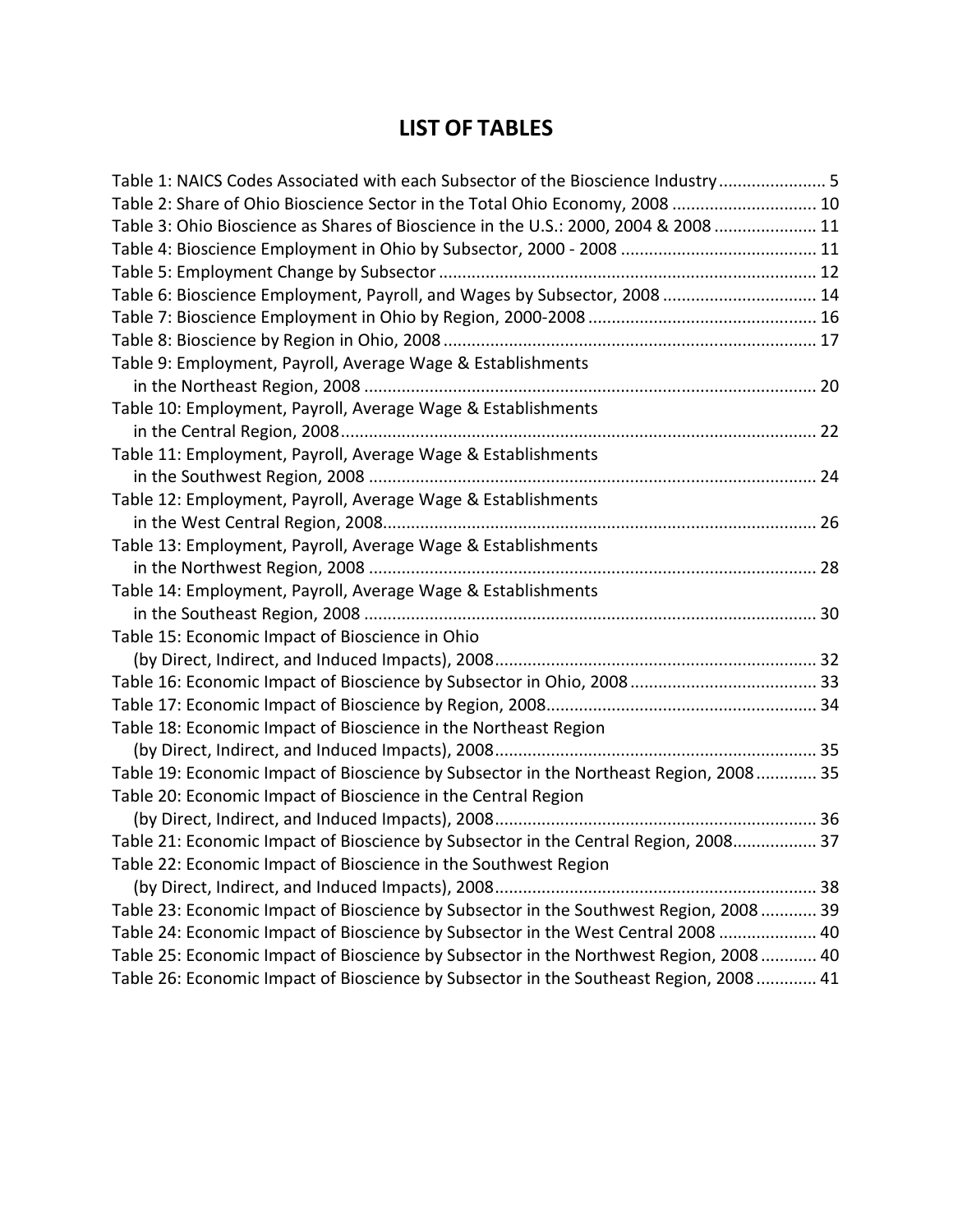# LIST OF TABLES

| Table 1: NAICS Codes Associated with each Subsector of the Bioscience Industry 5      |  |
|---------------------------------------------------------------------------------------|--|
| Table 2: Share of Ohio Bioscience Sector in the Total Ohio Economy, 2008  10          |  |
| Table 3: Ohio Bioscience as Shares of Bioscience in the U.S.: 2000, 2004 & 2008  11   |  |
|                                                                                       |  |
|                                                                                       |  |
| Table 6: Bioscience Employment, Payroll, and Wages by Subsector, 2008  14             |  |
|                                                                                       |  |
|                                                                                       |  |
| Table 9: Employment, Payroll, Average Wage & Establishments                           |  |
|                                                                                       |  |
| Table 10: Employment, Payroll, Average Wage & Establishments                          |  |
|                                                                                       |  |
| Table 11: Employment, Payroll, Average Wage & Establishments                          |  |
|                                                                                       |  |
| Table 12: Employment, Payroll, Average Wage & Establishments                          |  |
|                                                                                       |  |
| Table 13: Employment, Payroll, Average Wage & Establishments                          |  |
|                                                                                       |  |
| Table 14: Employment, Payroll, Average Wage & Establishments                          |  |
|                                                                                       |  |
| Table 15: Economic Impact of Bioscience in Ohio                                       |  |
|                                                                                       |  |
|                                                                                       |  |
|                                                                                       |  |
| Table 18: Economic Impact of Bioscience in the Northeast Region                       |  |
|                                                                                       |  |
| Table 19: Economic Impact of Bioscience by Subsector in the Northeast Region, 2008 35 |  |
| Table 20: Economic Impact of Bioscience in the Central Region                         |  |
|                                                                                       |  |
| Table 21: Economic Impact of Bioscience by Subsector in the Central Region, 2008 37   |  |
| Table 22: Economic Impact of Bioscience in the Southwest Region                       |  |
|                                                                                       |  |
| Table 23: Economic Impact of Bioscience by Subsector in the Southwest Region, 2008 39 |  |
| Table 24: Economic Impact of Bioscience by Subsector in the West Central 2008  40     |  |
| Table 25: Economic Impact of Bioscience by Subsector in the Northwest Region, 2008 40 |  |
| Table 26: Economic Impact of Bioscience by Subsector in the Southeast Region, 2008 41 |  |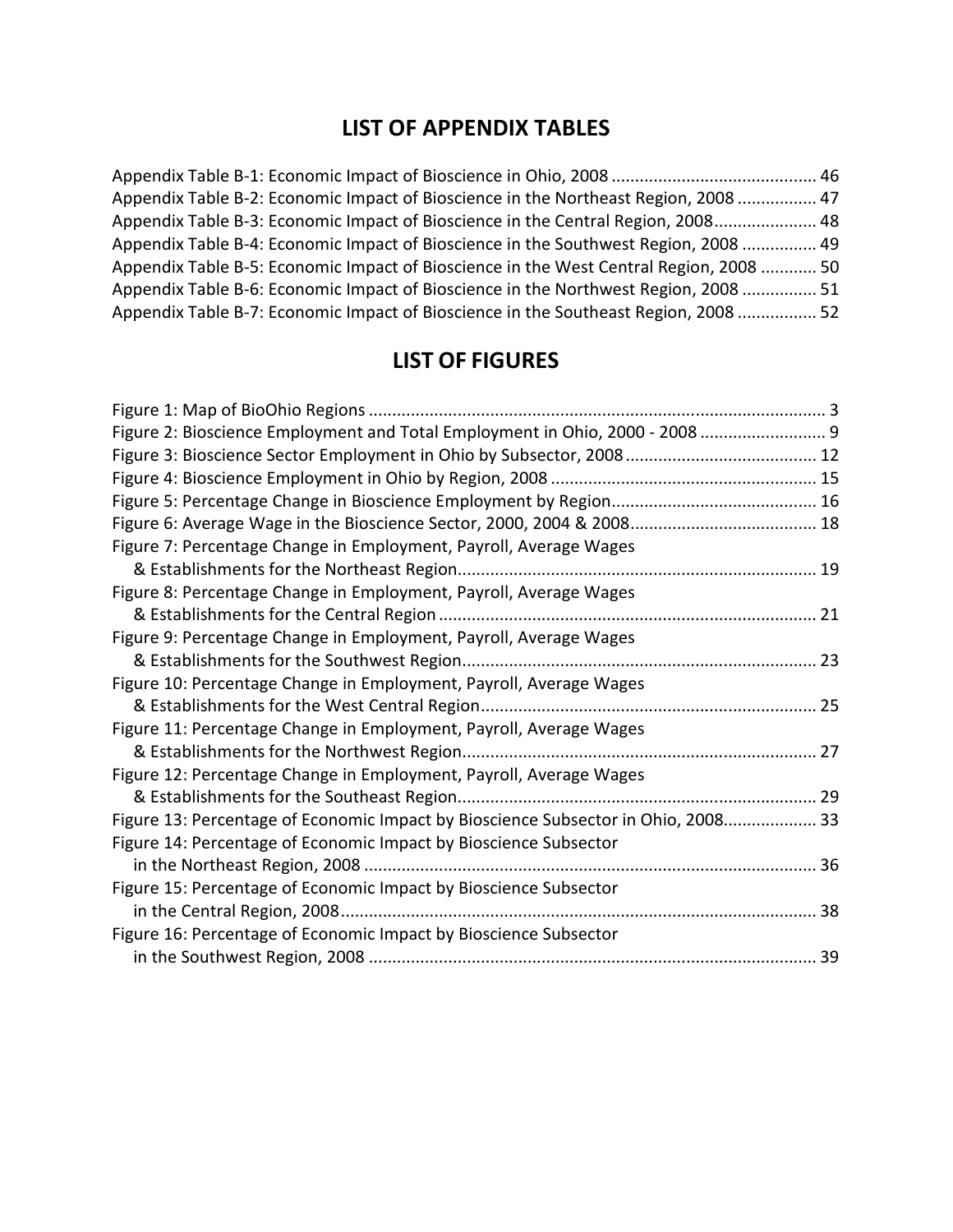# LIST OF APPENDIX TABLES

| Appendix Table B-2: Economic Impact of Bioscience in the Northeast Region, 2008  47    |  |
|----------------------------------------------------------------------------------------|--|
| Appendix Table B-3: Economic Impact of Bioscience in the Central Region, 2008 48       |  |
| Appendix Table B-4: Economic Impact of Bioscience in the Southwest Region, 2008  49    |  |
| Appendix Table B-5: Economic Impact of Bioscience in the West Central Region, 2008  50 |  |
| Appendix Table B-6: Economic Impact of Bioscience in the Northwest Region, 2008  51    |  |
| Appendix Table B-7: Economic Impact of Bioscience in the Southeast Region, 2008  52    |  |

# LIST OF FIGURES

| Figure 2: Bioscience Employment and Total Employment in Ohio, 2000 - 2008  9      |  |
|-----------------------------------------------------------------------------------|--|
|                                                                                   |  |
|                                                                                   |  |
|                                                                                   |  |
|                                                                                   |  |
| Figure 7: Percentage Change in Employment, Payroll, Average Wages                 |  |
|                                                                                   |  |
| Figure 8: Percentage Change in Employment, Payroll, Average Wages                 |  |
|                                                                                   |  |
| Figure 9: Percentage Change in Employment, Payroll, Average Wages                 |  |
|                                                                                   |  |
| Figure 10: Percentage Change in Employment, Payroll, Average Wages                |  |
|                                                                                   |  |
| Figure 11: Percentage Change in Employment, Payroll, Average Wages                |  |
|                                                                                   |  |
| Figure 12: Percentage Change in Employment, Payroll, Average Wages                |  |
|                                                                                   |  |
| Figure 13: Percentage of Economic Impact by Bioscience Subsector in Ohio, 2008 33 |  |
| Figure 14: Percentage of Economic Impact by Bioscience Subsector                  |  |
|                                                                                   |  |
| Figure 15: Percentage of Economic Impact by Bioscience Subsector                  |  |
|                                                                                   |  |
| Figure 16: Percentage of Economic Impact by Bioscience Subsector                  |  |
|                                                                                   |  |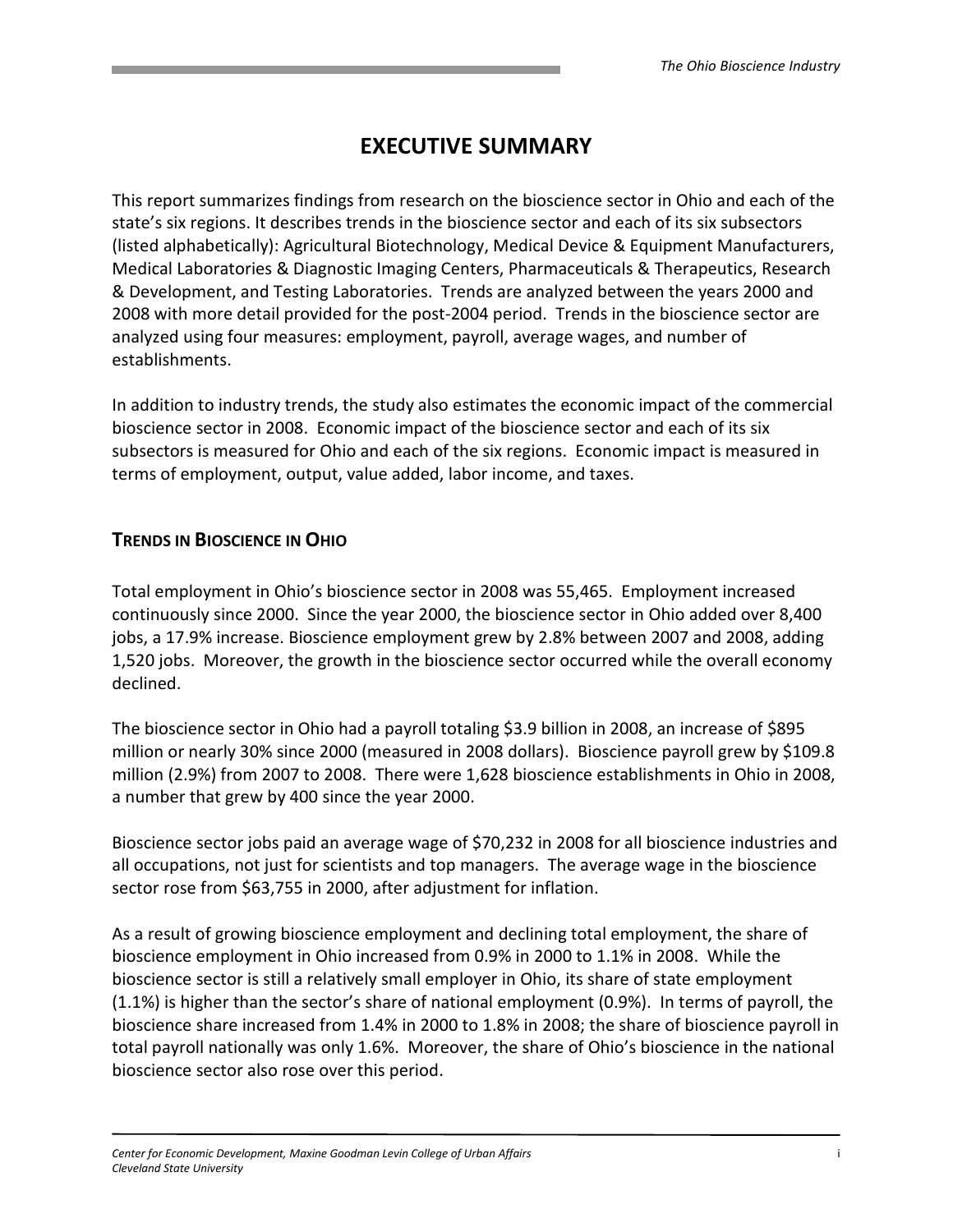# EXECUTIVE SUMMARY

This report summarizes findings from research on the bioscience sector in Ohio and each of the state's six regions. It describes trends in the bioscience sector and each of its six subsectors (listed alphabetically): Agricultural Biotechnology, Medical Device & Equipment Manufacturers, Medical Laboratories & Diagnostic Imaging Centers, Pharmaceuticals & Therapeutics, Research & Development, and Testing Laboratories. Trends are analyzed between the years 2000 and 2008 with more detail provided for the post-2004 period. Trends in the bioscience sector are analyzed using four measures: employment, payroll, average wages, and number of establishments.

In addition to industry trends, the study also estimates the economic impact of the commercial bioscience sector in 2008. Economic impact of the bioscience sector and each of its six subsectors is measured for Ohio and each of the six regions. Economic impact is measured in terms of employment, output, value added, labor income, and taxes.

# TRENDS IN BIOSCIENCE IN OHIO

Total employment in Ohio's bioscience sector in 2008 was 55,465. Employment increased continuously since 2000. Since the year 2000, the bioscience sector in Ohio added over 8,400 jobs, a 17.9% increase. Bioscience employment grew by 2.8% between 2007 and 2008, adding 1,520 jobs. Moreover, the growth in the bioscience sector occurred while the overall economy declined.

The bioscience sector in Ohio had a payroll totaling \$3.9 billion in 2008, an increase of \$895 million or nearly 30% since 2000 (measured in 2008 dollars). Bioscience payroll grew by \$109.8 million (2.9%) from 2007 to 2008. There were 1,628 bioscience establishments in Ohio in 2008, a number that grew by 400 since the year 2000.

Bioscience sector jobs paid an average wage of \$70,232 in 2008 for all bioscience industries and all occupations, not just for scientists and top managers. The average wage in the bioscience sector rose from \$63,755 in 2000, after adjustment for inflation.

As a result of growing bioscience employment and declining total employment, the share of bioscience employment in Ohio increased from 0.9% in 2000 to 1.1% in 2008. While the bioscience sector is still a relatively small employer in Ohio, its share of state employment (1.1%) is higher than the sector's share of national employment (0.9%). In terms of payroll, the bioscience share increased from 1.4% in 2000 to 1.8% in 2008; the share of bioscience payroll in total payroll nationally was only 1.6%. Moreover, the share of Ohio's bioscience in the national bioscience sector also rose over this period.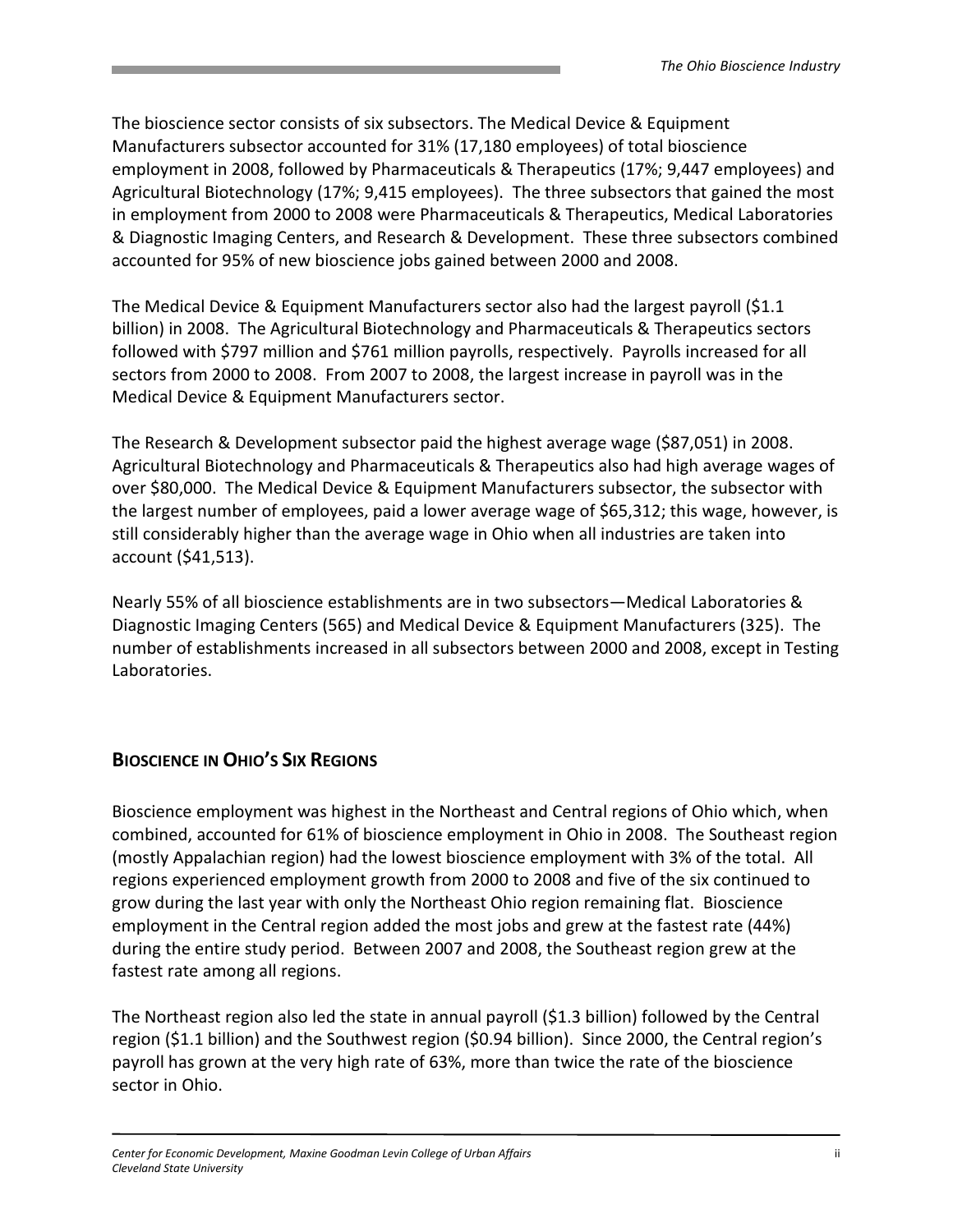The bioscience sector consists of six subsectors. The Medical Device & Equipment Manufacturers subsector accounted for 31% (17,180 employees) of total bioscience employment in 2008, followed by Pharmaceuticals & Therapeutics (17%; 9,447 employees) and Agricultural Biotechnology (17%; 9,415 employees). The three subsectors that gained the most in employment from 2000 to 2008 were Pharmaceuticals & Therapeutics, Medical Laboratories & Diagnostic Imaging Centers, and Research & Development. These three subsectors combined accounted for 95% of new bioscience jobs gained between 2000 and 2008.

The Medical Device & Equipment Manufacturers sector also had the largest payroll (\$1.1 billion) in 2008. The Agricultural Biotechnology and Pharmaceuticals & Therapeutics sectors followed with \$797 million and \$761 million payrolls, respectively. Payrolls increased for all sectors from 2000 to 2008. From 2007 to 2008, the largest increase in payroll was in the Medical Device & Equipment Manufacturers sector.

The Research & Development subsector paid the highest average wage (\$87,051) in 2008. Agricultural Biotechnology and Pharmaceuticals & Therapeutics also had high average wages of over \$80,000. The Medical Device & Equipment Manufacturers subsector, the subsector with the largest number of employees, paid a lower average wage of \$65,312; this wage, however, is still considerably higher than the average wage in Ohio when all industries are taken into account (\$41,513).

Nearly 55% of all bioscience establishments are in two subsectors—Medical Laboratories & Diagnostic Imaging Centers (565) and Medical Device & Equipment Manufacturers (325). The number of establishments increased in all subsectors between 2000 and 2008, except in Testing Laboratories.

# BIOSCIENCE IN OHIO'S SIX REGIONS

Bioscience employment was highest in the Northeast and Central regions of Ohio which, when combined, accounted for 61% of bioscience employment in Ohio in 2008. The Southeast region (mostly Appalachian region) had the lowest bioscience employment with 3% of the total. All regions experienced employment growth from 2000 to 2008 and five of the six continued to grow during the last year with only the Northeast Ohio region remaining flat. Bioscience employment in the Central region added the most jobs and grew at the fastest rate (44%) during the entire study period. Between 2007 and 2008, the Southeast region grew at the fastest rate among all regions.

The Northeast region also led the state in annual payroll (\$1.3 billion) followed by the Central region (\$1.1 billion) and the Southwest region (\$0.94 billion). Since 2000, the Central region's payroll has grown at the very high rate of 63%, more than twice the rate of the bioscience sector in Ohio.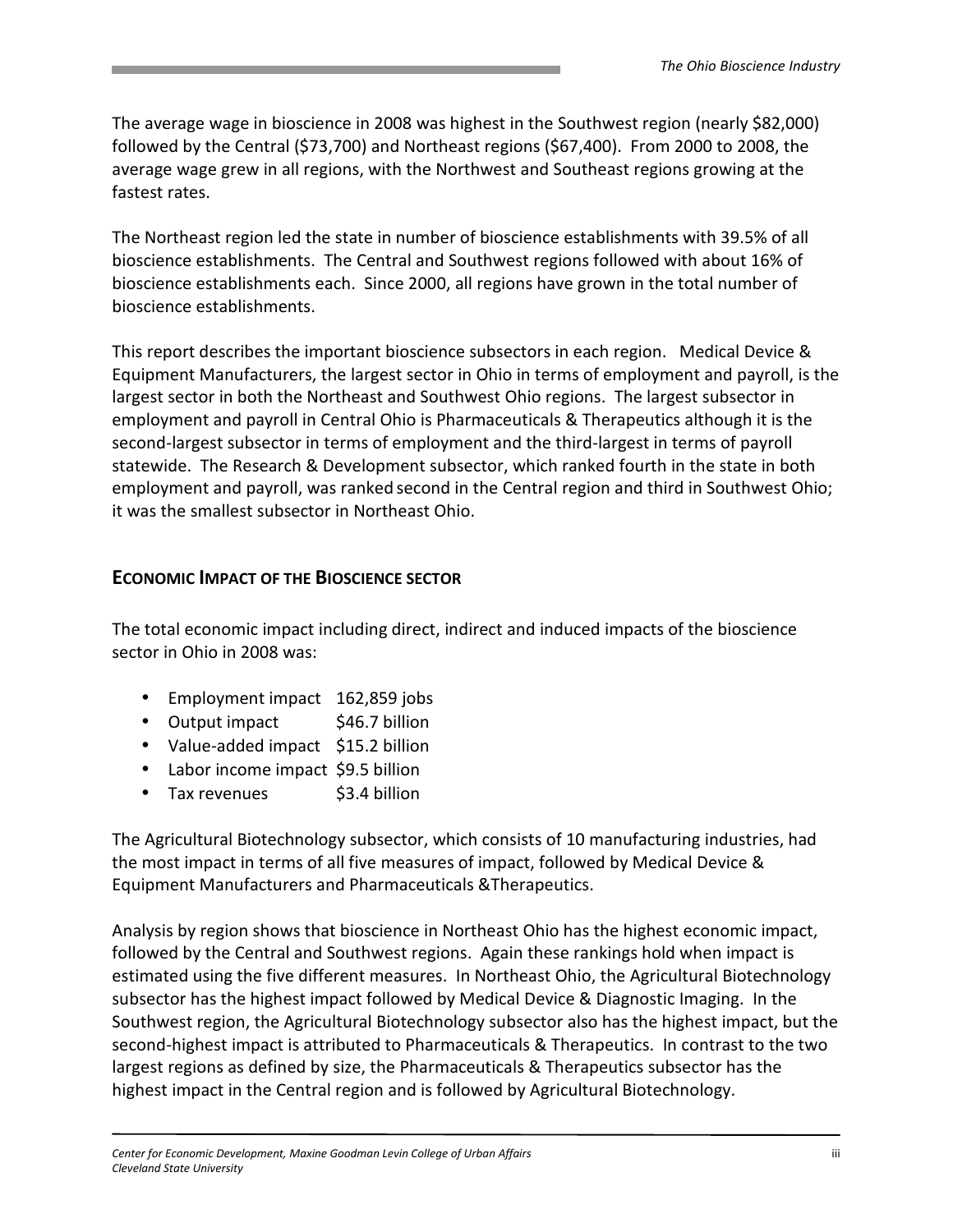The average wage in bioscience in 2008 was highest in the Southwest region (nearly \$82,000) followed by the Central (\$73,700) and Northeast regions (\$67,400). From 2000 to 2008, the average wage grew in all regions, with the Northwest and Southeast regions growing at the fastest rates.

The Northeast region led the state in number of bioscience establishments with 39.5% of all bioscience establishments. The Central and Southwest regions followed with about 16% of bioscience establishments each. Since 2000, all regions have grown in the total number of bioscience establishments.

This report describes the important bioscience subsectors in each region. Medical Device & Equipment Manufacturers, the largest sector in Ohio in terms of employment and payroll, is the largest sector in both the Northeast and Southwest Ohio regions. The largest subsector in employment and payroll in Central Ohio is Pharmaceuticals & Therapeutics although it is the second-largest subsector in terms of employment and the third-largest in terms of payroll statewide. The Research & Development subsector, which ranked fourth in the state in both employment and payroll, was ranked second in the Central region and third in Southwest Ohio; it was the smallest subsector in Northeast Ohio.

#### ECONOMIC IMPACT OF THE BIOSCIENCE SECTOR

The total economic impact including direct, indirect and induced impacts of the bioscience sector in Ohio in 2008 was:

- Employment impact 162,859 jobs
- Output impact \$46.7 billion
- Value-added impact \$15.2 billion
- Labor income impact \$9.5 billion
- Tax revenues \$3.4 billion

The Agricultural Biotechnology subsector, which consists of 10 manufacturing industries, had the most impact in terms of all five measures of impact, followed by Medical Device & Equipment Manufacturers and Pharmaceuticals &Therapeutics.

Analysis by region shows that bioscience in Northeast Ohio has the highest economic impact, followed by the Central and Southwest regions. Again these rankings hold when impact is estimated using the five different measures. In Northeast Ohio, the Agricultural Biotechnology subsector has the highest impact followed by Medical Device & Diagnostic Imaging. In the Southwest region, the Agricultural Biotechnology subsector also has the highest impact, but the second-highest impact is attributed to Pharmaceuticals & Therapeutics. In contrast to the two largest regions as defined by size, the Pharmaceuticals & Therapeutics subsector has the highest impact in the Central region and is followed by Agricultural Biotechnology.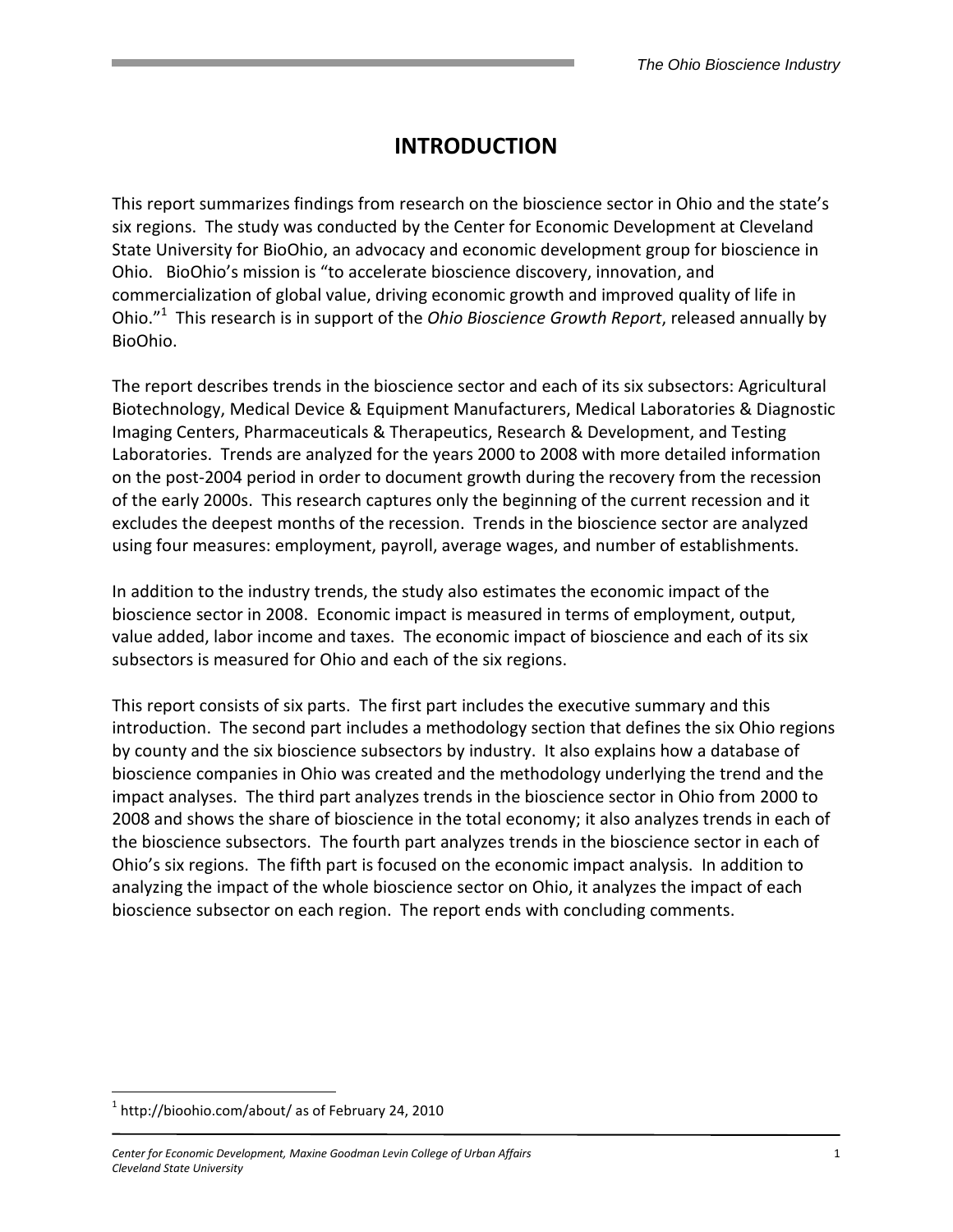# INTRODUCTION

This report summarizes findings from research on the bioscience sector in Ohio and the state's six regions. The study was conducted by the Center for Economic Development at Cleveland State University for BioOhio, an advocacy and economic development group for bioscience in Ohio. BioOhio's mission is "to accelerate bioscience discovery, innovation, and commercialization of global value, driving economic growth and improved quality of life in Ohio."<sup>1</sup> This research is in support of the *Ohio Bioscience Growth Report*, released annually by BioOhio.

The report describes trends in the bioscience sector and each of its six subsectors: Agricultural Biotechnology, Medical Device & Equipment Manufacturers, Medical Laboratories & Diagnostic Imaging Centers, Pharmaceuticals & Therapeutics, Research & Development, and Testing Laboratories. Trends are analyzed for the years 2000 to 2008 with more detailed information on the post-2004 period in order to document growth during the recovery from the recession of the early 2000s. This research captures only the beginning of the current recession and it excludes the deepest months of the recession. Trends in the bioscience sector are analyzed using four measures: employment, payroll, average wages, and number of establishments.

In addition to the industry trends, the study also estimates the economic impact of the bioscience sector in 2008. Economic impact is measured in terms of employment, output, value added, labor income and taxes. The economic impact of bioscience and each of its six subsectors is measured for Ohio and each of the six regions.

This report consists of six parts. The first part includes the executive summary and this introduction. The second part includes a methodology section that defines the six Ohio regions by county and the six bioscience subsectors by industry. It also explains how a database of bioscience companies in Ohio was created and the methodology underlying the trend and the impact analyses. The third part analyzes trends in the bioscience sector in Ohio from 2000 to 2008 and shows the share of bioscience in the total economy; it also analyzes trends in each of the bioscience subsectors. The fourth part analyzes trends in the bioscience sector in each of Ohio's six regions. The fifth part is focused on the economic impact analysis. In addition to analyzing the impact of the whole bioscience sector on Ohio, it analyzes the impact of each bioscience subsector on each region. The report ends with concluding comments.

<u>.</u>

 $1$  http://bioohio.com/about/ as of February 24, 2010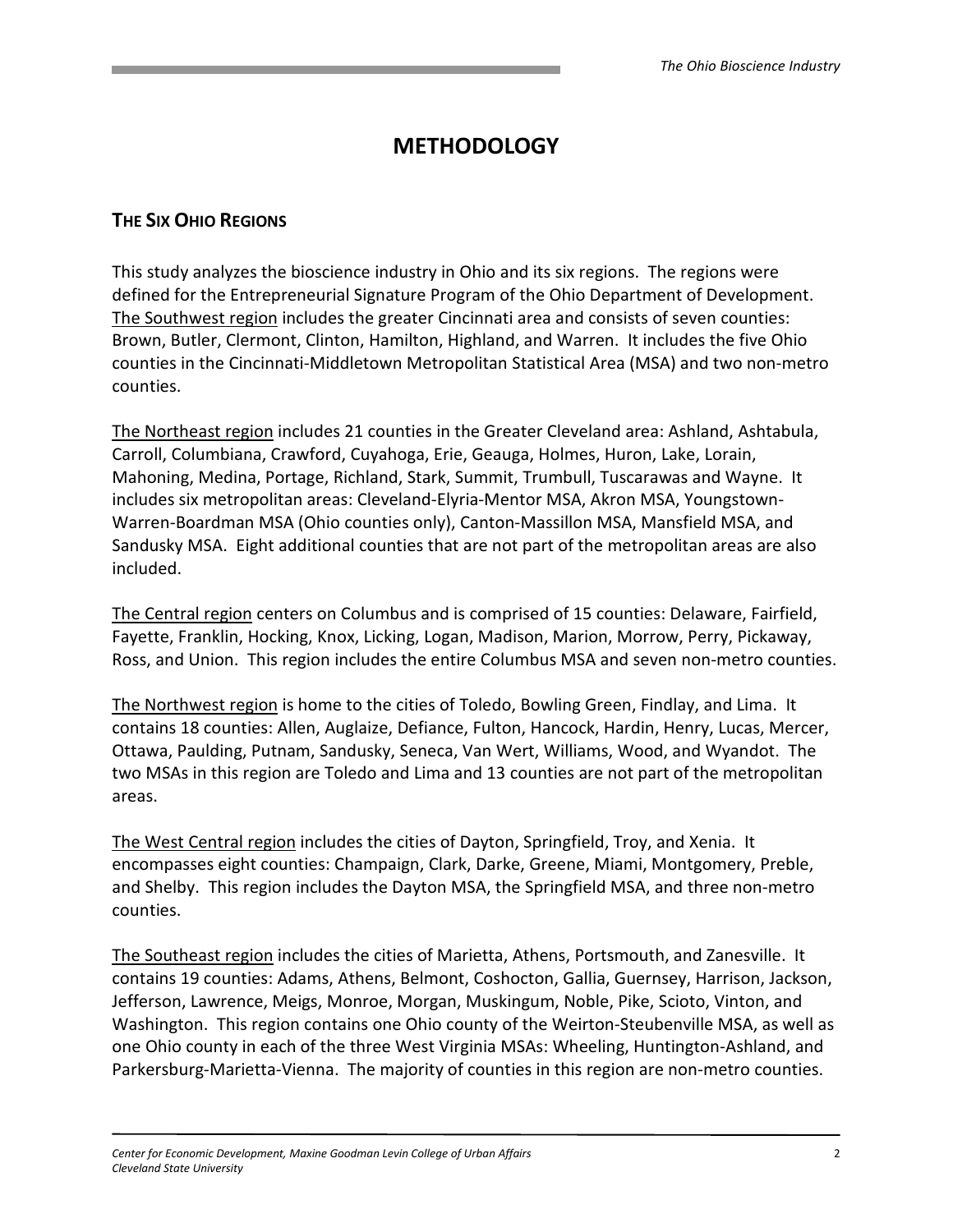# **METHODOLOGY**

# THE SIX OHIO REGIONS

This study analyzes the bioscience industry in Ohio and its six regions. The regions were defined for the Entrepreneurial Signature Program of the Ohio Department of Development. The Southwest region includes the greater Cincinnati area and consists of seven counties: Brown, Butler, Clermont, Clinton, Hamilton, Highland, and Warren. It includes the five Ohio counties in the Cincinnati-Middletown Metropolitan Statistical Area (MSA) and two non-metro counties.

The Northeast region includes 21 counties in the Greater Cleveland area: Ashland, Ashtabula, Carroll, Columbiana, Crawford, Cuyahoga, Erie, Geauga, Holmes, Huron, Lake, Lorain, Mahoning, Medina, Portage, Richland, Stark, Summit, Trumbull, Tuscarawas and Wayne. It includes six metropolitan areas: Cleveland-Elyria-Mentor MSA, Akron MSA, Youngstown-Warren-Boardman MSA (Ohio counties only), Canton-Massillon MSA, Mansfield MSA, and Sandusky MSA. Eight additional counties that are not part of the metropolitan areas are also included.

The Central region centers on Columbus and is comprised of 15 counties: Delaware, Fairfield, Fayette, Franklin, Hocking, Knox, Licking, Logan, Madison, Marion, Morrow, Perry, Pickaway, Ross, and Union. This region includes the entire Columbus MSA and seven non-metro counties.

The Northwest region is home to the cities of Toledo, Bowling Green, Findlay, and Lima. It contains 18 counties: Allen, Auglaize, Defiance, Fulton, Hancock, Hardin, Henry, Lucas, Mercer, Ottawa, Paulding, Putnam, Sandusky, Seneca, Van Wert, Williams, Wood, and Wyandot. The two MSAs in this region are Toledo and Lima and 13 counties are not part of the metropolitan areas.

The West Central region includes the cities of Dayton, Springfield, Troy, and Xenia. It encompasses eight counties: Champaign, Clark, Darke, Greene, Miami, Montgomery, Preble, and Shelby. This region includes the Dayton MSA, the Springfield MSA, and three non-metro counties.

The Southeast region includes the cities of Marietta, Athens, Portsmouth, and Zanesville. It contains 19 counties: Adams, Athens, Belmont, Coshocton, Gallia, Guernsey, Harrison, Jackson, Jefferson, Lawrence, Meigs, Monroe, Morgan, Muskingum, Noble, Pike, Scioto, Vinton, and Washington. This region contains one Ohio county of the Weirton-Steubenville MSA, as well as one Ohio county in each of the three West Virginia MSAs: Wheeling, Huntington-Ashland, and Parkersburg-Marietta-Vienna. The majority of counties in this region are non-metro counties.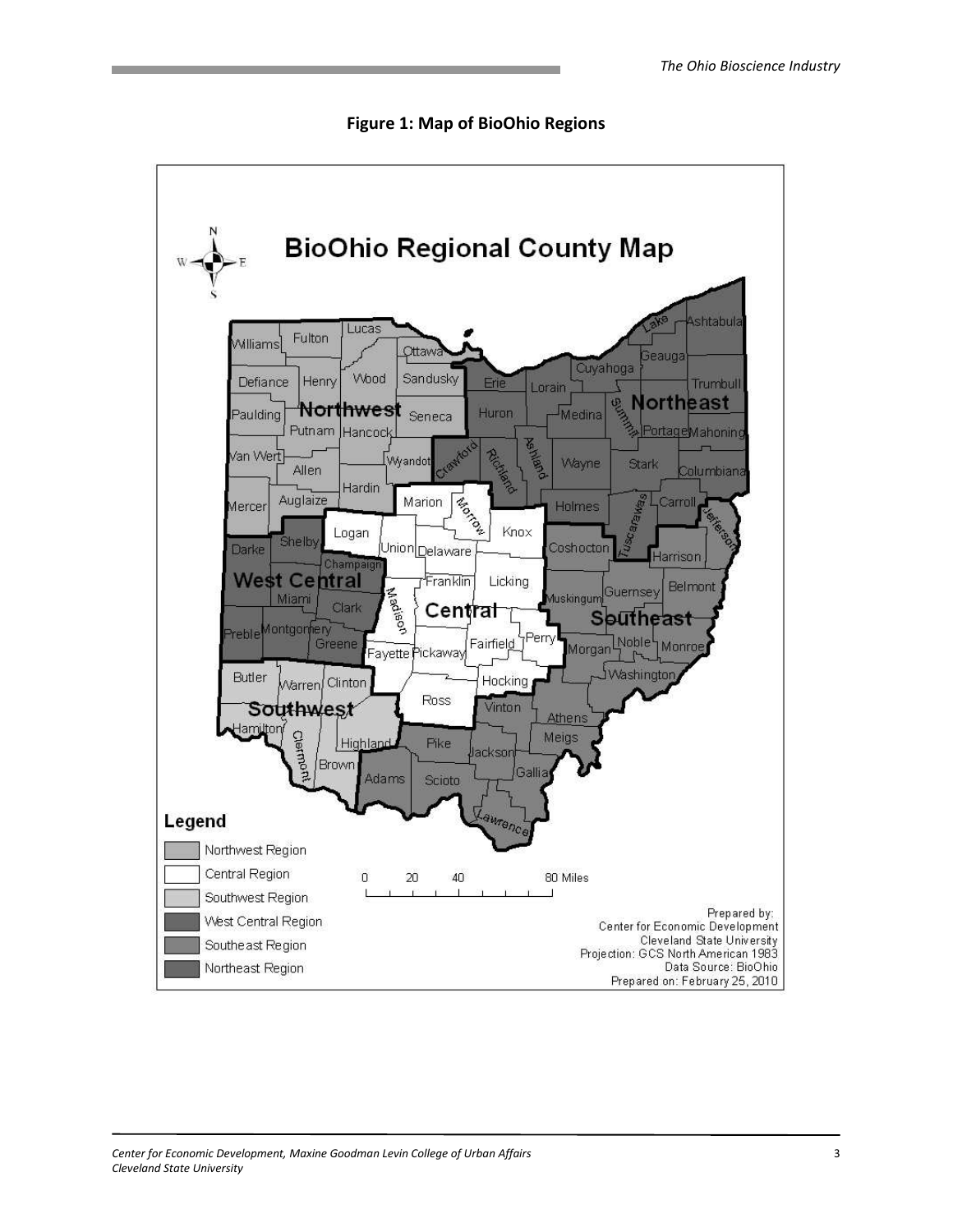

Figure 1: Map of BioOhio Regions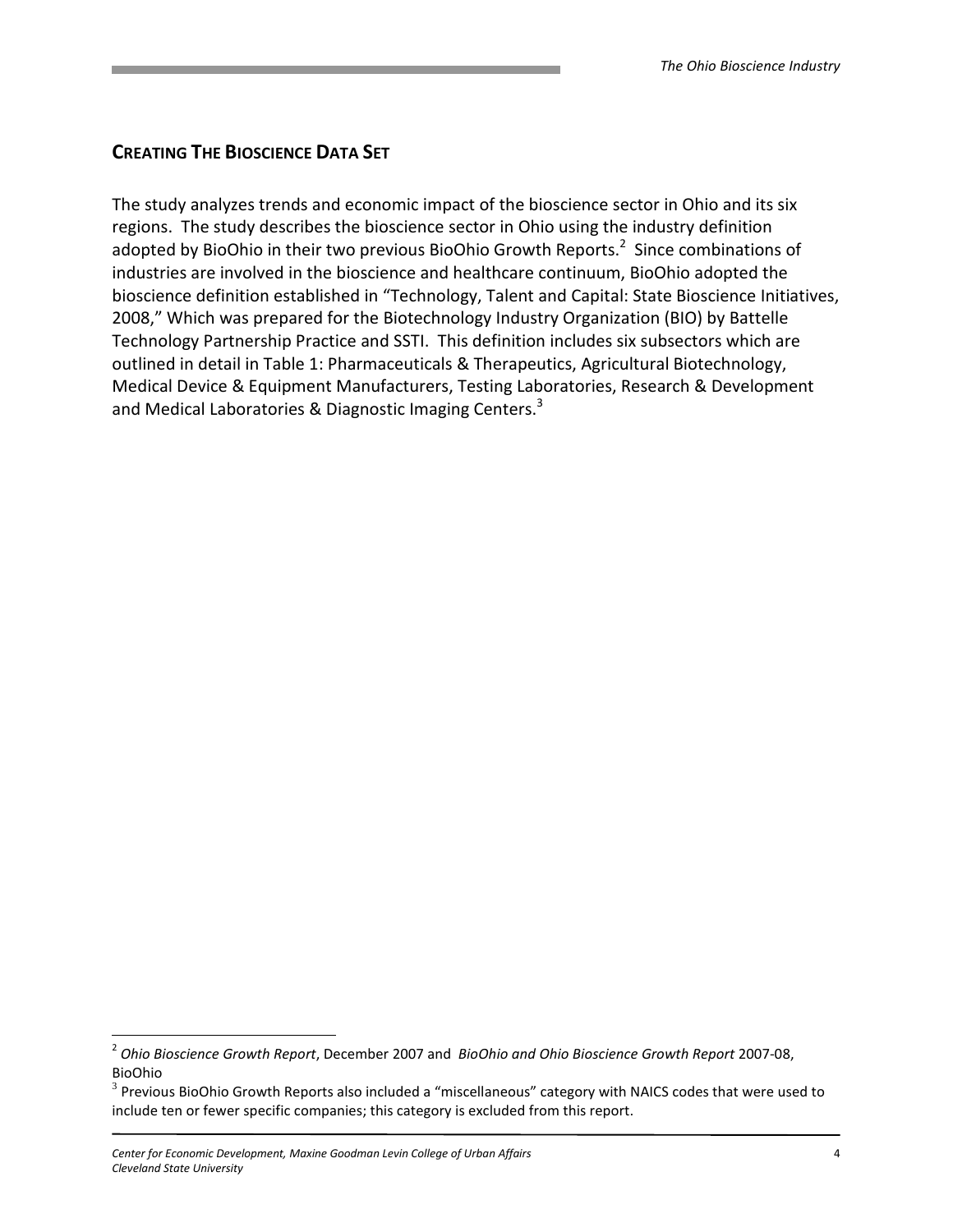# CREATING THE BIOSCIENCE DATA SET

The study analyzes trends and economic impact of the bioscience sector in Ohio and its six regions. The study describes the bioscience sector in Ohio using the industry definition adopted by BioOhio in their two previous BioOhio Growth Reports.<sup>2</sup> Since combinations of industries are involved in the bioscience and healthcare continuum, BioOhio adopted the bioscience definition established in "Technology, Talent and Capital: State Bioscience Initiatives, 2008," Which was prepared for the Biotechnology Industry Organization (BIO) by Battelle Technology Partnership Practice and SSTI. This definition includes six subsectors which are outlined in detail in Table 1: Pharmaceuticals & Therapeutics, Agricultural Biotechnology, Medical Device & Equipment Manufacturers, Testing Laboratories, Research & Development and Medical Laboratories & Diagnostic Imaging Centers.<sup>3</sup>

<u>.</u>

<sup>&</sup>lt;sup>2</sup> Ohio Bioscience Growth Report, December 2007 and BioOhio and Ohio Bioscience Growth Report 2007-08, BioOhio

 $3$  Previous BioOhio Growth Reports also included a "miscellaneous" category with NAICS codes that were used to include ten or fewer specific companies; this category is excluded from this report.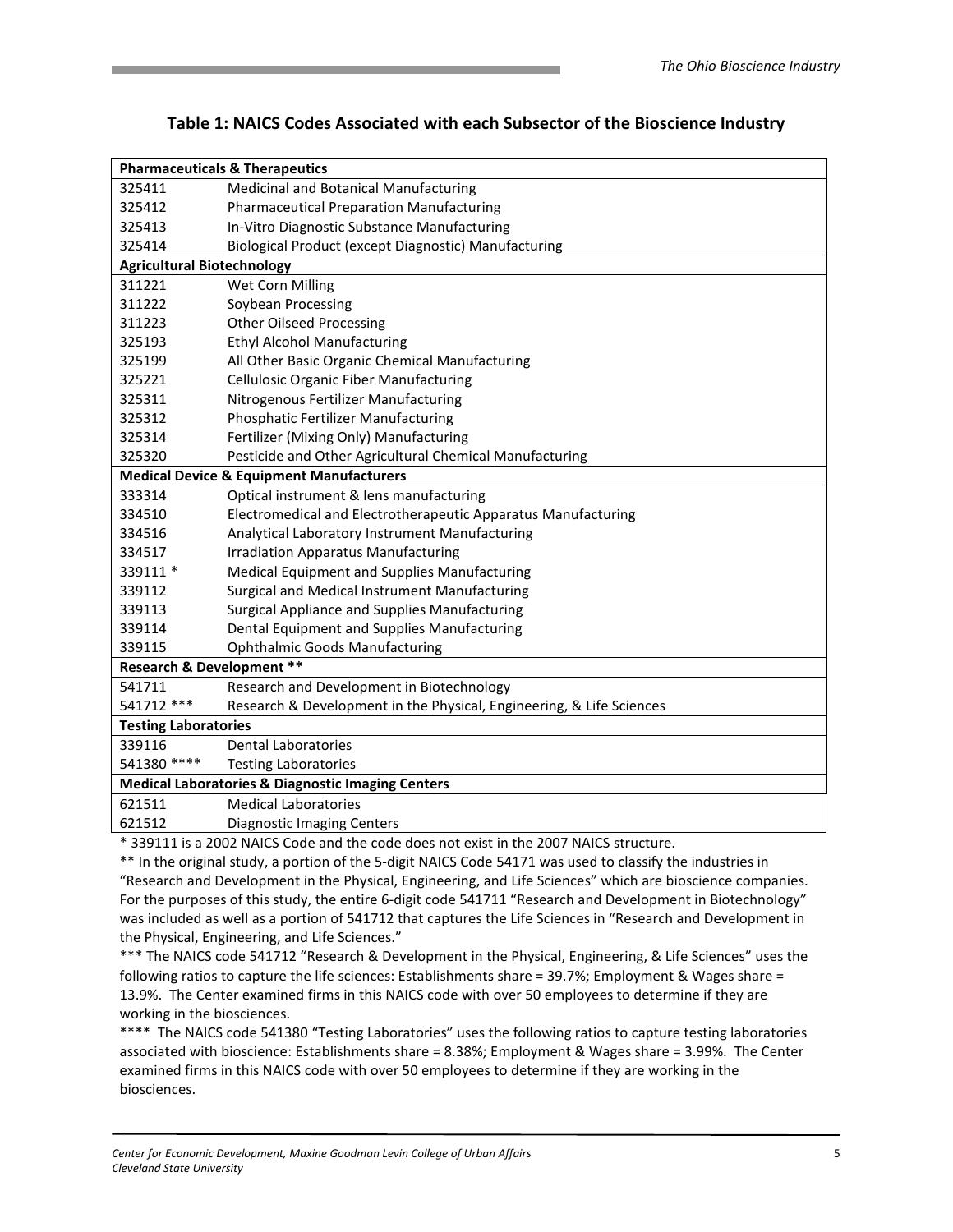|                                      | <b>Pharmaceuticals &amp; Therapeutics</b>                            |
|--------------------------------------|----------------------------------------------------------------------|
| 325411                               | Medicinal and Botanical Manufacturing                                |
| 325412                               | <b>Pharmaceutical Preparation Manufacturing</b>                      |
| 325413                               | In-Vitro Diagnostic Substance Manufacturing                          |
| 325414                               | Biological Product (except Diagnostic) Manufacturing                 |
| <b>Agricultural Biotechnology</b>    |                                                                      |
| 311221                               | Wet Corn Milling                                                     |
| 311222                               | Soybean Processing                                                   |
| 311223                               | <b>Other Oilseed Processing</b>                                      |
| 325193                               | <b>Ethyl Alcohol Manufacturing</b>                                   |
| 325199                               | All Other Basic Organic Chemical Manufacturing                       |
| 325221                               | <b>Cellulosic Organic Fiber Manufacturing</b>                        |
| 325311                               | Nitrogenous Fertilizer Manufacturing                                 |
| 325312                               | Phosphatic Fertilizer Manufacturing                                  |
| 325314                               | Fertilizer (Mixing Only) Manufacturing                               |
| 325320                               | Pesticide and Other Agricultural Chemical Manufacturing              |
|                                      | <b>Medical Device &amp; Equipment Manufacturers</b>                  |
| 333314                               | Optical instrument & lens manufacturing                              |
| 334510                               | Electromedical and Electrotherapeutic Apparatus Manufacturing        |
| 334516                               | Analytical Laboratory Instrument Manufacturing                       |
| 334517                               | <b>Irradiation Apparatus Manufacturing</b>                           |
| 339111 *                             | Medical Equipment and Supplies Manufacturing                         |
| 339112                               | Surgical and Medical Instrument Manufacturing                        |
| 339113                               | Surgical Appliance and Supplies Manufacturing                        |
| 339114                               | Dental Equipment and Supplies Manufacturing                          |
| 339115                               | <b>Ophthalmic Goods Manufacturing</b>                                |
| <b>Research &amp; Development **</b> |                                                                      |
| 541711                               | Research and Development in Biotechnology                            |
| 541712 ***                           | Research & Development in the Physical, Engineering, & Life Sciences |
| <b>Testing Laboratories</b>          |                                                                      |
| 339116                               | Dental Laboratories                                                  |
| 541380 ****                          | <b>Testing Laboratories</b>                                          |
|                                      | <b>Medical Laboratories &amp; Diagnostic Imaging Centers</b>         |
| 621511                               | <b>Medical Laboratories</b>                                          |
| 621512                               | <b>Diagnostic Imaging Centers</b>                                    |

#### Table 1: NAICS Codes Associated with each Subsector of the Bioscience Industry

\* 339111 is a 2002 NAICS Code and the code does not exist in the 2007 NAICS structure.

\*\* In the original study, a portion of the 5-digit NAICS Code 54171 was used to classify the industries in "Research and Development in the Physical, Engineering, and Life Sciences" which are bioscience companies. For the purposes of this study, the entire 6-digit code 541711 "Research and Development in Biotechnology" was included as well as a portion of 541712 that captures the Life Sciences in "Research and Development in the Physical, Engineering, and Life Sciences."

\*\*\* The NAICS code 541712 "Research & Development in the Physical, Engineering, & Life Sciences" uses the following ratios to capture the life sciences: Establishments share = 39.7%; Employment & Wages share = 13.9%. The Center examined firms in this NAICS code with over 50 employees to determine if they are working in the biosciences.

\*\*\*\* The NAICS code 541380 "Testing Laboratories" uses the following ratios to capture testing laboratories associated with bioscience: Establishments share = 8.38%; Employment & Wages share = 3.99%. The Center examined firms in this NAICS code with over 50 employees to determine if they are working in the biosciences.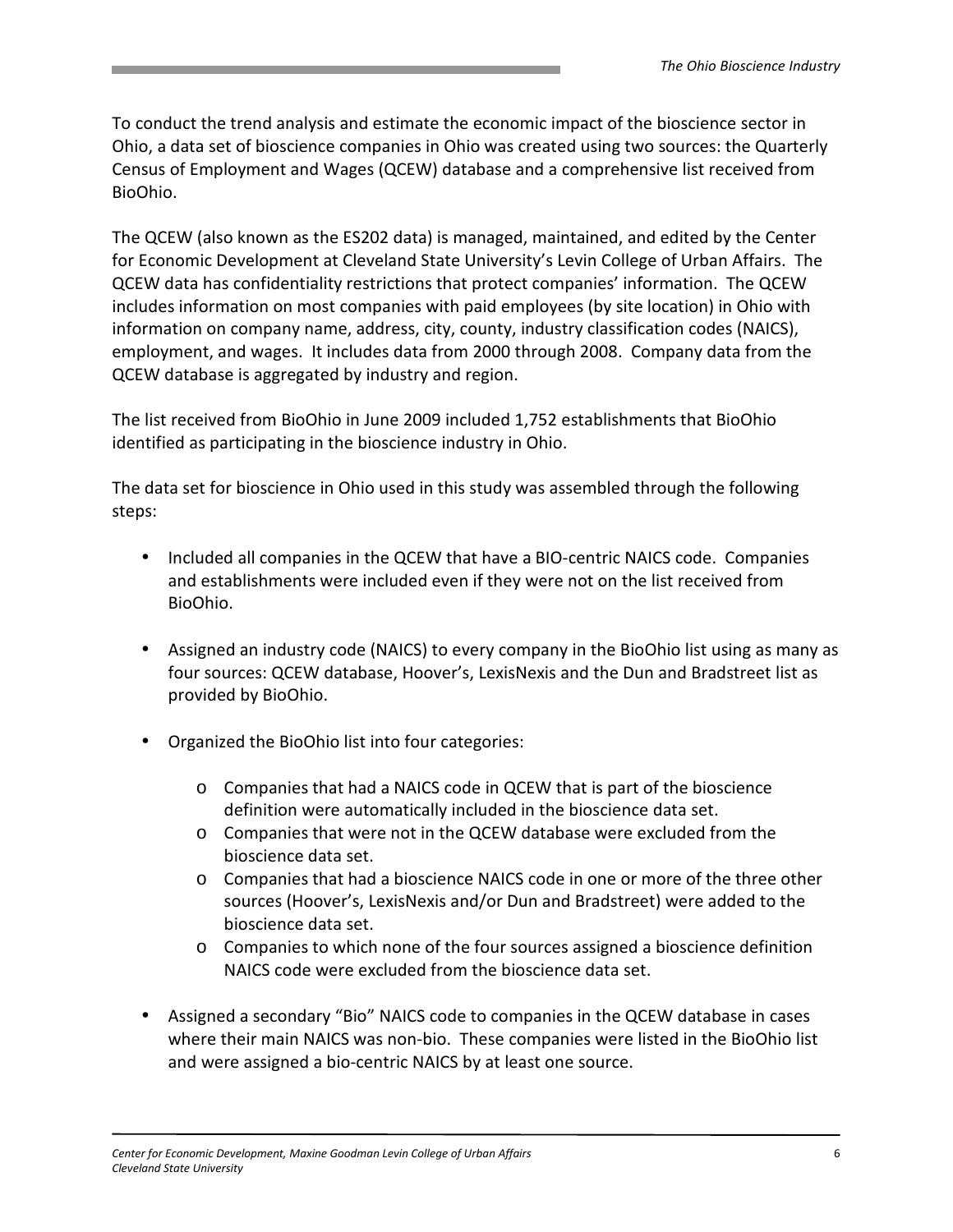To conduct the trend analysis and estimate the economic impact of the bioscience sector in Ohio, a data set of bioscience companies in Ohio was created using two sources: the Quarterly Census of Employment and Wages (QCEW) database and a comprehensive list received from BioOhio.

The QCEW (also known as the ES202 data) is managed, maintained, and edited by the Center for Economic Development at Cleveland State University's Levin College of Urban Affairs. The QCEW data has confidentiality restrictions that protect companies' information. The QCEW includes information on most companies with paid employees (by site location) in Ohio with information on company name, address, city, county, industry classification codes (NAICS), employment, and wages. It includes data from 2000 through 2008. Company data from the QCEW database is aggregated by industry and region.

The list received from BioOhio in June 2009 included 1,752 establishments that BioOhio identified as participating in the bioscience industry in Ohio.

The data set for bioscience in Ohio used in this study was assembled through the following steps:

- Included all companies in the QCEW that have a BIO-centric NAICS code. Companies and establishments were included even if they were not on the list received from BioOhio.
- Assigned an industry code (NAICS) to every company in the BioOhio list using as many as four sources: QCEW database, Hoover's, LexisNexis and the Dun and Bradstreet list as provided by BioOhio.
- Organized the BioOhio list into four categories:
	- o Companies that had a NAICS code in QCEW that is part of the bioscience definition were automatically included in the bioscience data set.
	- o Companies that were not in the QCEW database were excluded from the bioscience data set.
	- o Companies that had a bioscience NAICS code in one or more of the three other sources (Hoover's, LexisNexis and/or Dun and Bradstreet) were added to the bioscience data set.
	- o Companies to which none of the four sources assigned a bioscience definition NAICS code were excluded from the bioscience data set.
- Assigned a secondary "Bio" NAICS code to companies in the QCEW database in cases where their main NAICS was non-bio. These companies were listed in the BioOhio list and were assigned a bio-centric NAICS by at least one source.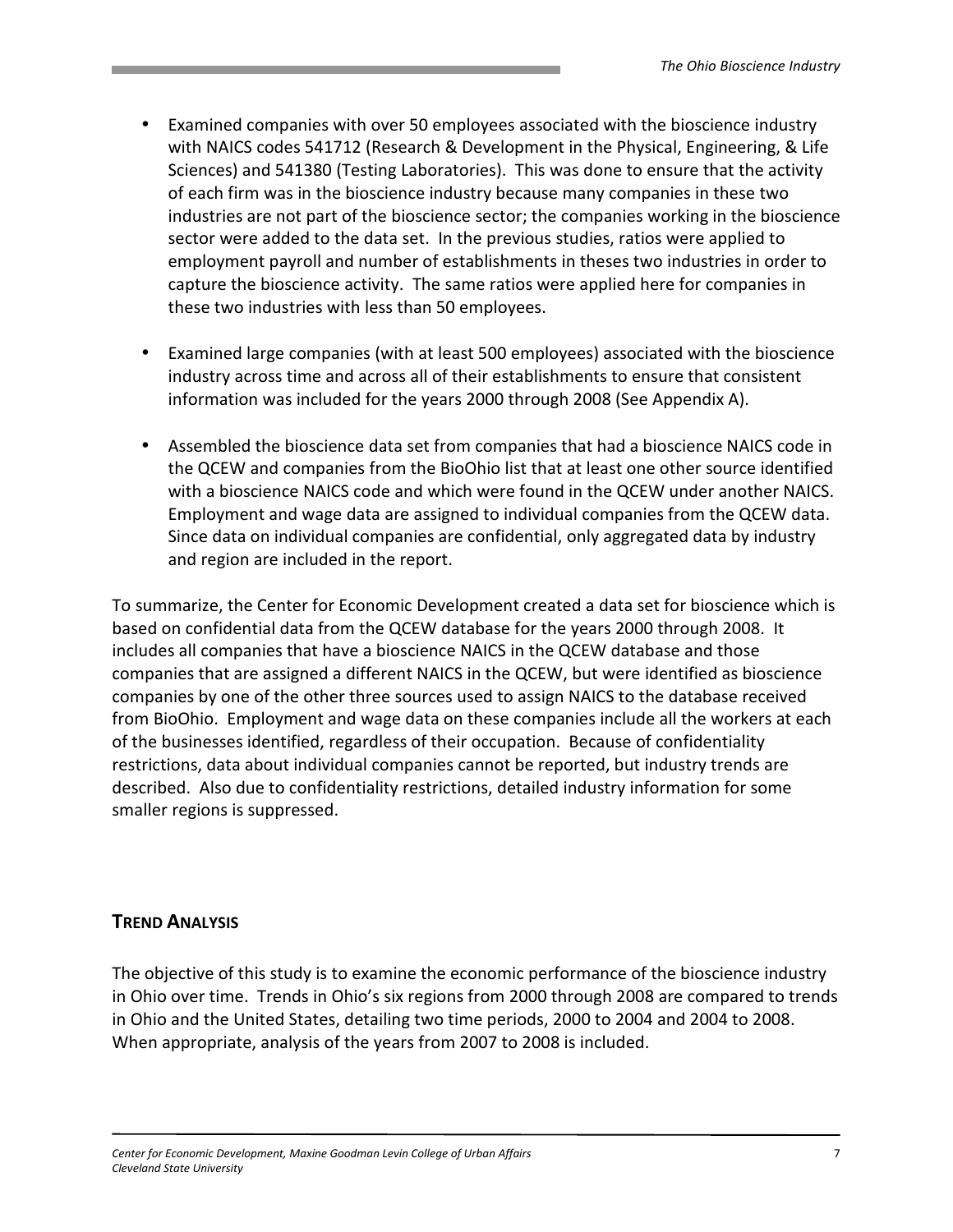- Examined companies with over 50 employees associated with the bioscience industry with NAICS codes 541712 (Research & Development in the Physical, Engineering, & Life Sciences) and 541380 (Testing Laboratories). This was done to ensure that the activity of each firm was in the bioscience industry because many companies in these two industries are not part of the bioscience sector; the companies working in the bioscience sector were added to the data set. In the previous studies, ratios were applied to employment payroll and number of establishments in theses two industries in order to capture the bioscience activity. The same ratios were applied here for companies in these two industries with less than 50 employees.
- Examined large companies (with at least 500 employees) associated with the bioscience industry across time and across all of their establishments to ensure that consistent information was included for the years 2000 through 2008 (See Appendix A).
- Assembled the bioscience data set from companies that had a bioscience NAICS code in the QCEW and companies from the BioOhio list that at least one other source identified with a bioscience NAICS code and which were found in the QCEW under another NAICS. Employment and wage data are assigned to individual companies from the QCEW data. Since data on individual companies are confidential, only aggregated data by industry and region are included in the report.

To summarize, the Center for Economic Development created a data set for bioscience which is based on confidential data from the QCEW database for the years 2000 through 2008. It includes all companies that have a bioscience NAICS in the QCEW database and those companies that are assigned a different NAICS in the QCEW, but were identified as bioscience companies by one of the other three sources used to assign NAICS to the database received from BioOhio. Employment and wage data on these companies include all the workers at each of the businesses identified, regardless of their occupation. Because of confidentiality restrictions, data about individual companies cannot be reported, but industry trends are described. Also due to confidentiality restrictions, detailed industry information for some smaller regions is suppressed.

# TREND ANALYSIS

The objective of this study is to examine the economic performance of the bioscience industry in Ohio over time. Trends in Ohio's six regions from 2000 through 2008 are compared to trends in Ohio and the United States, detailing two time periods, 2000 to 2004 and 2004 to 2008. When appropriate, analysis of the years from 2007 to 2008 is included.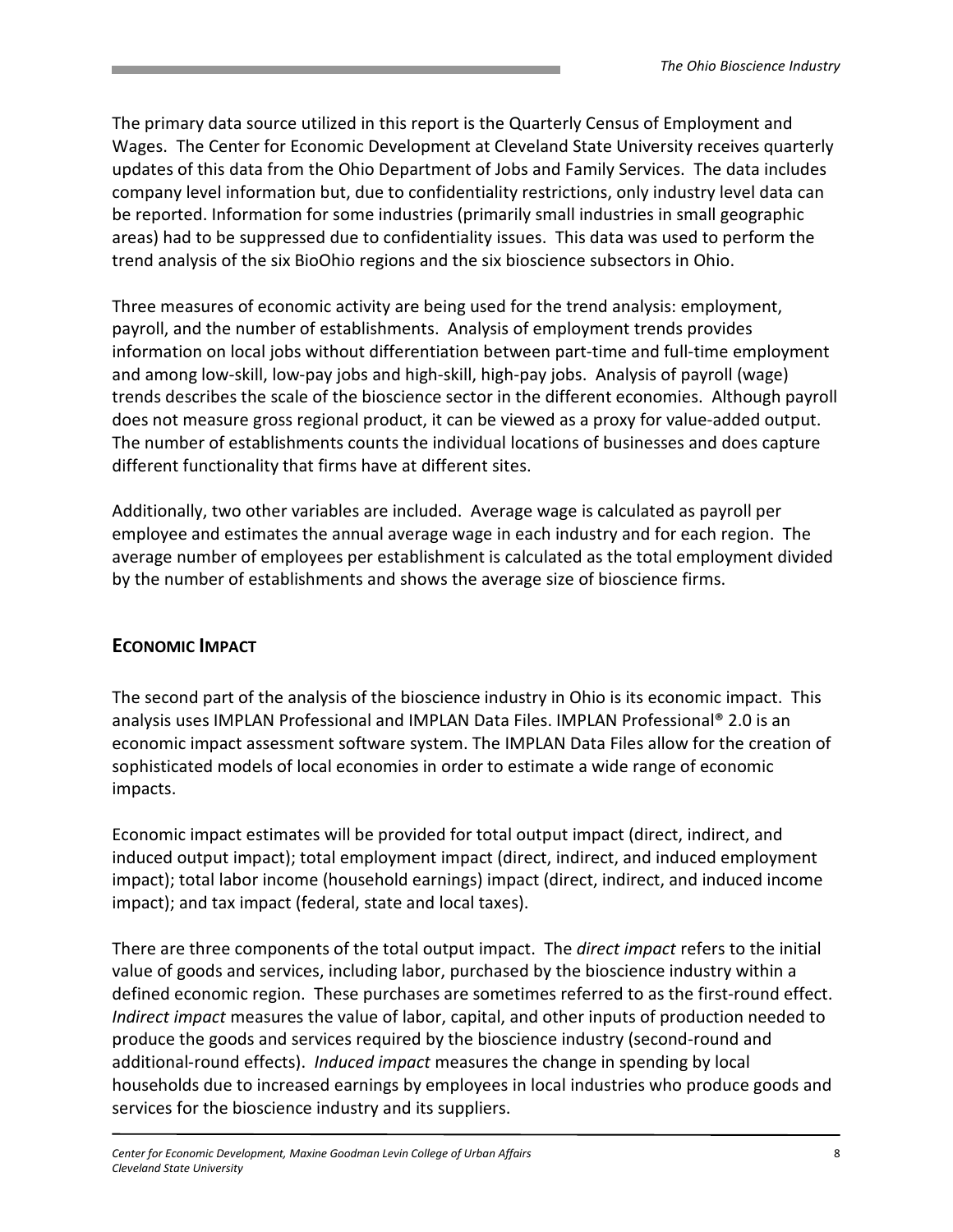The primary data source utilized in this report is the Quarterly Census of Employment and Wages. The Center for Economic Development at Cleveland State University receives quarterly updates of this data from the Ohio Department of Jobs and Family Services. The data includes company level information but, due to confidentiality restrictions, only industry level data can be reported. Information for some industries (primarily small industries in small geographic areas) had to be suppressed due to confidentiality issues. This data was used to perform the trend analysis of the six BioOhio regions and the six bioscience subsectors in Ohio.

Three measures of economic activity are being used for the trend analysis: employment, payroll, and the number of establishments. Analysis of employment trends provides information on local jobs without differentiation between part-time and full-time employment and among low-skill, low-pay jobs and high-skill, high-pay jobs. Analysis of payroll (wage) trends describes the scale of the bioscience sector in the different economies. Although payroll does not measure gross regional product, it can be viewed as a proxy for value-added output. The number of establishments counts the individual locations of businesses and does capture different functionality that firms have at different sites.

Additionally, two other variables are included. Average wage is calculated as payroll per employee and estimates the annual average wage in each industry and for each region. The average number of employees per establishment is calculated as the total employment divided by the number of establishments and shows the average size of bioscience firms.

# ECONOMIC IMPACT

The second part of the analysis of the bioscience industry in Ohio is its economic impact. This analysis uses IMPLAN Professional and IMPLAN Data Files. IMPLAN Professional® 2.0 is an economic impact assessment software system. The IMPLAN Data Files allow for the creation of sophisticated models of local economies in order to estimate a wide range of economic impacts.

Economic impact estimates will be provided for total output impact (direct, indirect, and induced output impact); total employment impact (direct, indirect, and induced employment impact); total labor income (household earnings) impact (direct, indirect, and induced income impact); and tax impact (federal, state and local taxes).

There are three components of the total output impact. The direct impact refers to the initial value of goods and services, including labor, purchased by the bioscience industry within a defined economic region. These purchases are sometimes referred to as the first-round effect. Indirect impact measures the value of labor, capital, and other inputs of production needed to produce the goods and services required by the bioscience industry (second-round and additional-round effects). Induced impact measures the change in spending by local households due to increased earnings by employees in local industries who produce goods and services for the bioscience industry and its suppliers.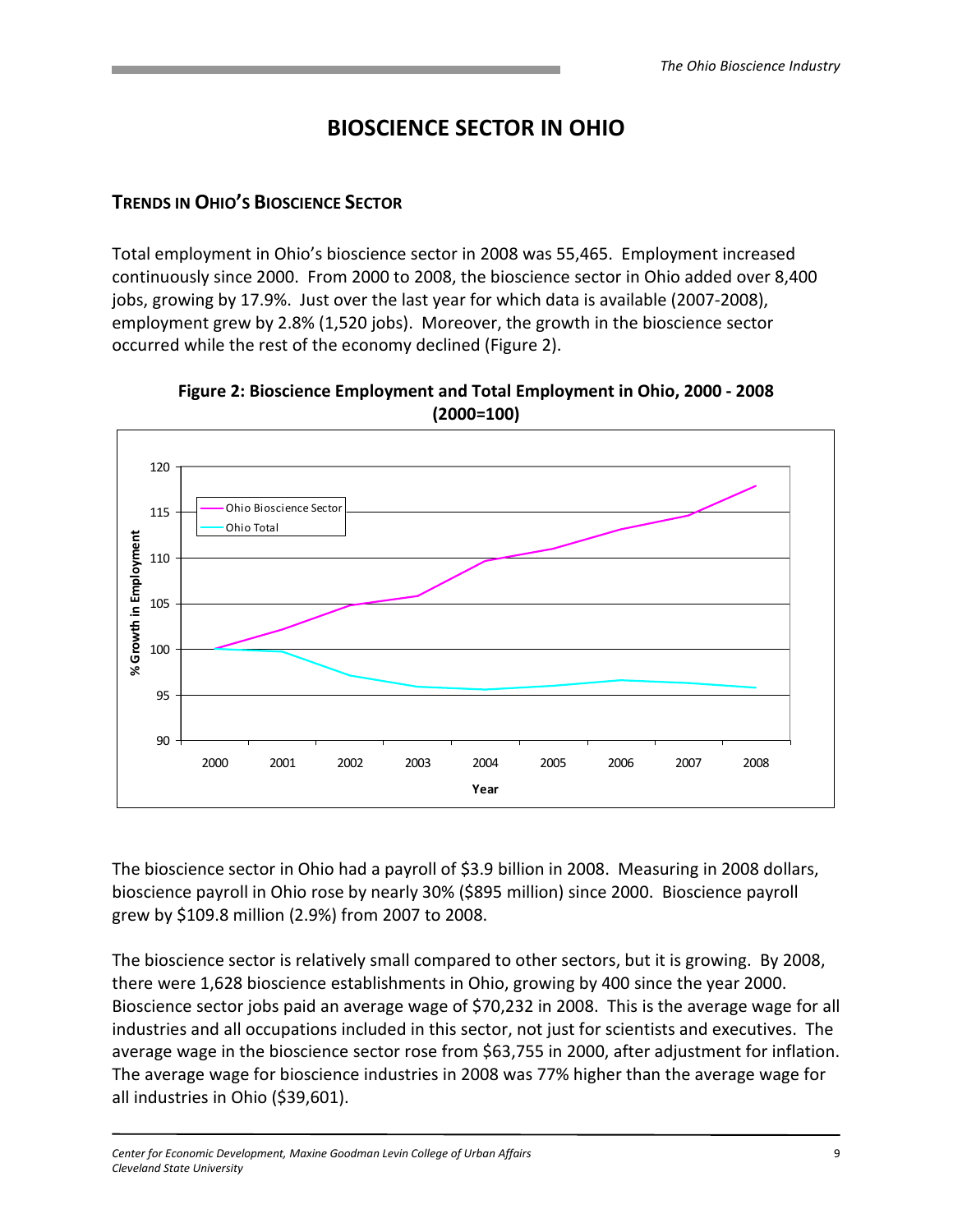# BIOSCIENCE SECTOR IN OHIO

#### TRENDS IN OHIO'S BIOSCIENCE SECTOR

Total employment in Ohio's bioscience sector in 2008 was 55,465. Employment increased continuously since 2000. From 2000 to 2008, the bioscience sector in Ohio added over 8,400 jobs, growing by 17.9%. Just over the last year for which data is available (2007-2008), employment grew by 2.8% (1,520 jobs). Moreover, the growth in the bioscience sector occurred while the rest of the economy declined (Figure 2).





The bioscience sector in Ohio had a payroll of \$3.9 billion in 2008. Measuring in 2008 dollars, bioscience payroll in Ohio rose by nearly 30% (\$895 million) since 2000. Bioscience payroll grew by \$109.8 million (2.9%) from 2007 to 2008.

The bioscience sector is relatively small compared to other sectors, but it is growing. By 2008, there were 1,628 bioscience establishments in Ohio, growing by 400 since the year 2000. Bioscience sector jobs paid an average wage of \$70,232 in 2008. This is the average wage for all industries and all occupations included in this sector, not just for scientists and executives. The average wage in the bioscience sector rose from \$63,755 in 2000, after adjustment for inflation. The average wage for bioscience industries in 2008 was 77% higher than the average wage for all industries in Ohio (\$39,601).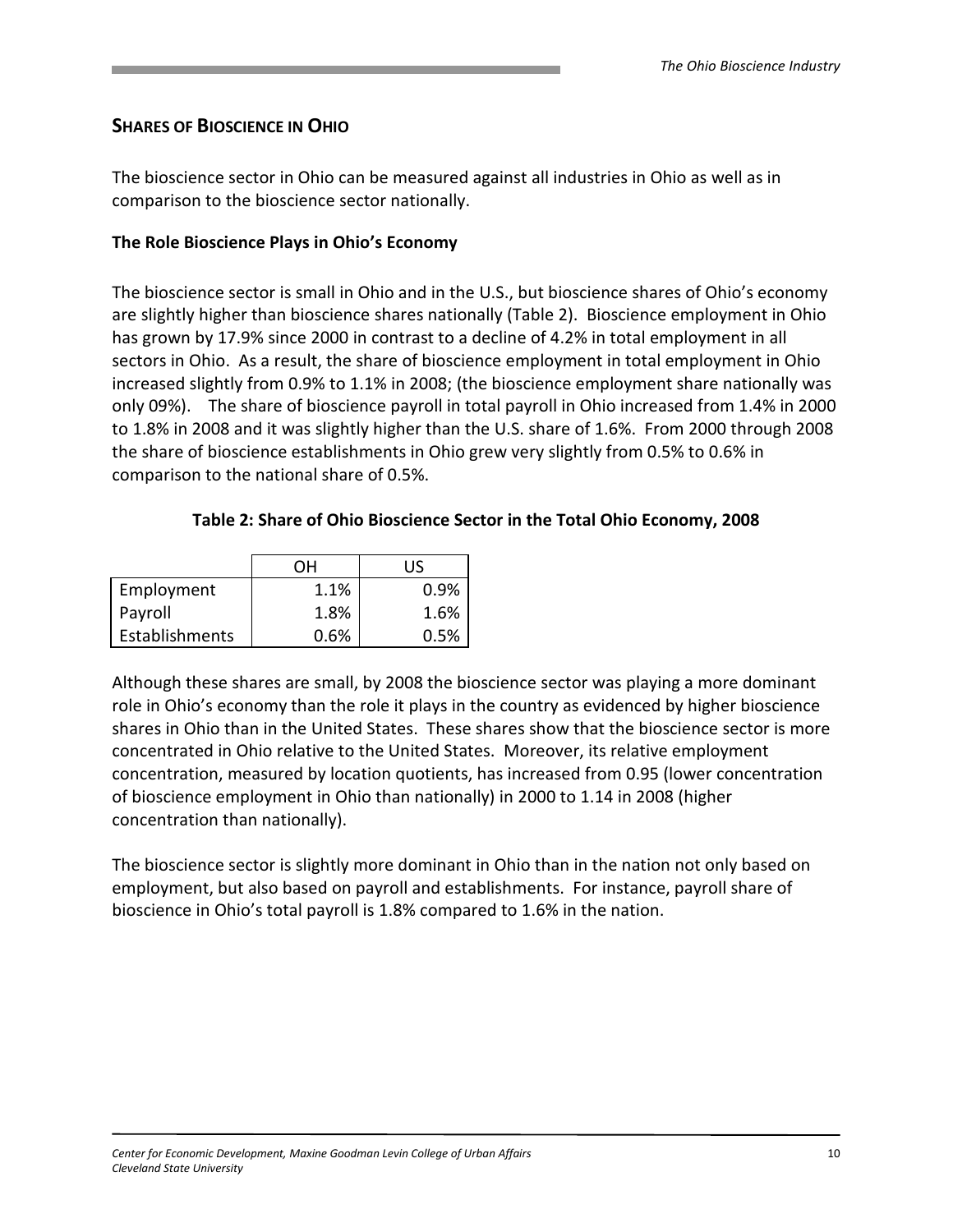# SHARES OF BIOSCIENCE IN OHIO

The bioscience sector in Ohio can be measured against all industries in Ohio as well as in comparison to the bioscience sector nationally.

#### The Role Bioscience Plays in Ohio's Economy

The bioscience sector is small in Ohio and in the U.S., but bioscience shares of Ohio's economy are slightly higher than bioscience shares nationally (Table 2). Bioscience employment in Ohio has grown by 17.9% since 2000 in contrast to a decline of 4.2% in total employment in all sectors in Ohio. As a result, the share of bioscience employment in total employment in Ohio increased slightly from 0.9% to 1.1% in 2008; (the bioscience employment share nationally was only 09%). The share of bioscience payroll in total payroll in Ohio increased from 1.4% in 2000 to 1.8% in 2008 and it was slightly higher than the U.S. share of 1.6%. From 2000 through 2008 the share of bioscience establishments in Ohio grew very slightly from 0.5% to 0.6% in comparison to the national share of 0.5%.

#### Table 2: Share of Ohio Bioscience Sector in the Total Ohio Economy, 2008

|                | OН   | IJς     |
|----------------|------|---------|
| Employment     | 1.1% | $0.9\%$ |
| Payroll        | 1.8% | 1.6%    |
| Establishments | 0.6% | 0.5%    |

Although these shares are small, by 2008 the bioscience sector was playing a more dominant role in Ohio's economy than the role it plays in the country as evidenced by higher bioscience shares in Ohio than in the United States. These shares show that the bioscience sector is more concentrated in Ohio relative to the United States. Moreover, its relative employment concentration, measured by location quotients, has increased from 0.95 (lower concentration of bioscience employment in Ohio than nationally) in 2000 to 1.14 in 2008 (higher concentration than nationally).

The bioscience sector is slightly more dominant in Ohio than in the nation not only based on employment, but also based on payroll and establishments. For instance, payroll share of bioscience in Ohio's total payroll is 1.8% compared to 1.6% in the nation.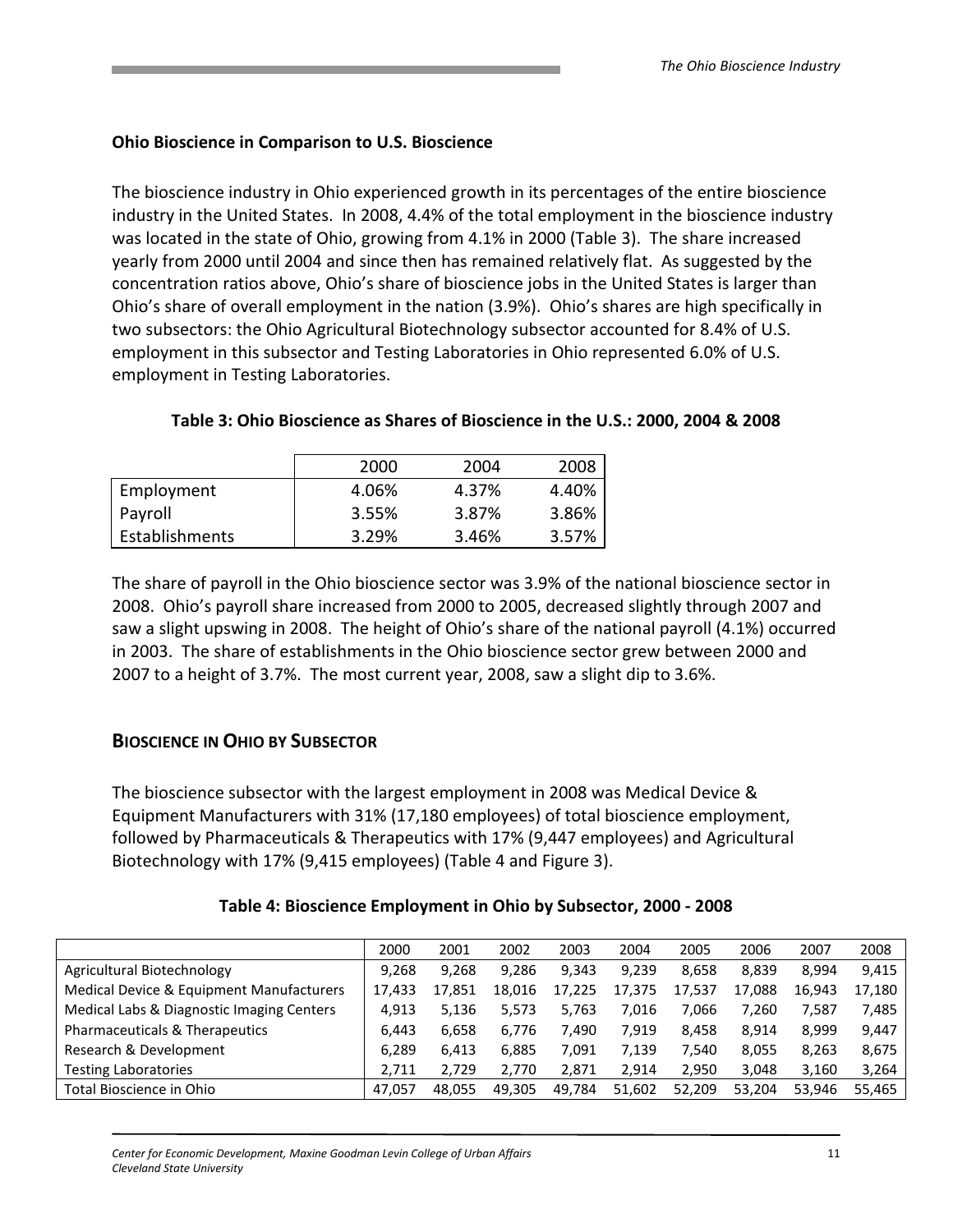#### Ohio Bioscience in Comparison to U.S. Bioscience

The bioscience industry in Ohio experienced growth in its percentages of the entire bioscience industry in the United States. In 2008, 4.4% of the total employment in the bioscience industry was located in the state of Ohio, growing from 4.1% in 2000 (Table 3). The share increased yearly from 2000 until 2004 and since then has remained relatively flat. As suggested by the concentration ratios above, Ohio's share of bioscience jobs in the United States is larger than Ohio's share of overall employment in the nation (3.9%). Ohio's shares are high specifically in two subsectors: the Ohio Agricultural Biotechnology subsector accounted for 8.4% of U.S. employment in this subsector and Testing Laboratories in Ohio represented 6.0% of U.S. employment in Testing Laboratories.

|                | 2000  | 2004  | 2008  |
|----------------|-------|-------|-------|
| Employment     | 4.06% | 4.37% | 4.40% |
| Payroll        | 3.55% | 3.87% | 3.86% |
| Establishments | 3.29% | 3.46% | 3.57% |

#### Table 3: Ohio Bioscience as Shares of Bioscience in the U.S.: 2000, 2004 & 2008

The share of payroll in the Ohio bioscience sector was 3.9% of the national bioscience sector in 2008. Ohio's payroll share increased from 2000 to 2005, decreased slightly through 2007 and saw a slight upswing in 2008. The height of Ohio's share of the national payroll (4.1%) occurred in 2003. The share of establishments in the Ohio bioscience sector grew between 2000 and 2007 to a height of 3.7%. The most current year, 2008, saw a slight dip to 3.6%.

# BIOSCIENCE IN OHIO BY SUBSECTOR

The bioscience subsector with the largest employment in 2008 was Medical Device & Equipment Manufacturers with 31% (17,180 employees) of total bioscience employment, followed by Pharmaceuticals & Therapeutics with 17% (9,447 employees) and Agricultural Biotechnology with 17% (9,415 employees) (Table 4 and Figure 3).

| Table 4: Bioscience Employment in Ohio by Subsector, 2000 - 2008 |  |  |
|------------------------------------------------------------------|--|--|
|------------------------------------------------------------------|--|--|

|                                           | 2000   | 2001   | 2002   | 2003   | 2004   | 2005   | 2006   | 2007   | 2008   |
|-------------------------------------------|--------|--------|--------|--------|--------|--------|--------|--------|--------|
| Agricultural Biotechnology                | 9.268  | 9.268  | 9.286  | 9.343  | 9,239  | 8.658  | 8.839  | 8.994  | 9.415  |
| Medical Device & Equipment Manufacturers  | 17,433 | 17.851 | 18.016 | 17,225 | 17,375 | 17,537 | 17.088 | 16.943 | 17.180 |
| Medical Labs & Diagnostic Imaging Centers | 4.913  | 5.136  | 5.573  | 5.763  | 7.016  | 7.066  | 7.260  | 7.587  | 7.485  |
| Pharmaceuticals & Therapeutics            | 6.443  | 6.658  | 6.776  | 7.490  | 7,919  | 8.458  | 8.914  | 8.999  | 9.447  |
| Research & Development                    | 6.289  | 6.413  | 6.885  | 7,091  | 7.139  | 7.540  | 8,055  | 8.263  | 8,675  |
| <b>Testing Laboratories</b>               | 2.711  | 2.729  | 2.770  | 2,871  | 2.914  | 2.950  | 3,048  | 3,160  | 3,264  |
| Total Bioscience in Ohio                  | 47.057 | 48.055 | 49.305 | 49.784 | 51.602 | 52.209 | 53.204 | 53.946 | 55.465 |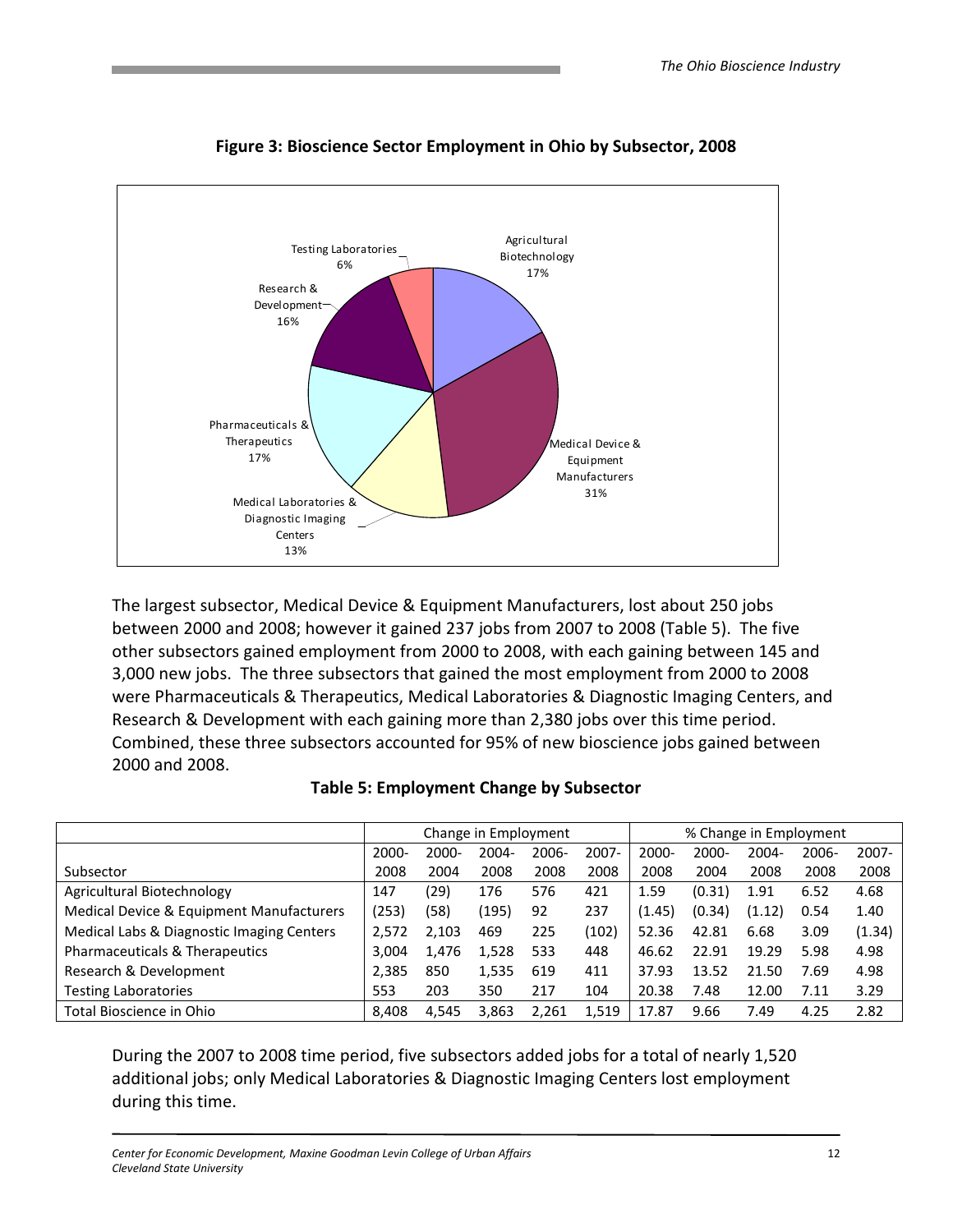

Figure 3: Bioscience Sector Employment in Ohio by Subsector, 2008

The largest subsector, Medical Device & Equipment Manufacturers, lost about 250 jobs between 2000 and 2008; however it gained 237 jobs from 2007 to 2008 (Table 5). The five other subsectors gained employment from 2000 to 2008, with each gaining between 145 and 3,000 new jobs. The three subsectors that gained the most employment from 2000 to 2008 were Pharmaceuticals & Therapeutics, Medical Laboratories & Diagnostic Imaging Centers, and Research & Development with each gaining more than 2,380 jobs over this time period. Combined, these three subsectors accounted for 95% of new bioscience jobs gained between 2000 and 2008.

|                                           |       |          | Change in Employment |       |          |          |          | % Change in Employment |          |          |
|-------------------------------------------|-------|----------|----------------------|-------|----------|----------|----------|------------------------|----------|----------|
|                                           | 2000- | $2000 -$ | 2004-                | 2006- | $2007 -$ | $2000 -$ | $2000 -$ | $2004 -$               | $2006 -$ | $2007 -$ |
| Subsector                                 | 2008  | 2004     | 2008                 | 2008  | 2008     | 2008     | 2004     | 2008                   | 2008     | 2008     |
| Agricultural Biotechnology                | 147   | (29)     | 176                  | 576   | 421      | 1.59     | (0.31)   | 1.91                   | 6.52     | 4.68     |
| Medical Device & Equipment Manufacturers  | (253) | (58)     | (195)                | 92    | 237      | (1.45)   | (0.34)   | (1.12)                 | 0.54     | 1.40     |
| Medical Labs & Diagnostic Imaging Centers | 2,572 | 2,103    | 469                  | 225   | (102)    | 52.36    | 42.81    | 6.68                   | 3.09     | (1.34)   |
| Pharmaceuticals & Therapeutics            | 3,004 | 1,476    | 1,528                | 533   | 448      | 46.62    | 22.91    | 19.29                  | 5.98     | 4.98     |
| Research & Development                    | 2,385 | 850      | 1,535                | 619   | 411      | 37.93    | 13.52    | 21.50                  | 7.69     | 4.98     |
| <b>Testing Laboratories</b>               | 553   | 203      | 350                  | 217   | 104      | 20.38    | 7.48     | 12.00                  | 7.11     | 3.29     |
| Total Bioscience in Ohio                  | 8.408 | 4,545    | 3,863                | 2.261 | 1,519    | 17.87    | 9.66     | 7.49                   | 4.25     | 2.82     |

| <b>Table 5: Employment Change by Subsector</b> |
|------------------------------------------------|
|------------------------------------------------|

During the 2007 to 2008 time period, five subsectors added jobs for a total of nearly 1,520 additional jobs; only Medical Laboratories & Diagnostic Imaging Centers lost employment during this time.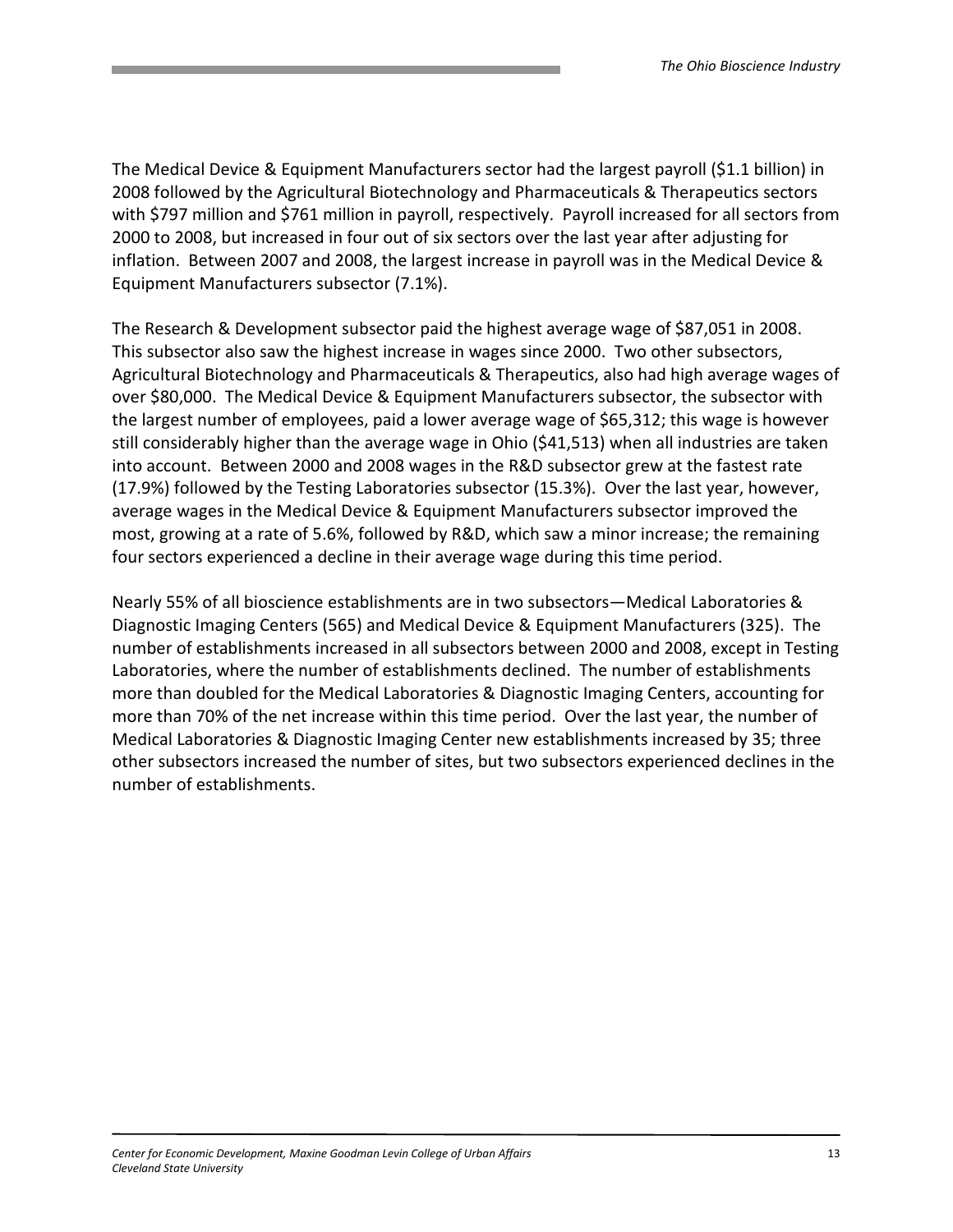The Medical Device & Equipment Manufacturers sector had the largest payroll (\$1.1 billion) in 2008 followed by the Agricultural Biotechnology and Pharmaceuticals & Therapeutics sectors with \$797 million and \$761 million in payroll, respectively. Payroll increased for all sectors from 2000 to 2008, but increased in four out of six sectors over the last year after adjusting for inflation. Between 2007 and 2008, the largest increase in payroll was in the Medical Device & Equipment Manufacturers subsector (7.1%).

The Research & Development subsector paid the highest average wage of \$87,051 in 2008. This subsector also saw the highest increase in wages since 2000. Two other subsectors, Agricultural Biotechnology and Pharmaceuticals & Therapeutics, also had high average wages of over \$80,000. The Medical Device & Equipment Manufacturers subsector, the subsector with the largest number of employees, paid a lower average wage of \$65,312; this wage is however still considerably higher than the average wage in Ohio (\$41,513) when all industries are taken into account. Between 2000 and 2008 wages in the R&D subsector grew at the fastest rate (17.9%) followed by the Testing Laboratories subsector (15.3%). Over the last year, however, average wages in the Medical Device & Equipment Manufacturers subsector improved the most, growing at a rate of 5.6%, followed by R&D, which saw a minor increase; the remaining four sectors experienced a decline in their average wage during this time period.

Nearly 55% of all bioscience establishments are in two subsectors—Medical Laboratories & Diagnostic Imaging Centers (565) and Medical Device & Equipment Manufacturers (325). The number of establishments increased in all subsectors between 2000 and 2008, except in Testing Laboratories, where the number of establishments declined. The number of establishments more than doubled for the Medical Laboratories & Diagnostic Imaging Centers, accounting for more than 70% of the net increase within this time period. Over the last year, the number of Medical Laboratories & Diagnostic Imaging Center new establishments increased by 35; three other subsectors increased the number of sites, but two subsectors experienced declines in the number of establishments.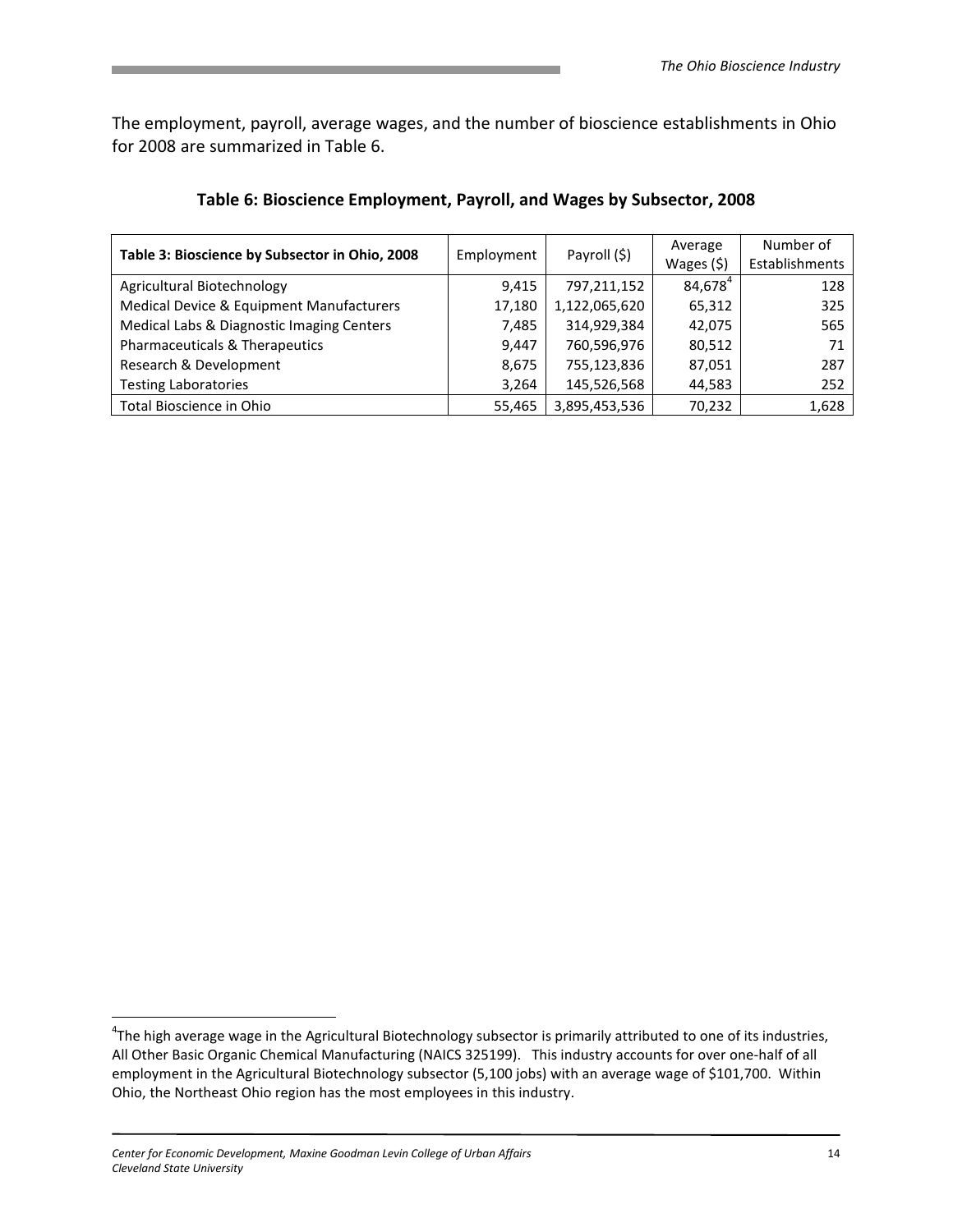The employment, payroll, average wages, and the number of bioscience establishments in Ohio for 2008 are summarized in Table 6.

| Table 3: Bioscience by Subsector in Ohio, 2008 | Employment | Payroll (\$)  | Average             | Number of      |
|------------------------------------------------|------------|---------------|---------------------|----------------|
|                                                |            |               | Wages $(5)$         | Establishments |
| Agricultural Biotechnology                     | 9.415      | 797,211,152   | 84,678 <sup>4</sup> | 128            |
| Medical Device & Equipment Manufacturers       | 17,180     | 1,122,065,620 | 65,312              | 325            |
| Medical Labs & Diagnostic Imaging Centers      | 7,485      | 314,929,384   | 42,075              | 565            |
| Pharmaceuticals & Therapeutics                 | 9,447      | 760,596,976   | 80,512              | 71             |
| Research & Development                         | 8,675      | 755,123,836   | 87,051              | 287            |
| <b>Testing Laboratories</b>                    | 3,264      | 145,526,568   | 44,583              | 252            |
| Total Bioscience in Ohio                       | 55,465     | 3,895,453,536 | 70,232              | 1,628          |

#### Table 6: Bioscience Employment, Payroll, and Wages by Subsector, 2008

<u>.</u>

<sup>&</sup>lt;sup>4</sup>The high average wage in the Agricultural Biotechnology subsector is primarily attributed to one of its industries, All Other Basic Organic Chemical Manufacturing (NAICS 325199). This industry accounts for over one-half of all employment in the Agricultural Biotechnology subsector (5,100 jobs) with an average wage of \$101,700. Within Ohio, the Northeast Ohio region has the most employees in this industry.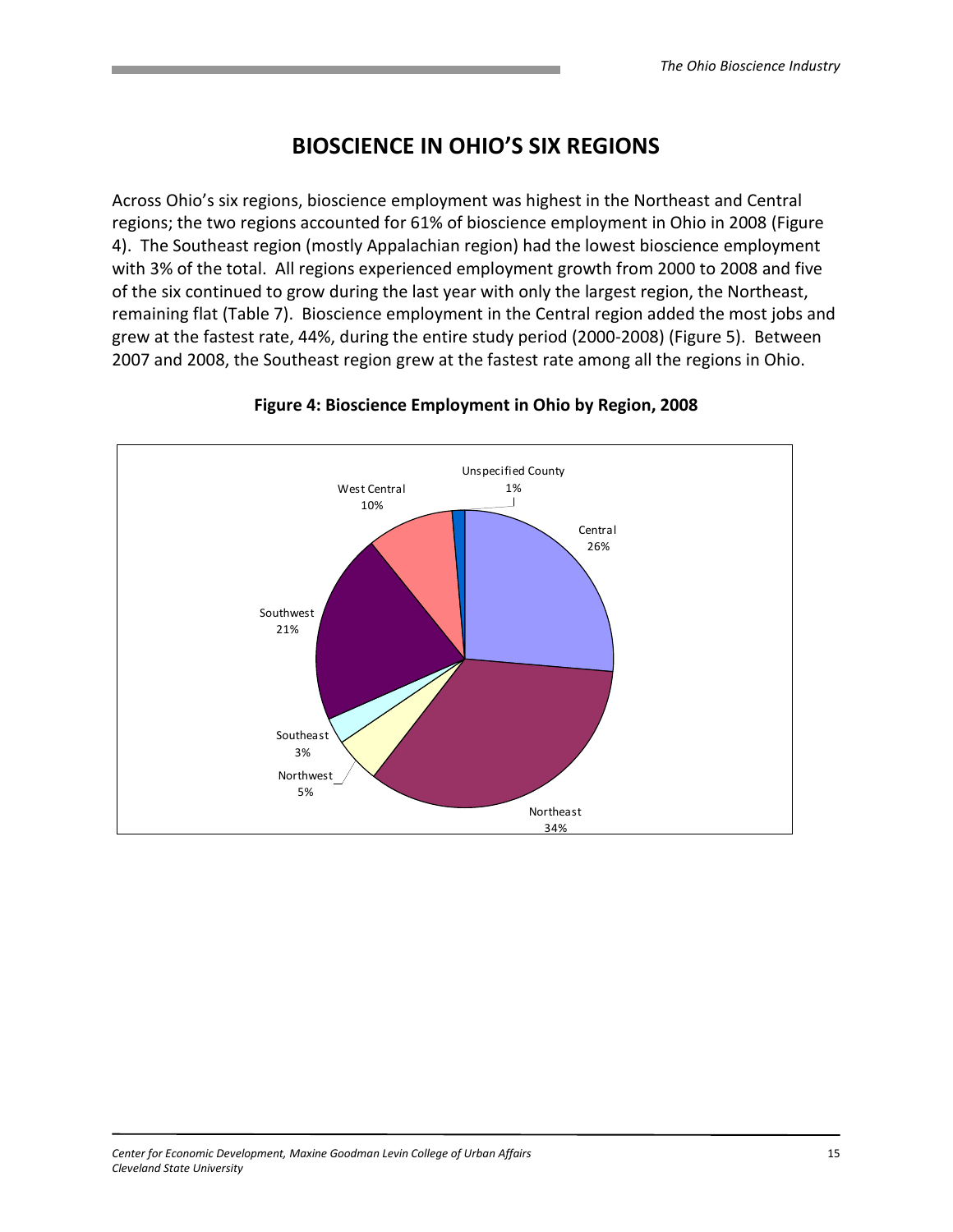# BIOSCIENCE IN OHIO'S SIX REGIONS

Across Ohio's six regions, bioscience employment was highest in the Northeast and Central regions; the two regions accounted for 61% of bioscience employment in Ohio in 2008 (Figure 4). The Southeast region (mostly Appalachian region) had the lowest bioscience employment with 3% of the total. All regions experienced employment growth from 2000 to 2008 and five of the six continued to grow during the last year with only the largest region, the Northeast, remaining flat (Table 7). Bioscience employment in the Central region added the most jobs and grew at the fastest rate, 44%, during the entire study period (2000-2008) (Figure 5). Between 2007 and 2008, the Southeast region grew at the fastest rate among all the regions in Ohio.



#### Figure 4: Bioscience Employment in Ohio by Region, 2008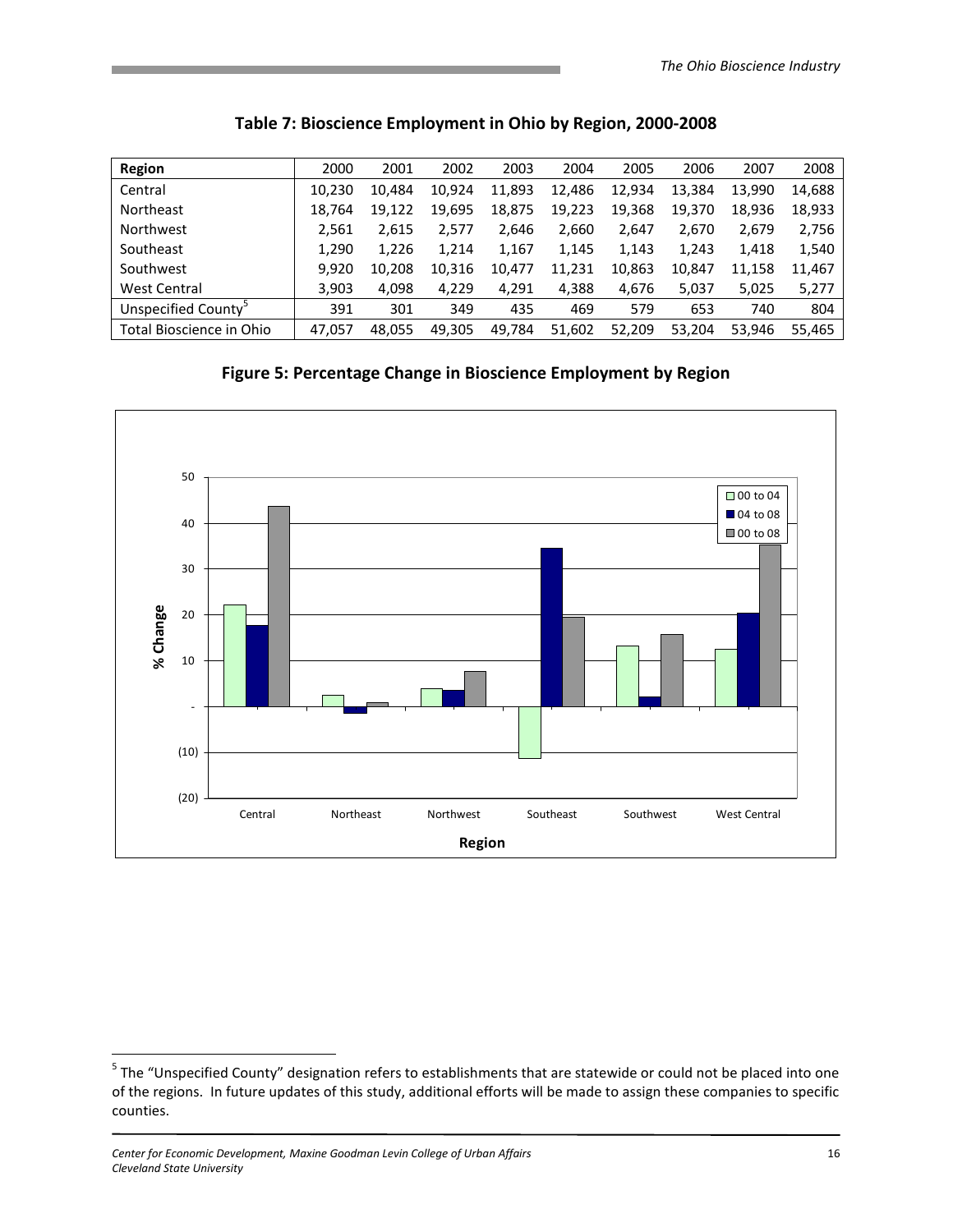| <b>Region</b>                   | 2000   | 2001   | 2002   | 2003   | 2004   | 2005   | 2006   | 2007   | 2008   |
|---------------------------------|--------|--------|--------|--------|--------|--------|--------|--------|--------|
| Central                         | 10,230 | 10.484 | 10,924 | 11,893 | 12,486 | 12,934 | 13,384 | 13,990 | 14,688 |
| <b>Northeast</b>                | 18,764 | 19,122 | 19,695 | 18,875 | 19,223 | 19,368 | 19,370 | 18,936 | 18,933 |
| Northwest                       | 2,561  | 2,615  | 2,577  | 2,646  | 2,660  | 2,647  | 2,670  | 2,679  | 2,756  |
| Southeast                       | 1,290  | 1,226  | 1,214  | 1,167  | 1,145  | 1,143  | 1,243  | 1,418  | 1,540  |
| Southwest                       | 9,920  | 10.208 | 10,316 | 10,477 | 11,231 | 10,863 | 10,847 | 11,158 | 11,467 |
| <b>West Central</b>             | 3,903  | 4,098  | 4,229  | 4,291  | 4,388  | 4,676  | 5,037  | 5,025  | 5,277  |
| Unspecified County <sup>®</sup> | 391    | 301    | 349    | 435    | 469    | 579    | 653    | 740    | 804    |
| Total Bioscience in Ohio        | 47,057 | 48.055 | 49.305 | 49,784 | 51,602 | 52,209 | 53.204 | 53.946 | 55,465 |

# Table 7: Bioscience Employment in Ohio by Region, 2000-2008

Figure 5: Percentage Change in Bioscience Employment by Region



 5 The "Unspecified County" designation refers to establishments that are statewide or could not be placed into one of the regions. In future updates of this study, additional efforts will be made to assign these companies to specific counties.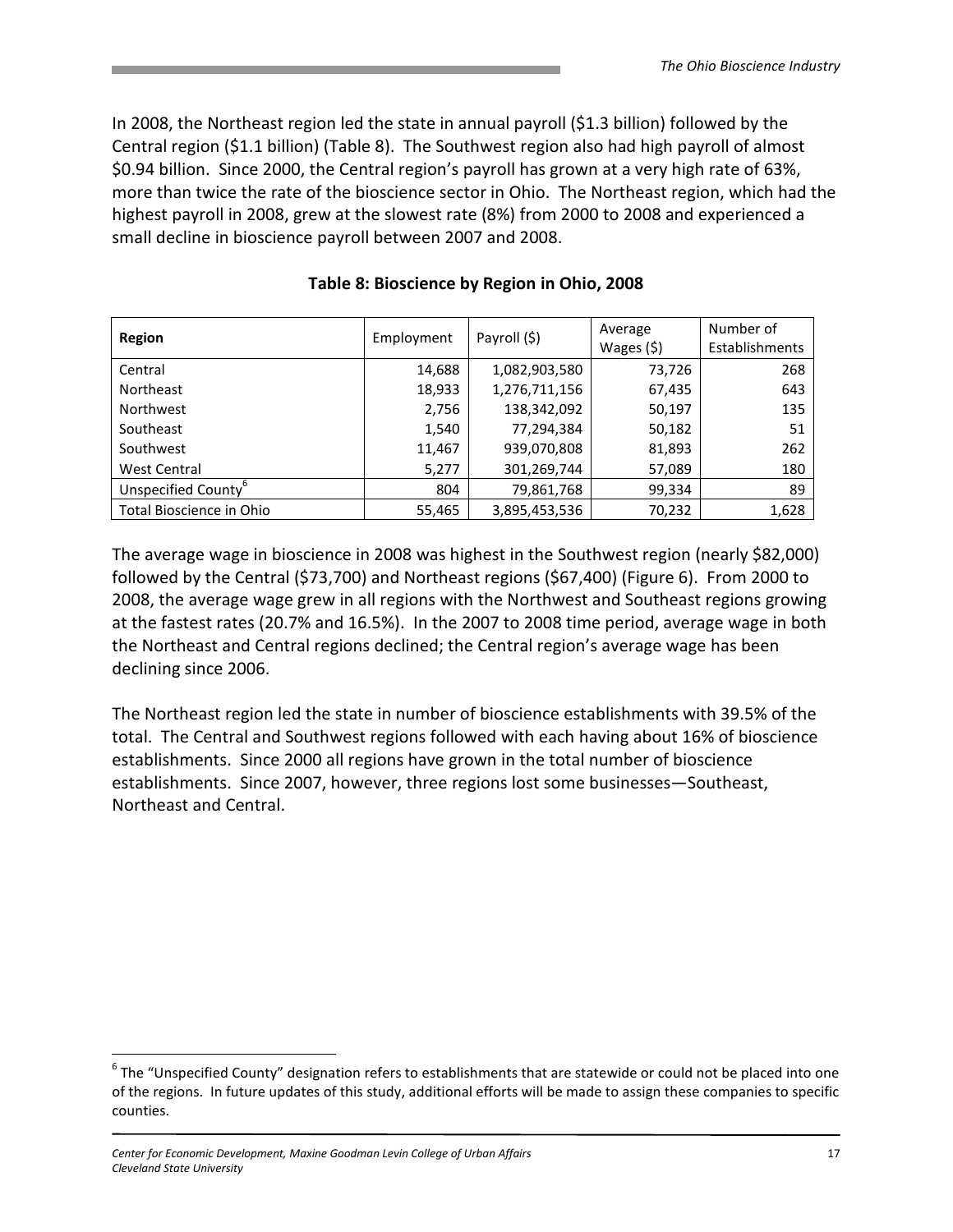In 2008, the Northeast region led the state in annual payroll (\$1.3 billion) followed by the Central region (\$1.1 billion) (Table 8). The Southwest region also had high payroll of almost \$0.94 billion. Since 2000, the Central region's payroll has grown at a very high rate of 63%, more than twice the rate of the bioscience sector in Ohio. The Northeast region, which had the highest payroll in 2008, grew at the slowest rate (8%) from 2000 to 2008 and experienced a small decline in bioscience payroll between 2007 and 2008.

| <b>Region</b>                   | Employment | Payroll (\$)  | Average<br>Wages $(5)$ | Number of<br>Establishments |
|---------------------------------|------------|---------------|------------------------|-----------------------------|
| Central                         | 14,688     | 1,082,903,580 | 73,726                 | 268                         |
| Northeast                       | 18,933     | 1,276,711,156 | 67,435                 | 643                         |
| <b>Northwest</b>                | 2,756      | 138,342,092   | 50,197                 | 135                         |
| Southeast                       | 1,540      | 77,294,384    | 50,182                 | 51                          |
| Southwest                       | 11,467     | 939,070,808   | 81,893                 | 262                         |
| <b>West Central</b>             | 5,277      | 301,269,744   | 57,089                 | 180                         |
| Unspecified County <sup>b</sup> | 804        | 79,861,768    | 99,334                 | 89                          |
| Total Bioscience in Ohio        | 55,465     | 3,895,453,536 | 70,232                 | 1,628                       |

#### Table 8: Bioscience by Region in Ohio, 2008

The average wage in bioscience in 2008 was highest in the Southwest region (nearly \$82,000) followed by the Central (\$73,700) and Northeast regions (\$67,400) (Figure 6). From 2000 to 2008, the average wage grew in all regions with the Northwest and Southeast regions growing at the fastest rates (20.7% and 16.5%). In the 2007 to 2008 time period, average wage in both the Northeast and Central regions declined; the Central region's average wage has been declining since 2006.

The Northeast region led the state in number of bioscience establishments with 39.5% of the total. The Central and Southwest regions followed with each having about 16% of bioscience establishments. Since 2000 all regions have grown in the total number of bioscience establishments. Since 2007, however, three regions lost some businesses—Southeast, Northeast and Central.

<u>.</u>

 $^6$  The "Unspecified County" designation refers to establishments that are statewide or could not be placed into one of the regions. In future updates of this study, additional efforts will be made to assign these companies to specific counties.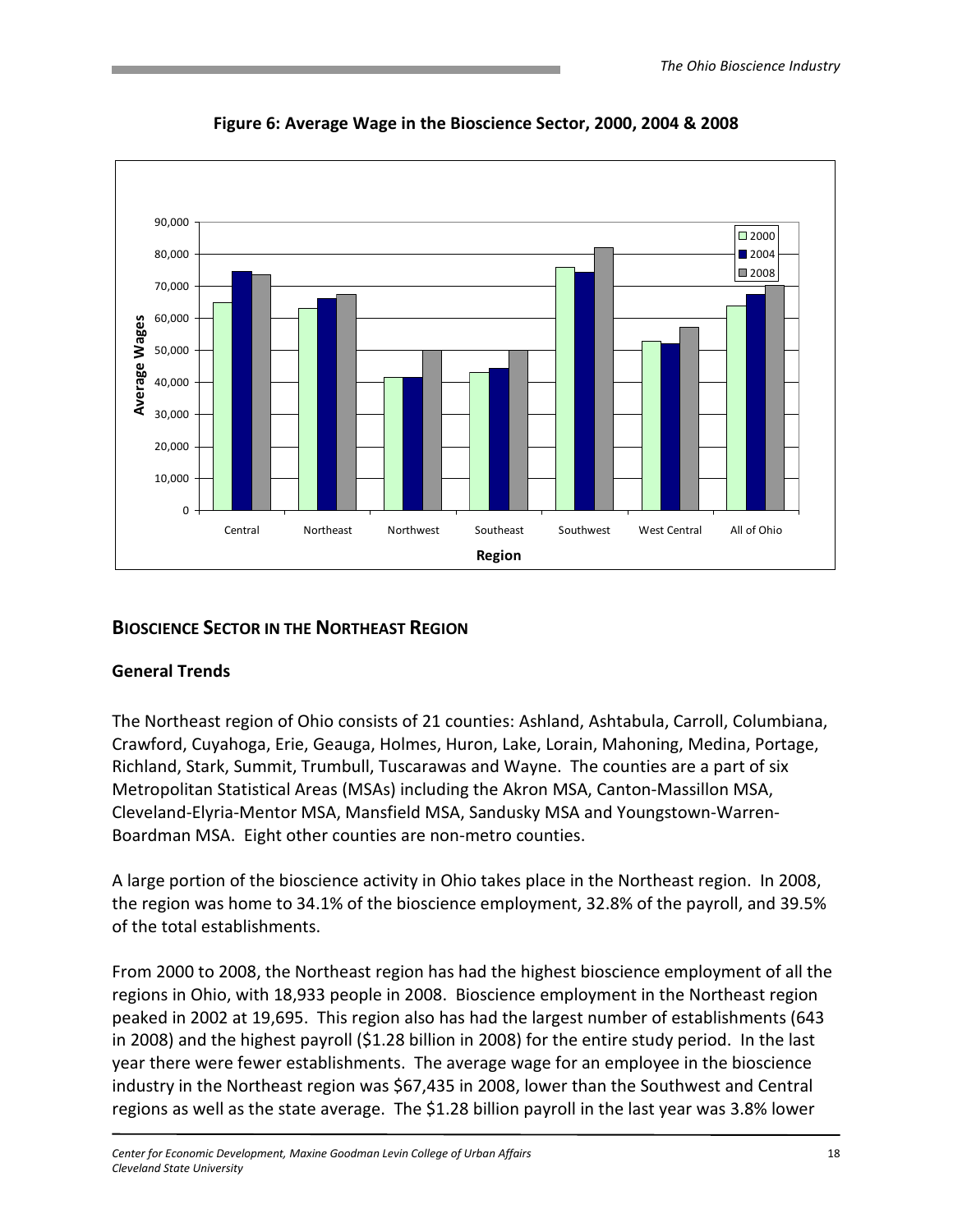

Figure 6: Average Wage in the Bioscience Sector, 2000, 2004 & 2008

# BIOSCIENCE SECTOR IN THE NORTHEAST REGION

# General Trends

The Northeast region of Ohio consists of 21 counties: Ashland, Ashtabula, Carroll, Columbiana, Crawford, Cuyahoga, Erie, Geauga, Holmes, Huron, Lake, Lorain, Mahoning, Medina, Portage, Richland, Stark, Summit, Trumbull, Tuscarawas and Wayne. The counties are a part of six Metropolitan Statistical Areas (MSAs) including the Akron MSA, Canton-Massillon MSA, Cleveland-Elyria-Mentor MSA, Mansfield MSA, Sandusky MSA and Youngstown-Warren-Boardman MSA. Eight other counties are non-metro counties.

A large portion of the bioscience activity in Ohio takes place in the Northeast region. In 2008, the region was home to 34.1% of the bioscience employment, 32.8% of the payroll, and 39.5% of the total establishments.

From 2000 to 2008, the Northeast region has had the highest bioscience employment of all the regions in Ohio, with 18,933 people in 2008. Bioscience employment in the Northeast region peaked in 2002 at 19,695. This region also has had the largest number of establishments (643 in 2008) and the highest payroll (\$1.28 billion in 2008) for the entire study period. In the last year there were fewer establishments. The average wage for an employee in the bioscience industry in the Northeast region was \$67,435 in 2008, lower than the Southwest and Central regions as well as the state average. The \$1.28 billion payroll in the last year was 3.8% lower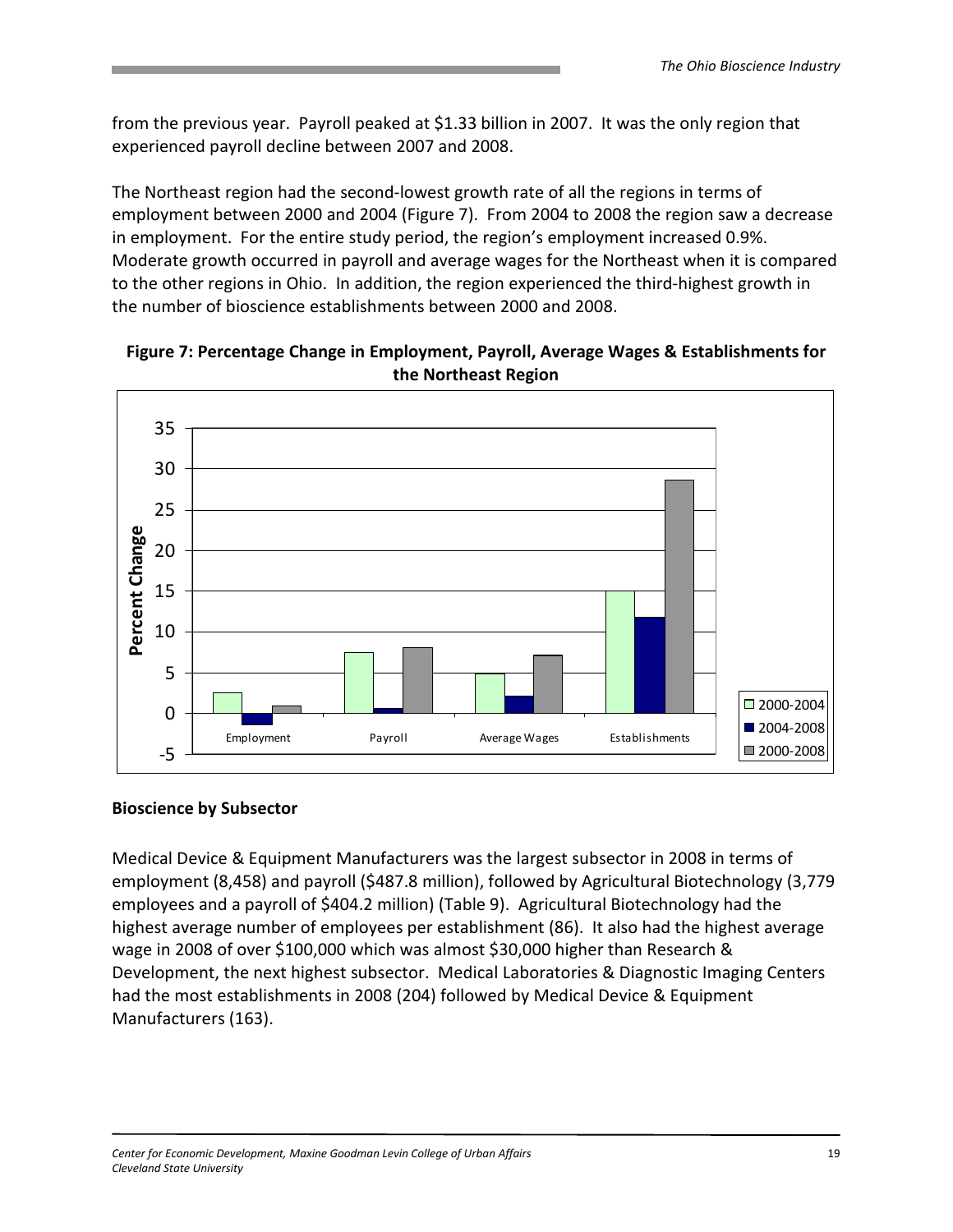from the previous year. Payroll peaked at \$1.33 billion in 2007. It was the only region that experienced payroll decline between 2007 and 2008.

The Northeast region had the second-lowest growth rate of all the regions in terms of employment between 2000 and 2004 (Figure 7). From 2004 to 2008 the region saw a decrease in employment. For the entire study period, the region's employment increased 0.9%. Moderate growth occurred in payroll and average wages for the Northeast when it is compared to the other regions in Ohio. In addition, the region experienced the third-highest growth in the number of bioscience establishments between 2000 and 2008.



#### Figure 7: Percentage Change in Employment, Payroll, Average Wages & Establishments for the Northeast Region

#### Bioscience by Subsector

Medical Device & Equipment Manufacturers was the largest subsector in 2008 in terms of employment (8,458) and payroll (\$487.8 million), followed by Agricultural Biotechnology (3,779 employees and a payroll of \$404.2 million) (Table 9). Agricultural Biotechnology had the highest average number of employees per establishment (86). It also had the highest average wage in 2008 of over \$100,000 which was almost \$30,000 higher than Research & Development, the next highest subsector. Medical Laboratories & Diagnostic Imaging Centers had the most establishments in 2008 (204) followed by Medical Device & Equipment Manufacturers (163).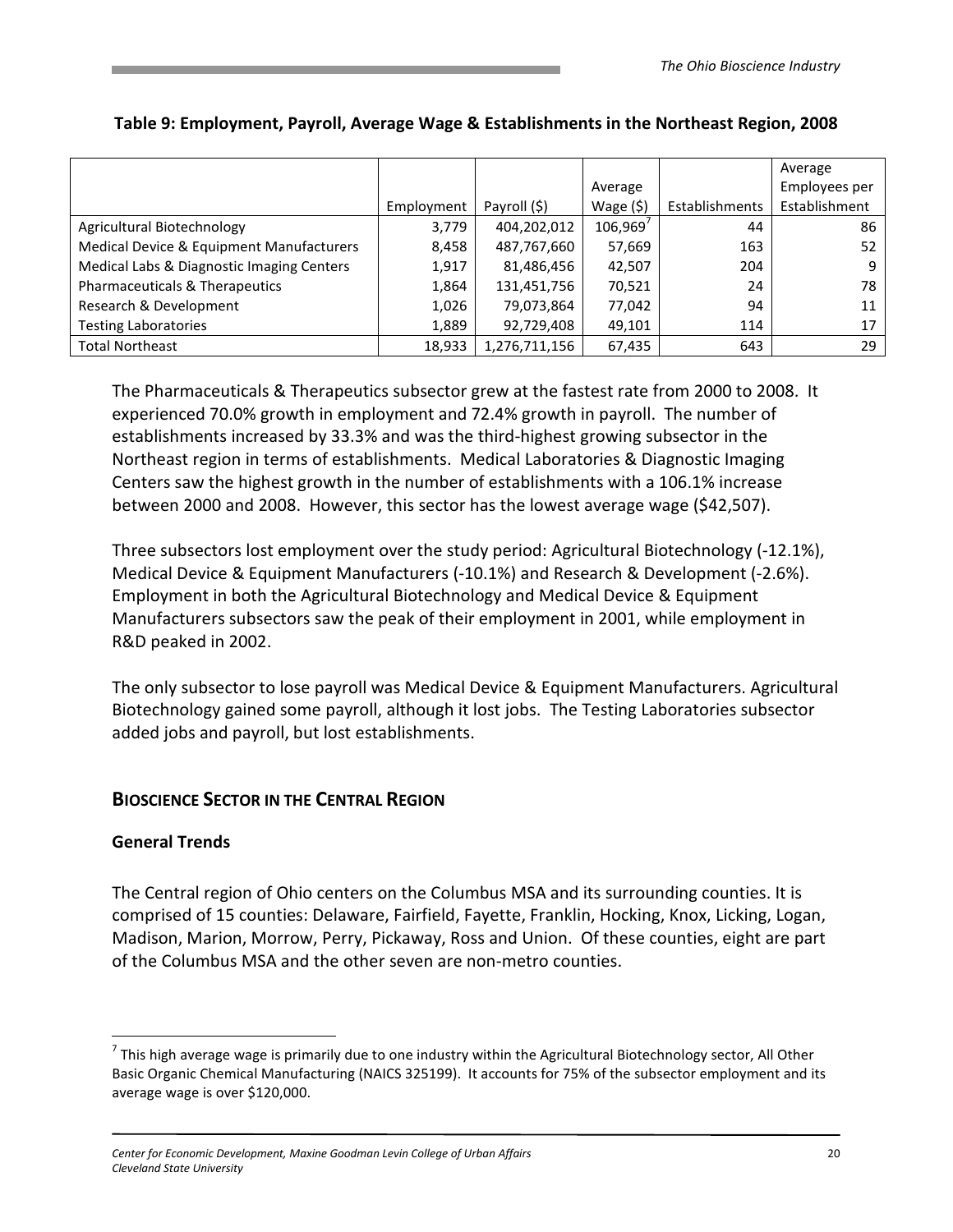|                                           |            |               |            |                | Average       |
|-------------------------------------------|------------|---------------|------------|----------------|---------------|
|                                           |            |               | Average    |                | Employees per |
|                                           | Employment | Payroll (\$)  | Wage $(5)$ | Establishments | Establishment |
| Agricultural Biotechnology                | 3,779      | 404,202,012   | 106,969'   | 44             | 86            |
| Medical Device & Equipment Manufacturers  | 8,458      | 487,767,660   | 57,669     | 163            | 52            |
| Medical Labs & Diagnostic Imaging Centers | 1,917      | 81,486,456    | 42,507     | 204            | 9             |
| Pharmaceuticals & Therapeutics            | 1,864      | 131,451,756   | 70,521     | 24             | 78            |
| Research & Development                    | 1,026      | 79,073,864    | 77,042     | 94             | 11            |
| <b>Testing Laboratories</b>               | 1,889      | 92,729,408    | 49,101     | 114            | 17            |
| <b>Total Northeast</b>                    | 18,933     | 1,276,711,156 | 67,435     | 643            | 29            |

#### Table 9: Employment, Payroll, Average Wage & Establishments in the Northeast Region, 2008

The Pharmaceuticals & Therapeutics subsector grew at the fastest rate from 2000 to 2008. It experienced 70.0% growth in employment and 72.4% growth in payroll. The number of establishments increased by 33.3% and was the third-highest growing subsector in the Northeast region in terms of establishments. Medical Laboratories & Diagnostic Imaging Centers saw the highest growth in the number of establishments with a 106.1% increase between 2000 and 2008. However, this sector has the lowest average wage (\$42,507).

Three subsectors lost employment over the study period: Agricultural Biotechnology (-12.1%), Medical Device & Equipment Manufacturers (-10.1%) and Research & Development (-2.6%). Employment in both the Agricultural Biotechnology and Medical Device & Equipment Manufacturers subsectors saw the peak of their employment in 2001, while employment in R&D peaked in 2002.

The only subsector to lose payroll was Medical Device & Equipment Manufacturers. Agricultural Biotechnology gained some payroll, although it lost jobs. The Testing Laboratories subsector added jobs and payroll, but lost establishments.

# BIOSCIENCE SECTOR IN THE CENTRAL REGION

#### General Trends

<u>.</u>

The Central region of Ohio centers on the Columbus MSA and its surrounding counties. It is comprised of 15 counties: Delaware, Fairfield, Fayette, Franklin, Hocking, Knox, Licking, Logan, Madison, Marion, Morrow, Perry, Pickaway, Ross and Union. Of these counties, eight are part of the Columbus MSA and the other seven are non-metro counties.

<sup>&</sup>lt;sup>7</sup> This high average wage is primarily due to one industry within the Agricultural Biotechnology sector, All Other Basic Organic Chemical Manufacturing (NAICS 325199). It accounts for 75% of the subsector employment and its average wage is over \$120,000.

Center for Economic Development, Maxine Goodman Levin College of Urban Affairs 20 Cleveland State University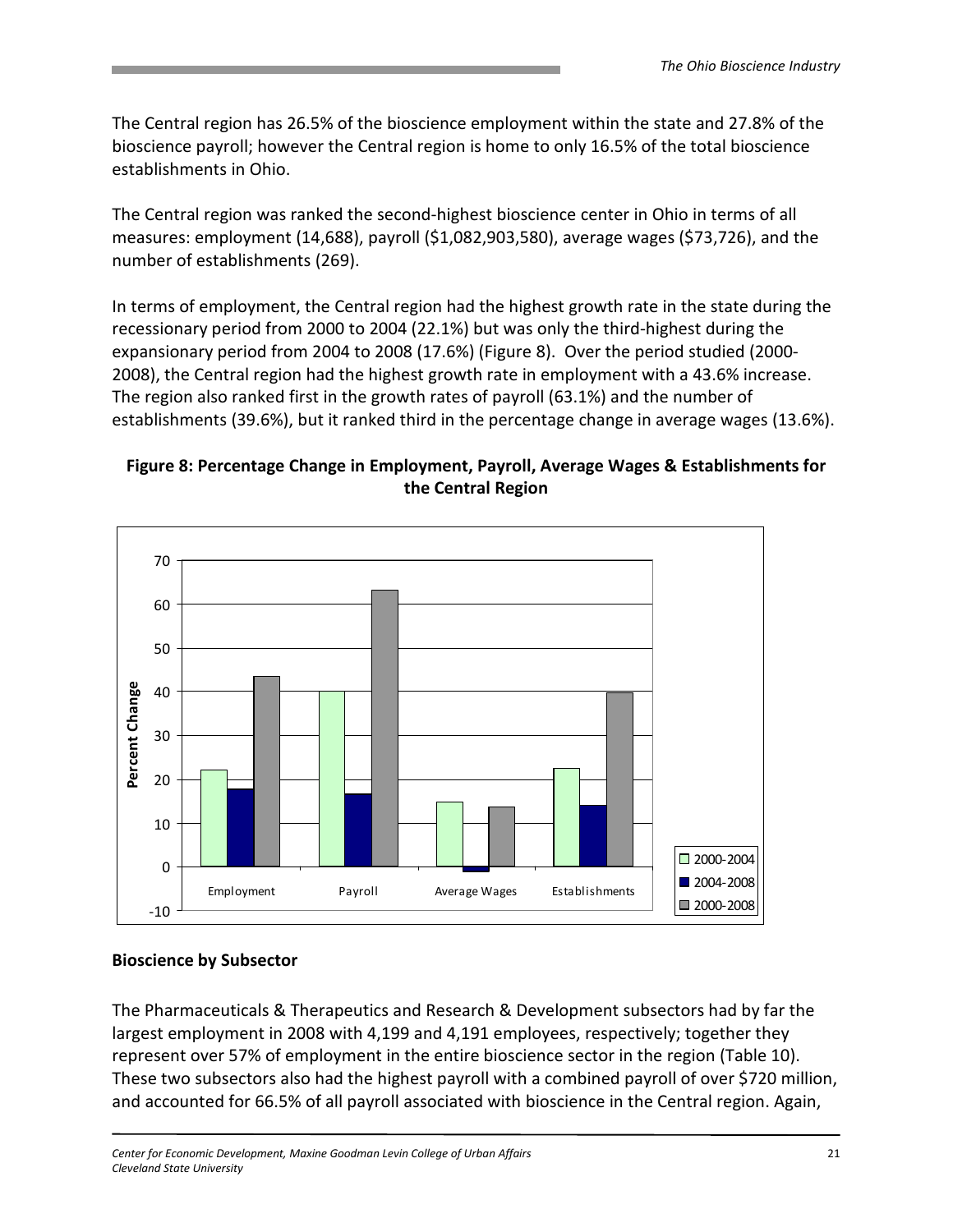The Central region has 26.5% of the bioscience employment within the state and 27.8% of the bioscience payroll; however the Central region is home to only 16.5% of the total bioscience establishments in Ohio.

The Central region was ranked the second-highest bioscience center in Ohio in terms of all measures: employment (14,688), payroll (\$1,082,903,580), average wages (\$73,726), and the number of establishments (269).

In terms of employment, the Central region had the highest growth rate in the state during the recessionary period from 2000 to 2004 (22.1%) but was only the third-highest during the expansionary period from 2004 to 2008 (17.6%) (Figure 8). Over the period studied (2000- 2008), the Central region had the highest growth rate in employment with a 43.6% increase. The region also ranked first in the growth rates of payroll (63.1%) and the number of establishments (39.6%), but it ranked third in the percentage change in average wages (13.6%).

### Figure 8: Percentage Change in Employment, Payroll, Average Wages & Establishments for the Central Region



#### Bioscience by Subsector

The Pharmaceuticals & Therapeutics and Research & Development subsectors had by far the largest employment in 2008 with 4,199 and 4,191 employees, respectively; together they represent over 57% of employment in the entire bioscience sector in the region (Table 10). These two subsectors also had the highest payroll with a combined payroll of over \$720 million, and accounted for 66.5% of all payroll associated with bioscience in the Central region. Again,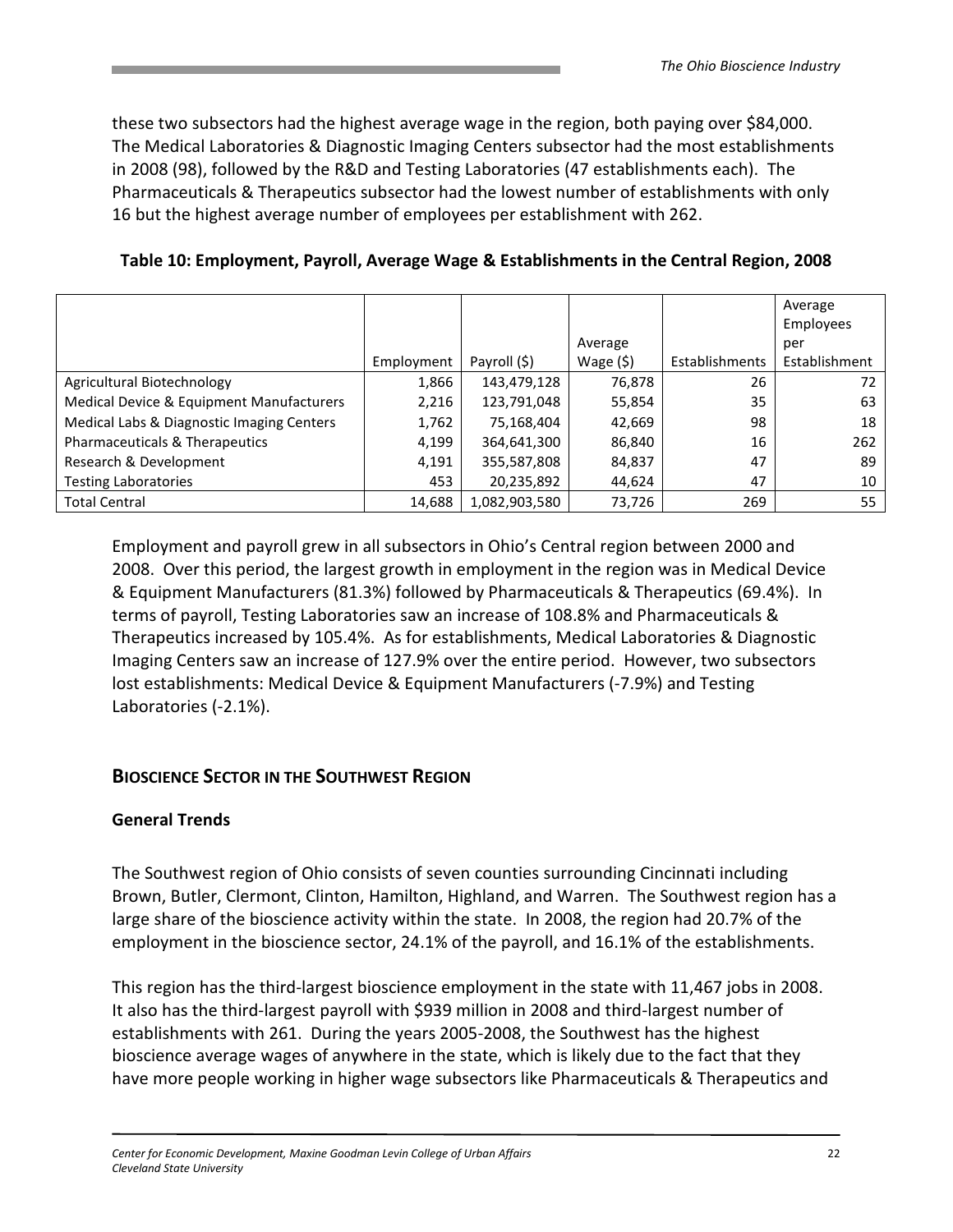these two subsectors had the highest average wage in the region, both paying over \$84,000. The Medical Laboratories & Diagnostic Imaging Centers subsector had the most establishments in 2008 (98), followed by the R&D and Testing Laboratories (47 establishments each). The Pharmaceuticals & Therapeutics subsector had the lowest number of establishments with only 16 but the highest average number of employees per establishment with 262.

Table 10: Employment, Payroll, Average Wage & Establishments in the Central Region, 2008

|                                           |            |               |            |                | Average       |
|-------------------------------------------|------------|---------------|------------|----------------|---------------|
|                                           |            |               |            |                | Employees     |
|                                           |            |               | Average    |                | per           |
|                                           | Employment | Payroll (\$)  | Wage $(5)$ | Establishments | Establishment |
| Agricultural Biotechnology                | 1,866      | 143,479,128   | 76,878     | 26             | 72            |
| Medical Device & Equipment Manufacturers  | 2,216      | 123,791,048   | 55,854     | 35             | 63            |
| Medical Labs & Diagnostic Imaging Centers | 1,762      | 75,168,404    | 42,669     | 98             | 18            |
| Pharmaceuticals & Therapeutics            | 4,199      | 364,641,300   | 86,840     | 16             | 262           |
| Research & Development                    | 4,191      | 355,587,808   | 84,837     | 47             | 89            |
| <b>Testing Laboratories</b>               | 453        | 20,235,892    | 44,624     | 47             | 10            |
| <b>Total Central</b>                      | 14,688     | 1,082,903,580 | 73,726     | 269            | 55            |

Employment and payroll grew in all subsectors in Ohio's Central region between 2000 and 2008. Over this period, the largest growth in employment in the region was in Medical Device & Equipment Manufacturers (81.3%) followed by Pharmaceuticals & Therapeutics (69.4%). In terms of payroll, Testing Laboratories saw an increase of 108.8% and Pharmaceuticals & Therapeutics increased by 105.4%. As for establishments, Medical Laboratories & Diagnostic Imaging Centers saw an increase of 127.9% over the entire period. However, two subsectors lost establishments: Medical Device & Equipment Manufacturers (-7.9%) and Testing Laboratories (-2.1%).

# BIOSCIENCE SECTOR IN THE SOUTHWEST REGION

#### General Trends

The Southwest region of Ohio consists of seven counties surrounding Cincinnati including Brown, Butler, Clermont, Clinton, Hamilton, Highland, and Warren. The Southwest region has a large share of the bioscience activity within the state. In 2008, the region had 20.7% of the employment in the bioscience sector, 24.1% of the payroll, and 16.1% of the establishments.

This region has the third-largest bioscience employment in the state with 11,467 jobs in 2008. It also has the third-largest payroll with \$939 million in 2008 and third-largest number of establishments with 261. During the years 2005-2008, the Southwest has the highest bioscience average wages of anywhere in the state, which is likely due to the fact that they have more people working in higher wage subsectors like Pharmaceuticals & Therapeutics and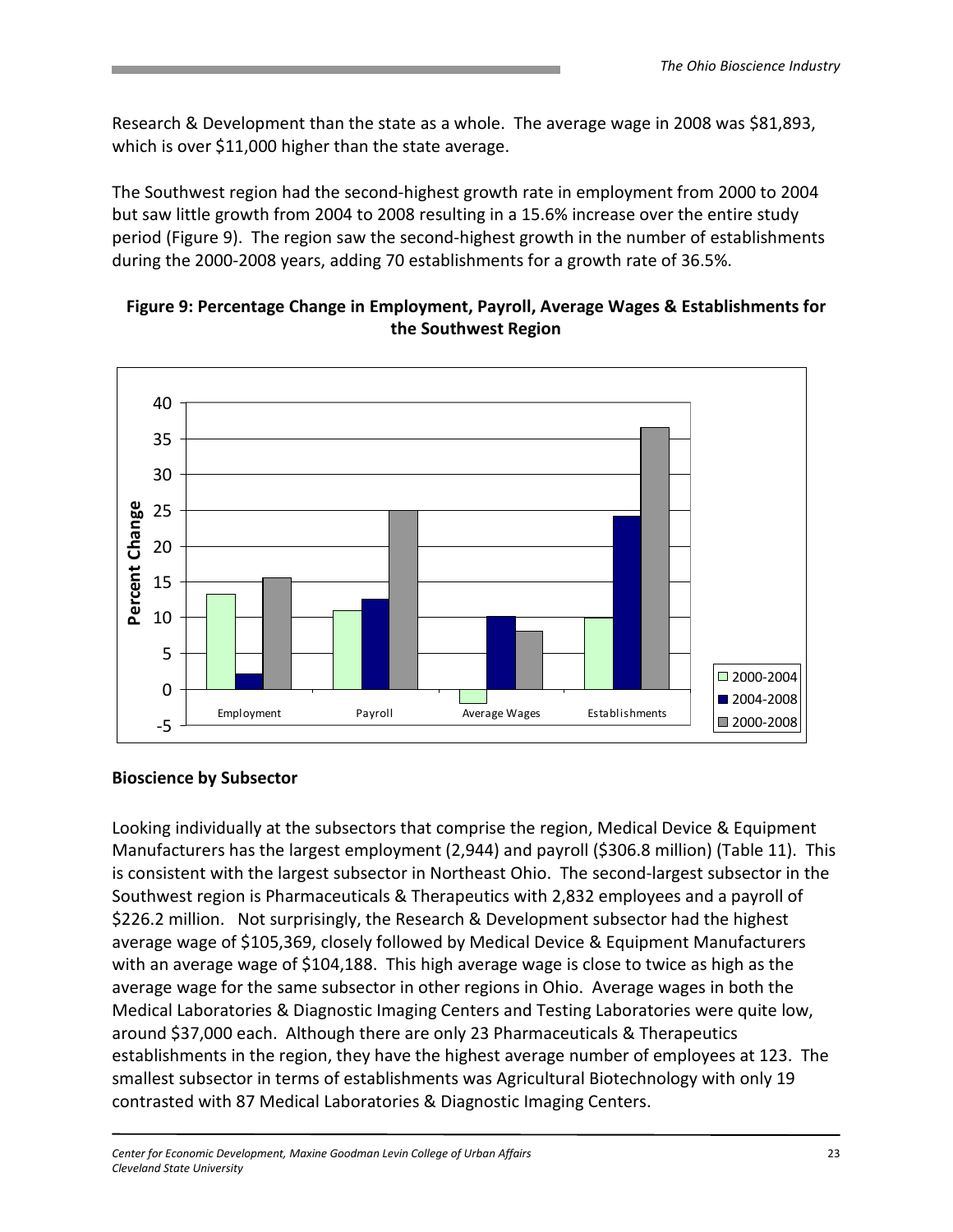Research & Development than the state as a whole. The average wage in 2008 was \$81,893, which is over \$11,000 higher than the state average.

The Southwest region had the second-highest growth rate in employment from 2000 to 2004 but saw little growth from 2004 to 2008 resulting in a 15.6% increase over the entire study period (Figure 9). The region saw the second-highest growth in the number of establishments during the 2000-2008 years, adding 70 establishments for a growth rate of 36.5%.



### Figure 9: Percentage Change in Employment, Payroll, Average Wages & Establishments for the Southwest Region

#### Bioscience by Subsector

Looking individually at the subsectors that comprise the region, Medical Device & Equipment Manufacturers has the largest employment (2,944) and payroll (\$306.8 million) (Table 11). This is consistent with the largest subsector in Northeast Ohio. The second-largest subsector in the Southwest region is Pharmaceuticals & Therapeutics with 2,832 employees and a payroll of \$226.2 million. Not surprisingly, the Research & Development subsector had the highest average wage of \$105,369, closely followed by Medical Device & Equipment Manufacturers with an average wage of \$104,188. This high average wage is close to twice as high as the average wage for the same subsector in other regions in Ohio. Average wages in both the Medical Laboratories & Diagnostic Imaging Centers and Testing Laboratories were quite low, around \$37,000 each. Although there are only 23 Pharmaceuticals & Therapeutics establishments in the region, they have the highest average number of employees at 123. The smallest subsector in terms of establishments was Agricultural Biotechnology with only 19 contrasted with 87 Medical Laboratories & Diagnostic Imaging Centers.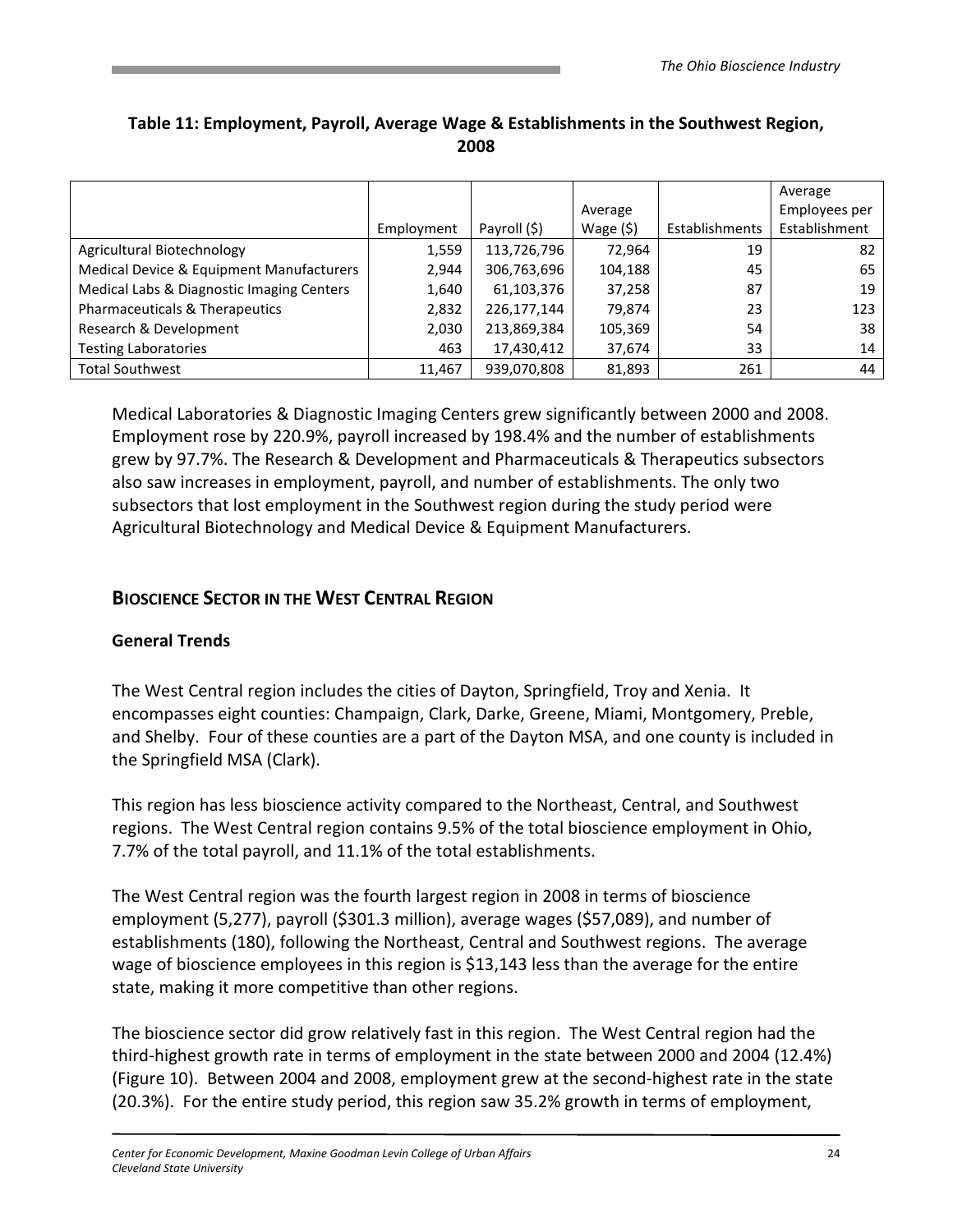|                                           |            |              |            |                | Average       |
|-------------------------------------------|------------|--------------|------------|----------------|---------------|
|                                           |            |              | Average    |                | Employees per |
|                                           | Employment | Payroll (\$) | Wage $(5)$ | Establishments | Establishment |
| Agricultural Biotechnology                | 1,559      | 113,726,796  | 72,964     | 19             | 82            |
| Medical Device & Equipment Manufacturers  | 2,944      | 306,763,696  | 104,188    | 45             | 65            |
| Medical Labs & Diagnostic Imaging Centers | 1,640      | 61,103,376   | 37,258     | 87             | 19            |
| Pharmaceuticals & Therapeutics            | 2,832      | 226,177,144  | 79,874     | 23             | 123           |
| Research & Development                    | 2,030      | 213,869,384  | 105,369    | 54             | 38            |
| <b>Testing Laboratories</b>               | 463        | 17,430,412   | 37,674     | 33             | 14            |
| <b>Total Southwest</b>                    | 11,467     | 939,070,808  | 81,893     | 261            | 44            |

# Table 11: Employment, Payroll, Average Wage & Establishments in the Southwest Region, 2008

Medical Laboratories & Diagnostic Imaging Centers grew significantly between 2000 and 2008. Employment rose by 220.9%, payroll increased by 198.4% and the number of establishments grew by 97.7%. The Research & Development and Pharmaceuticals & Therapeutics subsectors also saw increases in employment, payroll, and number of establishments. The only two subsectors that lost employment in the Southwest region during the study period were Agricultural Biotechnology and Medical Device & Equipment Manufacturers.

# BIOSCIENCE SECTOR IN THE WEST CENTRAL REGION

# General Trends

The West Central region includes the cities of Dayton, Springfield, Troy and Xenia. It encompasses eight counties: Champaign, Clark, Darke, Greene, Miami, Montgomery, Preble, and Shelby. Four of these counties are a part of the Dayton MSA, and one county is included in the Springfield MSA (Clark).

This region has less bioscience activity compared to the Northeast, Central, and Southwest regions. The West Central region contains 9.5% of the total bioscience employment in Ohio, 7.7% of the total payroll, and 11.1% of the total establishments.

The West Central region was the fourth largest region in 2008 in terms of bioscience employment (5,277), payroll (\$301.3 million), average wages (\$57,089), and number of establishments (180), following the Northeast, Central and Southwest regions. The average wage of bioscience employees in this region is \$13,143 less than the average for the entire state, making it more competitive than other regions.

The bioscience sector did grow relatively fast in this region. The West Central region had the third-highest growth rate in terms of employment in the state between 2000 and 2004 (12.4%) (Figure 10). Between 2004 and 2008, employment grew at the second-highest rate in the state (20.3%). For the entire study period, this region saw 35.2% growth in terms of employment,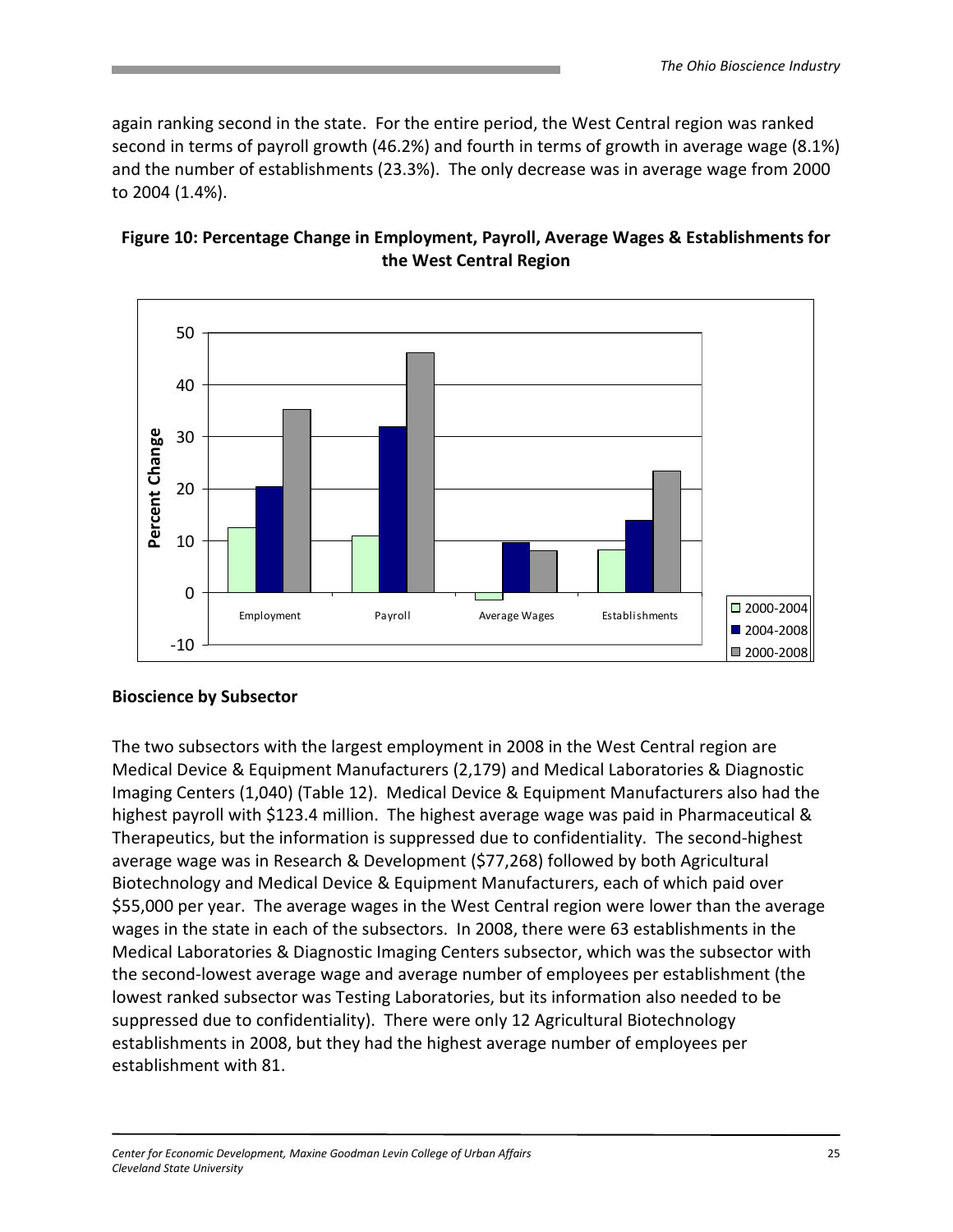again ranking second in the state. For the entire period, the West Central region was ranked second in terms of payroll growth (46.2%) and fourth in terms of growth in average wage (8.1%) and the number of establishments (23.3%). The only decrease was in average wage from 2000 to 2004 (1.4%).



### Figure 10: Percentage Change in Employment, Payroll, Average Wages & Establishments for the West Central Region

# Bioscience by Subsector

The two subsectors with the largest employment in 2008 in the West Central region are Medical Device & Equipment Manufacturers (2,179) and Medical Laboratories & Diagnostic Imaging Centers (1,040) (Table 12). Medical Device & Equipment Manufacturers also had the highest payroll with \$123.4 million. The highest average wage was paid in Pharmaceutical & Therapeutics, but the information is suppressed due to confidentiality. The second-highest average wage was in Research & Development (\$77,268) followed by both Agricultural Biotechnology and Medical Device & Equipment Manufacturers, each of which paid over \$55,000 per year. The average wages in the West Central region were lower than the average wages in the state in each of the subsectors. In 2008, there were 63 establishments in the Medical Laboratories & Diagnostic Imaging Centers subsector, which was the subsector with the second-lowest average wage and average number of employees per establishment (the lowest ranked subsector was Testing Laboratories, but its information also needed to be suppressed due to confidentiality). There were only 12 Agricultural Biotechnology establishments in 2008, but they had the highest average number of employees per establishment with 81.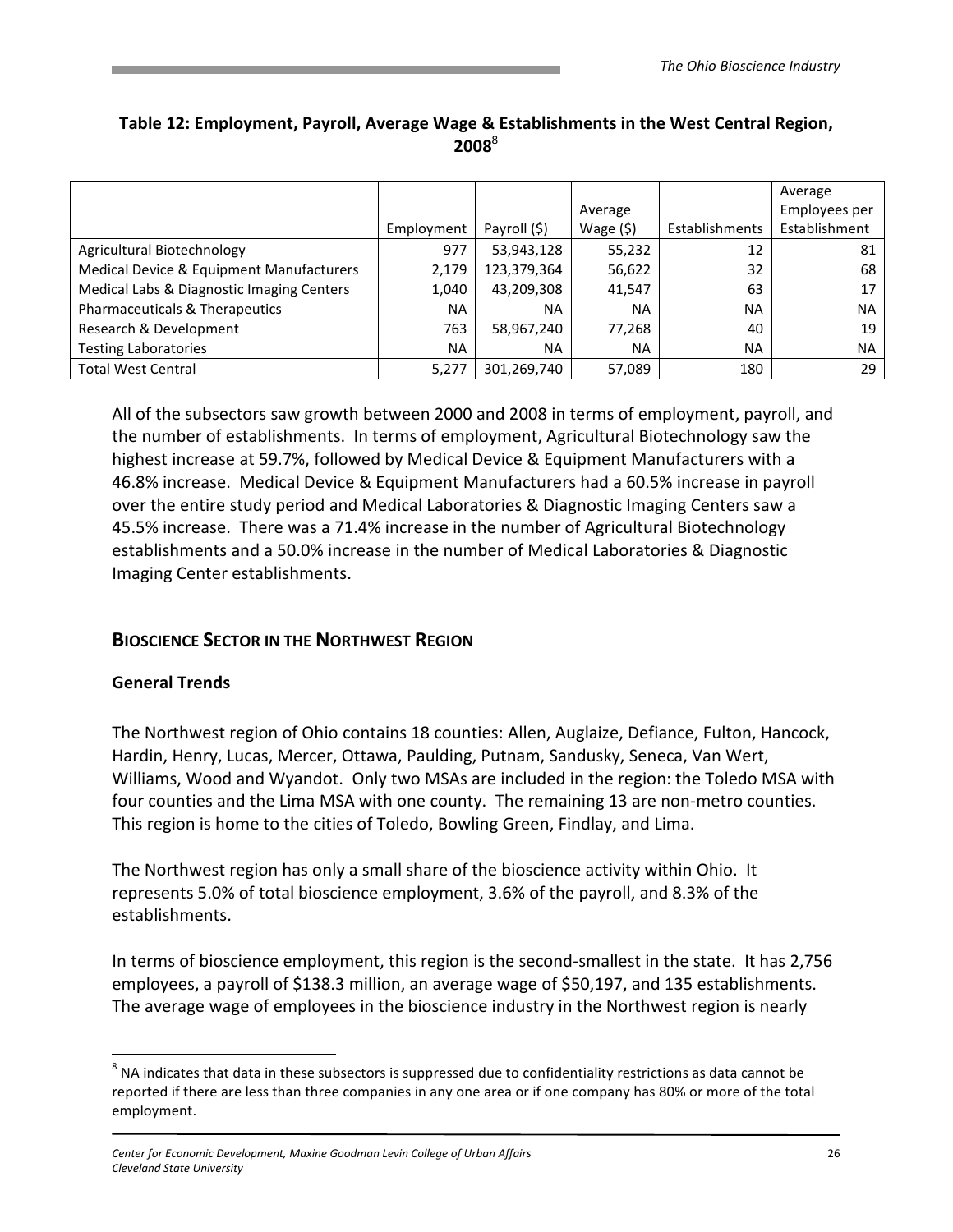|                                           |            |              |            |                | Average       |
|-------------------------------------------|------------|--------------|------------|----------------|---------------|
|                                           |            |              | Average    |                | Employees per |
|                                           | Employment | Payroll (\$) | Wage $(5)$ | Establishments | Establishment |
| Agricultural Biotechnology                | 977        | 53,943,128   | 55,232     | 12             | 81            |
| Medical Device & Equipment Manufacturers  | 2,179      | 123,379,364  | 56,622     | 32             | 68            |
| Medical Labs & Diagnostic Imaging Centers | 1,040      | 43,209,308   | 41,547     | 63             | 17            |
| Pharmaceuticals & Therapeutics            | ΝA         | NA           | NA         | <b>NA</b>      | <b>NA</b>     |
| Research & Development                    | 763        | 58,967,240   | 77,268     | 40             | 19            |
| <b>Testing Laboratories</b>               | NA         | NA           | NA         | <b>NA</b>      | <b>NA</b>     |
| <b>Total West Central</b>                 | 5,277      | 301,269,740  | 57,089     | 180            | 29            |

# Table 12: Employment, Payroll, Average Wage & Establishments in the West Central Region,  $2008^8$

All of the subsectors saw growth between 2000 and 2008 in terms of employment, payroll, and the number of establishments. In terms of employment, Agricultural Biotechnology saw the highest increase at 59.7%, followed by Medical Device & Equipment Manufacturers with a 46.8% increase. Medical Device & Equipment Manufacturers had a 60.5% increase in payroll over the entire study period and Medical Laboratories & Diagnostic Imaging Centers saw a 45.5% increase. There was a 71.4% increase in the number of Agricultural Biotechnology establishments and a 50.0% increase in the number of Medical Laboratories & Diagnostic Imaging Center establishments.

# BIOSCIENCE SECTOR IN THE NORTHWEST REGION

#### General Trends

<u>.</u>

The Northwest region of Ohio contains 18 counties: Allen, Auglaize, Defiance, Fulton, Hancock, Hardin, Henry, Lucas, Mercer, Ottawa, Paulding, Putnam, Sandusky, Seneca, Van Wert, Williams, Wood and Wyandot. Only two MSAs are included in the region: the Toledo MSA with four counties and the Lima MSA with one county. The remaining 13 are non-metro counties. This region is home to the cities of Toledo, Bowling Green, Findlay, and Lima.

The Northwest region has only a small share of the bioscience activity within Ohio. It represents 5.0% of total bioscience employment, 3.6% of the payroll, and 8.3% of the establishments.

In terms of bioscience employment, this region is the second-smallest in the state. It has 2,756 employees, a payroll of \$138.3 million, an average wage of \$50,197, and 135 establishments. The average wage of employees in the bioscience industry in the Northwest region is nearly

 $^8$  NA indicates that data in these subsectors is suppressed due to confidentiality restrictions as data cannot be reported if there are less than three companies in any one area or if one company has 80% or more of the total employment.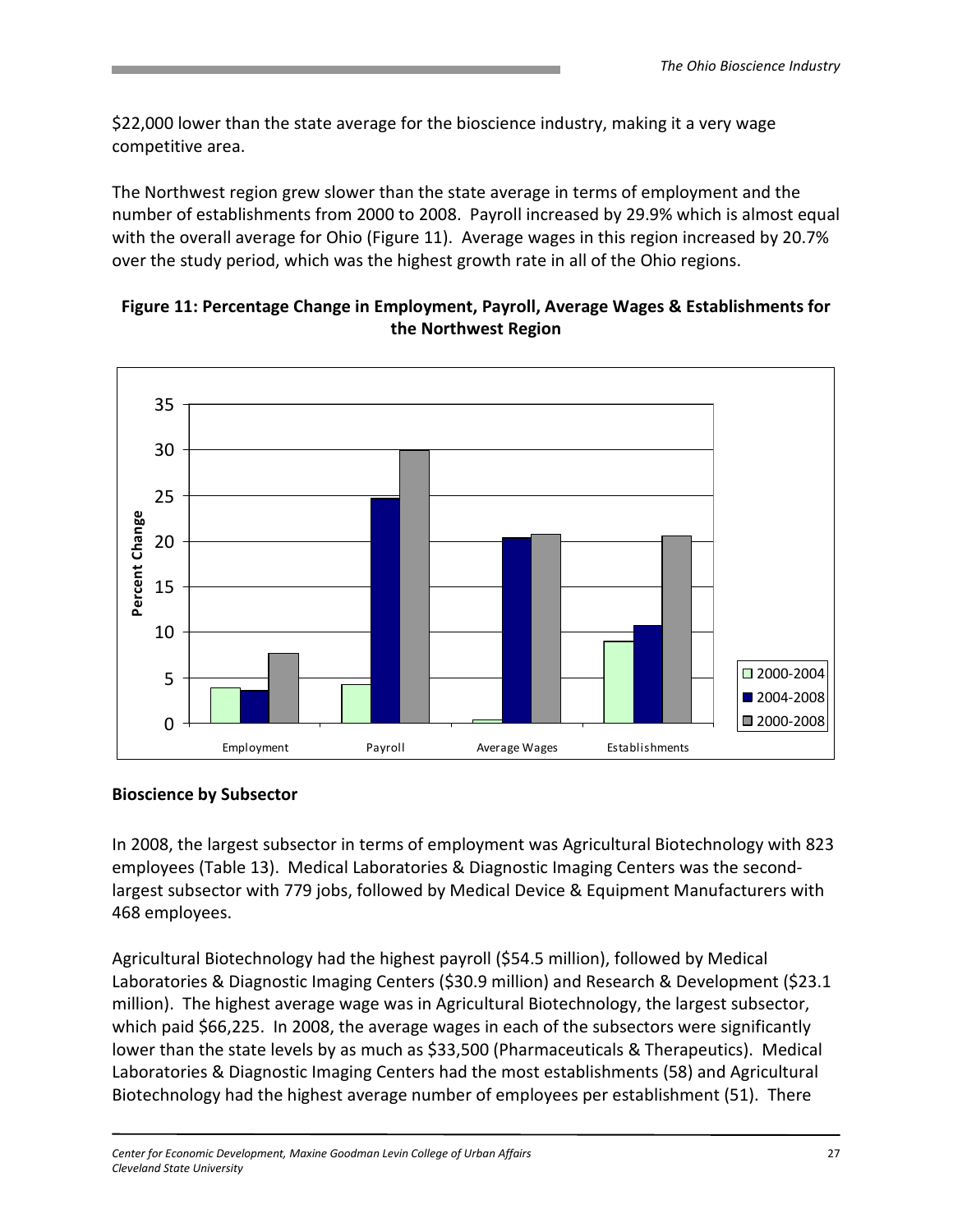\$22,000 lower than the state average for the bioscience industry, making it a very wage competitive area.

The Northwest region grew slower than the state average in terms of employment and the number of establishments from 2000 to 2008. Payroll increased by 29.9% which is almost equal with the overall average for Ohio (Figure 11). Average wages in this region increased by 20.7% over the study period, which was the highest growth rate in all of the Ohio regions.



### Figure 11: Percentage Change in Employment, Payroll, Average Wages & Establishments for the Northwest Region

#### Bioscience by Subsector

In 2008, the largest subsector in terms of employment was Agricultural Biotechnology with 823 employees (Table 13). Medical Laboratories & Diagnostic Imaging Centers was the secondlargest subsector with 779 jobs, followed by Medical Device & Equipment Manufacturers with 468 employees.

Agricultural Biotechnology had the highest payroll (\$54.5 million), followed by Medical Laboratories & Diagnostic Imaging Centers (\$30.9 million) and Research & Development (\$23.1 million). The highest average wage was in Agricultural Biotechnology, the largest subsector, which paid \$66,225. In 2008, the average wages in each of the subsectors were significantly lower than the state levels by as much as \$33,500 (Pharmaceuticals & Therapeutics). Medical Laboratories & Diagnostic Imaging Centers had the most establishments (58) and Agricultural Biotechnology had the highest average number of employees per establishment (51). There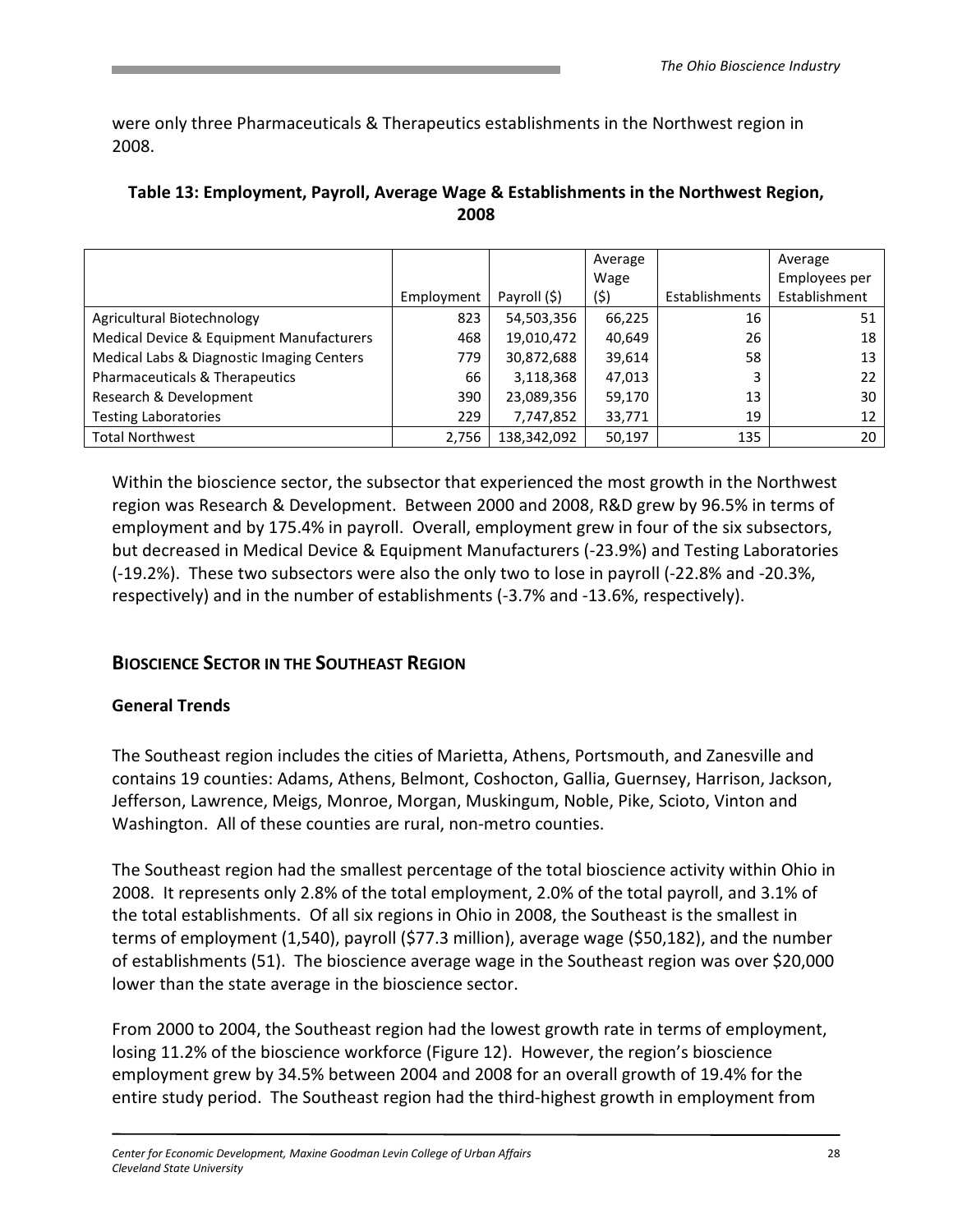were only three Pharmaceuticals & Therapeutics establishments in the Northwest region in 2008.

|                                           |            |              | Average |                | Average       |
|-------------------------------------------|------------|--------------|---------|----------------|---------------|
|                                           |            |              | Wage    |                | Employees per |
|                                           | Employment | Payroll (\$) | (\$)    | Establishments | Establishment |
| Agricultural Biotechnology                | 823        | 54,503,356   | 66,225  | 16             | 51            |
| Medical Device & Equipment Manufacturers  | 468        | 19,010,472   | 40,649  | 26             | 18            |
| Medical Labs & Diagnostic Imaging Centers | 779        | 30,872,688   | 39,614  | 58             | 13            |
| Pharmaceuticals & Therapeutics            | 66         | 3,118,368    | 47,013  | 3              | 22            |
| Research & Development                    | 390        | 23,089,356   | 59,170  | 13             | 30            |
| <b>Testing Laboratories</b>               | 229        | 7,747,852    | 33,771  | 19             | 12            |
| <b>Total Northwest</b>                    | 2,756      | 138,342,092  | 50,197  | 135            | 20            |

#### Table 13: Employment, Payroll, Average Wage & Establishments in the Northwest Region, 2008

Within the bioscience sector, the subsector that experienced the most growth in the Northwest region was Research & Development. Between 2000 and 2008, R&D grew by 96.5% in terms of employment and by 175.4% in payroll. Overall, employment grew in four of the six subsectors, but decreased in Medical Device & Equipment Manufacturers (-23.9%) and Testing Laboratories (-19.2%). These two subsectors were also the only two to lose in payroll (-22.8% and -20.3%, respectively) and in the number of establishments (-3.7% and -13.6%, respectively).

# BIOSCIENCE SECTOR IN THE SOUTHEAST REGION

#### General Trends

The Southeast region includes the cities of Marietta, Athens, Portsmouth, and Zanesville and contains 19 counties: Adams, Athens, Belmont, Coshocton, Gallia, Guernsey, Harrison, Jackson, Jefferson, Lawrence, Meigs, Monroe, Morgan, Muskingum, Noble, Pike, Scioto, Vinton and Washington. All of these counties are rural, non-metro counties.

The Southeast region had the smallest percentage of the total bioscience activity within Ohio in 2008. It represents only 2.8% of the total employment, 2.0% of the total payroll, and 3.1% of the total establishments. Of all six regions in Ohio in 2008, the Southeast is the smallest in terms of employment (1,540), payroll (\$77.3 million), average wage (\$50,182), and the number of establishments (51). The bioscience average wage in the Southeast region was over \$20,000 lower than the state average in the bioscience sector.

From 2000 to 2004, the Southeast region had the lowest growth rate in terms of employment, losing 11.2% of the bioscience workforce (Figure 12). However, the region's bioscience employment grew by 34.5% between 2004 and 2008 for an overall growth of 19.4% for the entire study period. The Southeast region had the third-highest growth in employment from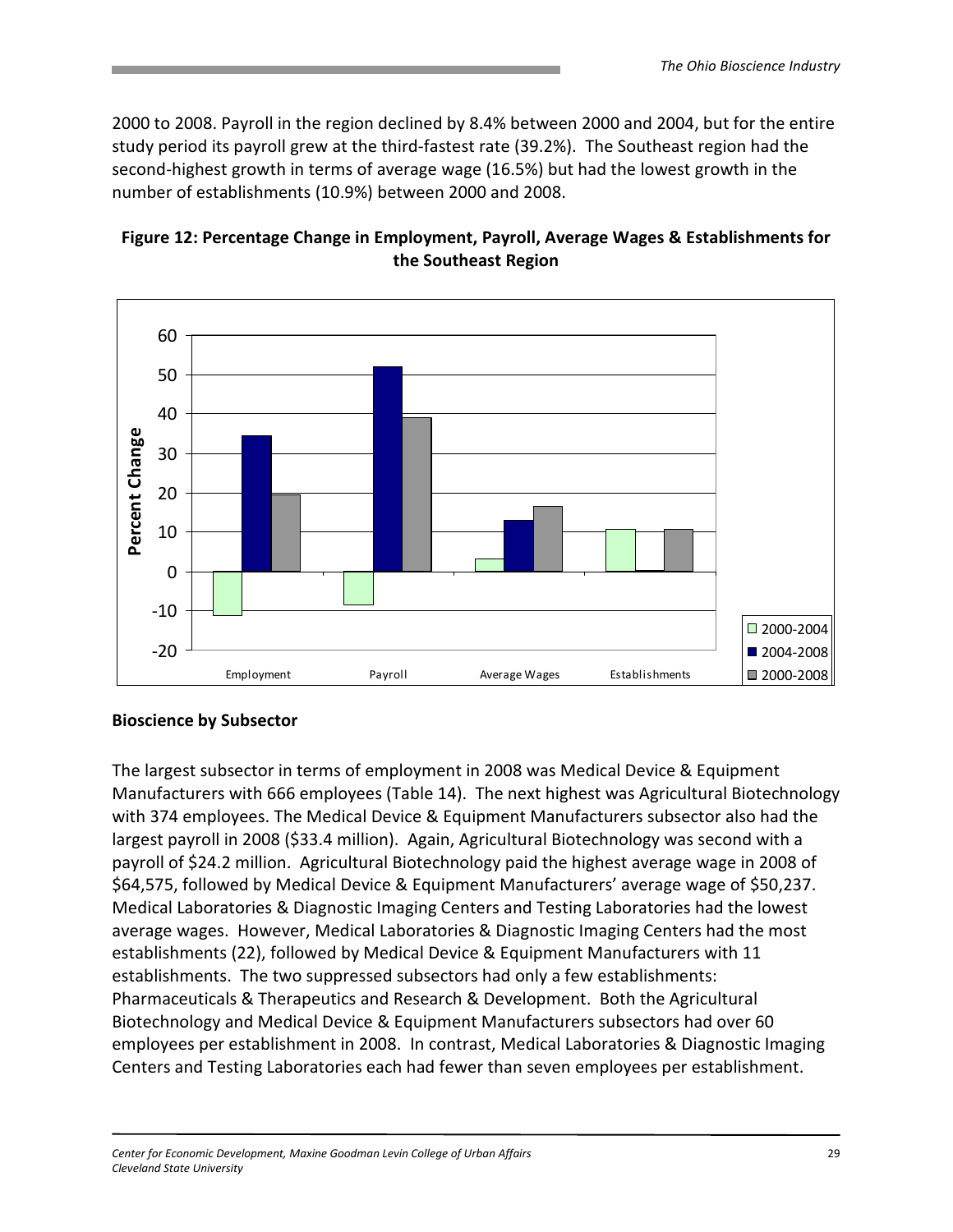2000 to 2008. Payroll in the region declined by 8.4% between 2000 and 2004, but for the entire study period its payroll grew at the third-fastest rate (39.2%). The Southeast region had the second-highest growth in terms of average wage (16.5%) but had the lowest growth in the number of establishments (10.9%) between 2000 and 2008.



#### Figure 12: Percentage Change in Employment, Payroll, Average Wages & Establishments for the Southeast Region

#### Bioscience by Subsector

The largest subsector in terms of employment in 2008 was Medical Device & Equipment Manufacturers with 666 employees (Table 14). The next highest was Agricultural Biotechnology with 374 employees. The Medical Device & Equipment Manufacturers subsector also had the largest payroll in 2008 (\$33.4 million). Again, Agricultural Biotechnology was second with a payroll of \$24.2 million. Agricultural Biotechnology paid the highest average wage in 2008 of \$64,575, followed by Medical Device & Equipment Manufacturers' average wage of \$50,237. Medical Laboratories & Diagnostic Imaging Centers and Testing Laboratories had the lowest average wages. However, Medical Laboratories & Diagnostic Imaging Centers had the most establishments (22), followed by Medical Device & Equipment Manufacturers with 11 establishments. The two suppressed subsectors had only a few establishments: Pharmaceuticals & Therapeutics and Research & Development. Both the Agricultural Biotechnology and Medical Device & Equipment Manufacturers subsectors had over 60 employees per establishment in 2008. In contrast, Medical Laboratories & Diagnostic Imaging Centers and Testing Laboratories each had fewer than seven employees per establishment.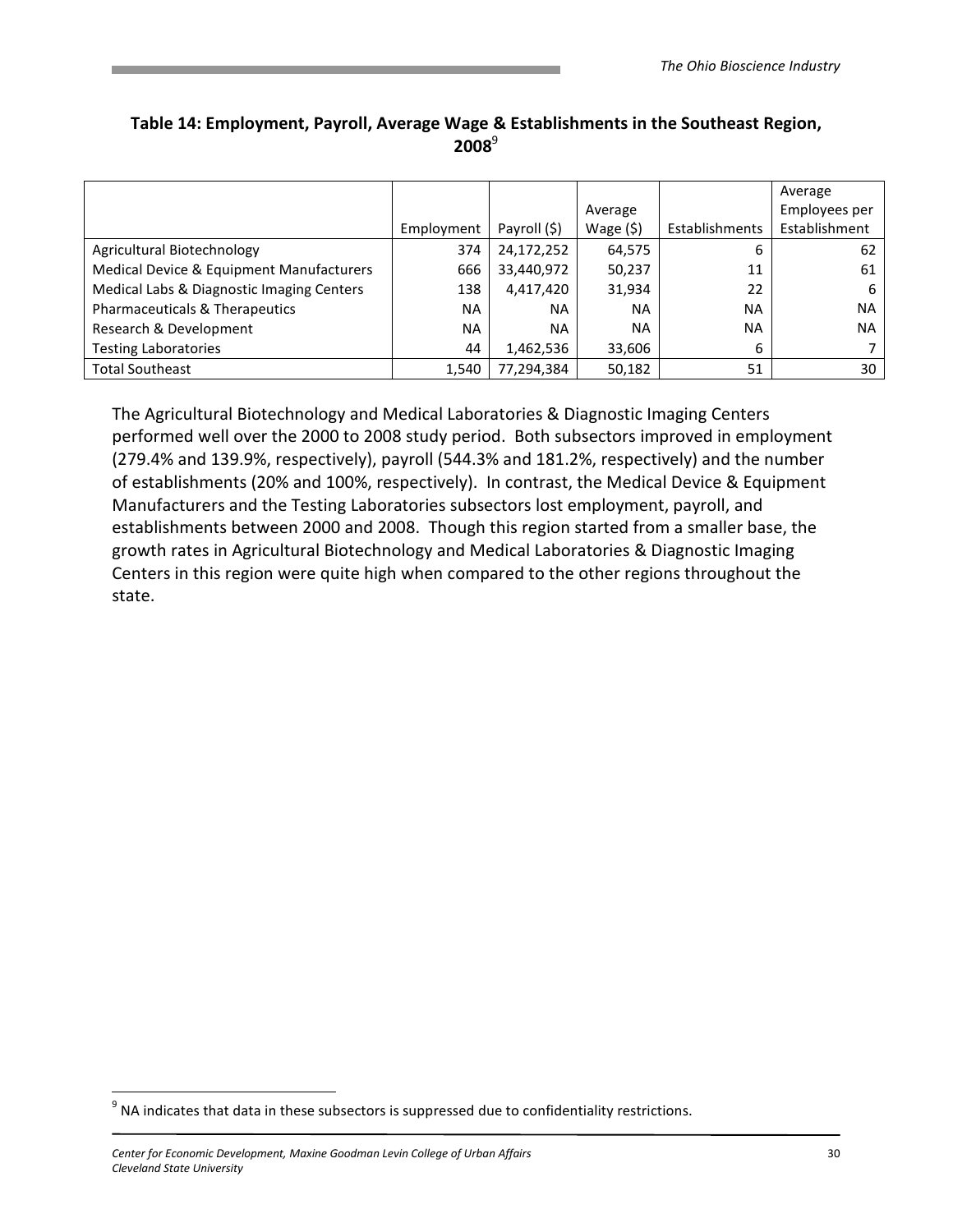|                                           |            |              |            |                | Average       |
|-------------------------------------------|------------|--------------|------------|----------------|---------------|
|                                           |            |              | Average    |                | Employees per |
|                                           | Employment | Payroll (\$) | Wage $(5)$ | Establishments | Establishment |
| Agricultural Biotechnology                | 374        | 24,172,252   | 64,575     | 6              | 62            |
| Medical Device & Equipment Manufacturers  | 666        | 33,440,972   | 50,237     | 11             | 61            |
| Medical Labs & Diagnostic Imaging Centers | 138        | 4,417,420    | 31,934     | 22             | 6             |
| Pharmaceuticals & Therapeutics            | <b>NA</b>  | <b>NA</b>    | <b>NA</b>  | <b>NA</b>      | <b>NA</b>     |
| Research & Development                    | <b>NA</b>  | <b>NA</b>    | <b>NA</b>  | <b>NA</b>      | <b>NA</b>     |
| <b>Testing Laboratories</b>               | 44         | 1,462,536    | 33,606     | 6              |               |
| <b>Total Southeast</b>                    | 1,540      | 77,294,384   | 50,182     | 51             | 30            |

# Table 14: Employment, Payroll, Average Wage & Establishments in the Southeast Region,  $2008^9$

The Agricultural Biotechnology and Medical Laboratories & Diagnostic Imaging Centers performed well over the 2000 to 2008 study period. Both subsectors improved in employment (279.4% and 139.9%, respectively), payroll (544.3% and 181.2%, respectively) and the number of establishments (20% and 100%, respectively). In contrast, the Medical Device & Equipment Manufacturers and the Testing Laboratories subsectors lost employment, payroll, and establishments between 2000 and 2008. Though this region started from a smaller base, the growth rates in Agricultural Biotechnology and Medical Laboratories & Diagnostic Imaging Centers in this region were quite high when compared to the other regions throughout the state.

<u>.</u>

 $9$  NA indicates that data in these subsectors is suppressed due to confidentiality restrictions.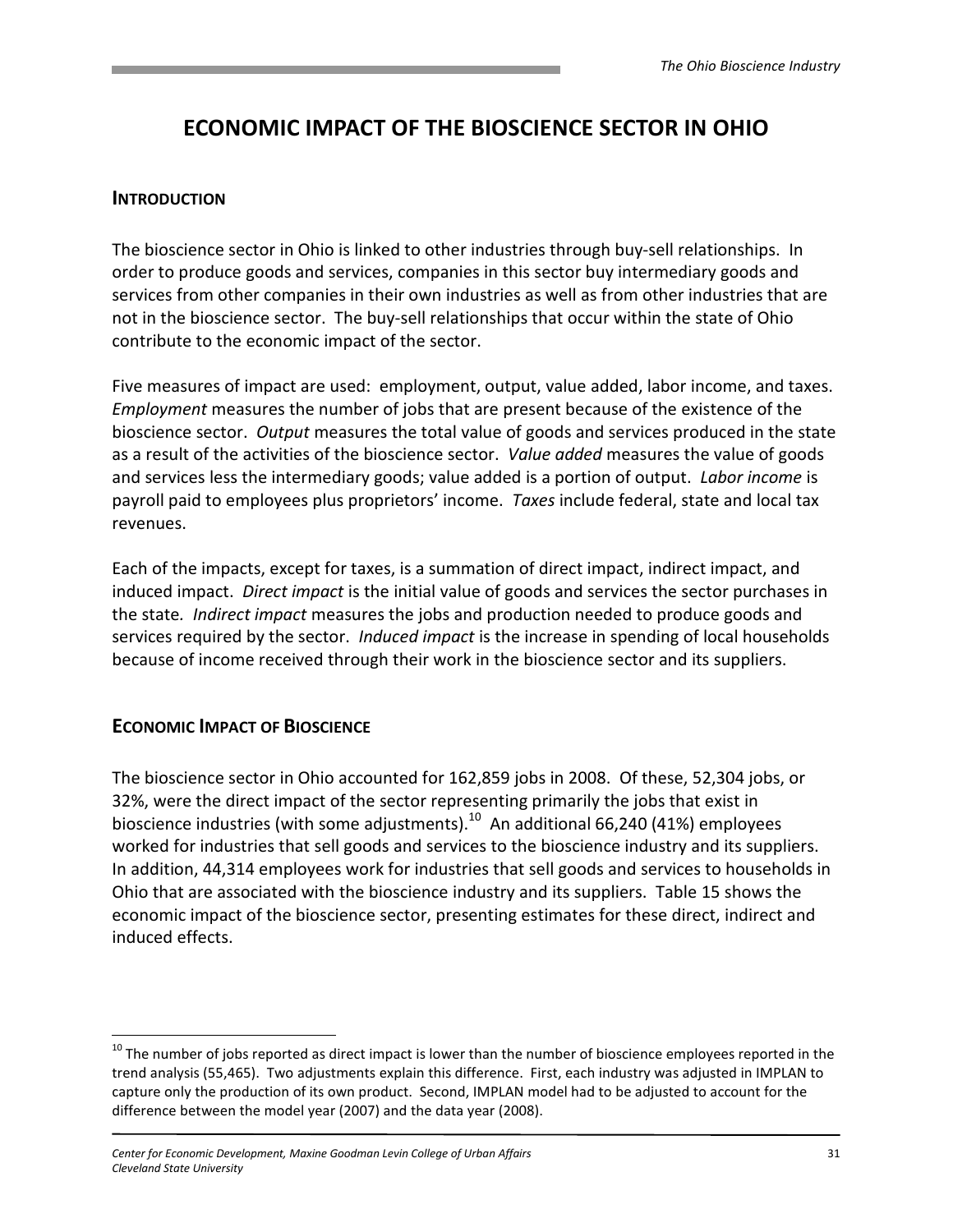# ECONOMIC IMPACT OF THE BIOSCIENCE SECTOR IN OHIO

#### **INTRODUCTION**

The bioscience sector in Ohio is linked to other industries through buy-sell relationships. In order to produce goods and services, companies in this sector buy intermediary goods and services from other companies in their own industries as well as from other industries that are not in the bioscience sector. The buy-sell relationships that occur within the state of Ohio contribute to the economic impact of the sector.

Five measures of impact are used: employment, output, value added, labor income, and taxes. Employment measures the number of jobs that are present because of the existence of the bioscience sector. Output measures the total value of goods and services produced in the state as a result of the activities of the bioscience sector. Value added measures the value of goods and services less the intermediary goods; value added is a portion of output. Labor income is payroll paid to employees plus proprietors' income. Taxes include federal, state and local tax revenues.

Each of the impacts, except for taxes, is a summation of direct impact, indirect impact, and induced impact. Direct impact is the initial value of goods and services the sector purchases in the state. Indirect impact measures the jobs and production needed to produce goods and services required by the sector. *Induced impact* is the increase in spending of local households because of income received through their work in the bioscience sector and its suppliers.

# ECONOMIC IMPACT OF BIOSCIENCE

<u>.</u>

The bioscience sector in Ohio accounted for 162,859 jobs in 2008. Of these, 52,304 jobs, or 32%, were the direct impact of the sector representing primarily the jobs that exist in bioscience industries (with some adjustments).<sup>10</sup> An additional 66,240 (41%) employees worked for industries that sell goods and services to the bioscience industry and its suppliers. In addition, 44,314 employees work for industries that sell goods and services to households in Ohio that are associated with the bioscience industry and its suppliers. Table 15 shows the economic impact of the bioscience sector, presenting estimates for these direct, indirect and induced effects.

<sup>&</sup>lt;sup>10</sup> The number of jobs reported as direct impact is lower than the number of bioscience employees reported in the trend analysis (55,465). Two adjustments explain this difference. First, each industry was adjusted in IMPLAN to capture only the production of its own product. Second, IMPLAN model had to be adjusted to account for the difference between the model year (2007) and the data year (2008).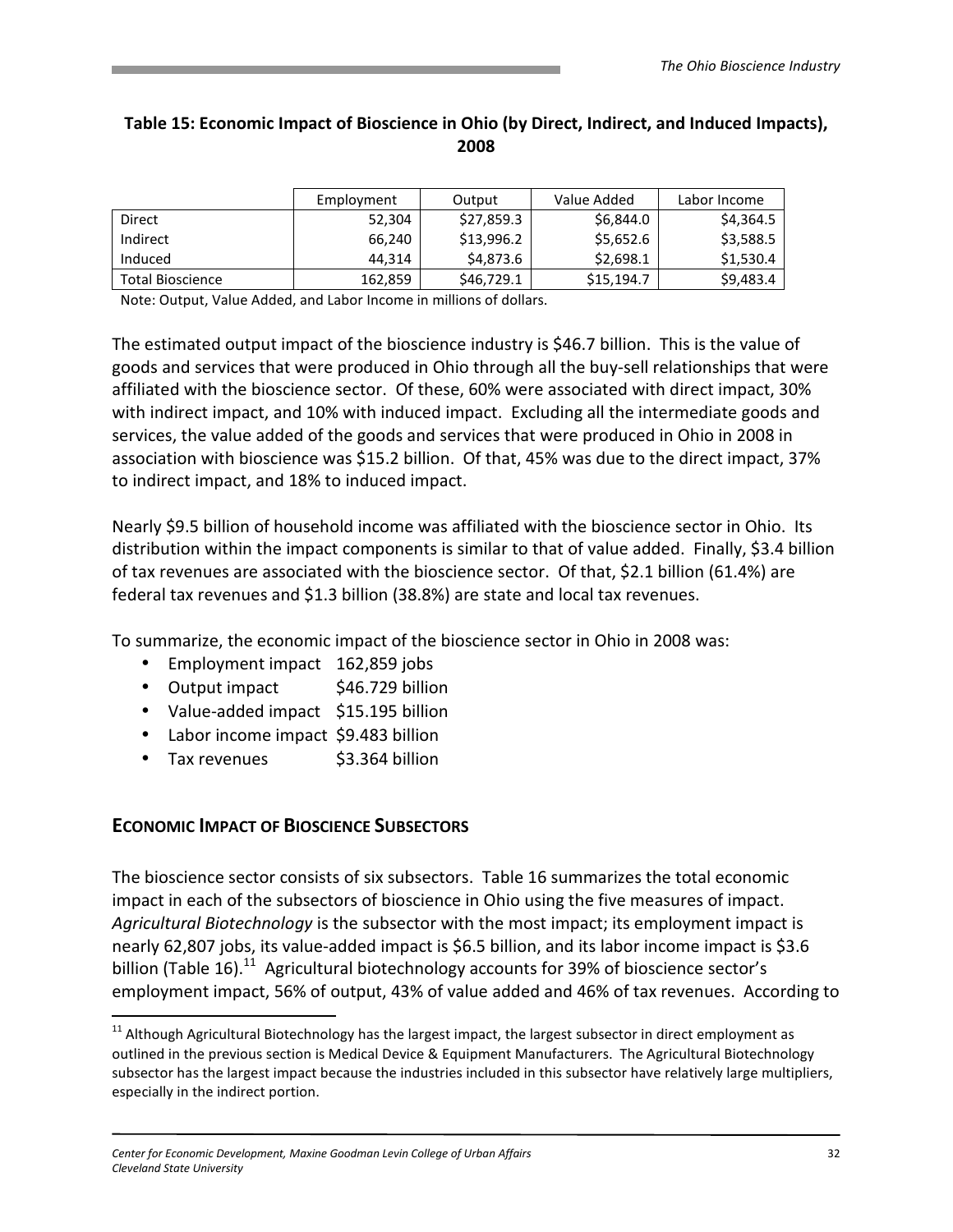#### Table 15: Economic Impact of Bioscience in Ohio (by Direct, Indirect, and Induced Impacts), 2008

|                         | Employment | Output     | Value Added | Labor Income |
|-------------------------|------------|------------|-------------|--------------|
| Direct                  | 52,304     | \$27,859.3 | \$6,844.0   | \$4,364.5    |
| Indirect                | 66.240     | \$13,996.2 | \$5,652.6   | \$3,588.5    |
| Induced                 | 44.314     | \$4,873.6  | \$2,698.1   | \$1,530.4    |
| <b>Total Bioscience</b> | 162,859    | \$46,729.1 | \$15,194.7  | \$9,483.4    |

Note: Output, Value Added, and Labor Income in millions of dollars.

The estimated output impact of the bioscience industry is \$46.7 billion. This is the value of goods and services that were produced in Ohio through all the buy-sell relationships that were affiliated with the bioscience sector. Of these, 60% were associated with direct impact, 30% with indirect impact, and 10% with induced impact. Excluding all the intermediate goods and services, the value added of the goods and services that were produced in Ohio in 2008 in association with bioscience was \$15.2 billion. Of that, 45% was due to the direct impact, 37% to indirect impact, and 18% to induced impact.

Nearly \$9.5 billion of household income was affiliated with the bioscience sector in Ohio. Its distribution within the impact components is similar to that of value added. Finally, \$3.4 billion of tax revenues are associated with the bioscience sector. Of that, \$2.1 billion (61.4%) are federal tax revenues and \$1.3 billion (38.8%) are state and local tax revenues.

To summarize, the economic impact of the bioscience sector in Ohio in 2008 was:

- Employment impact 162,859 jobs
- Output impact \$46.729 billion
- Value-added impact \$15.195 billion
- Labor income impact \$9.483 billion
- Tax revenues  $\sim$  \$3.364 billion

#### ECONOMIC IMPACT OF BIOSCIENCE SUBSECTORS

<u>.</u>

The bioscience sector consists of six subsectors. Table 16 summarizes the total economic impact in each of the subsectors of bioscience in Ohio using the five measures of impact. Agricultural Biotechnology is the subsector with the most impact; its employment impact is nearly 62,807 jobs, its value-added impact is \$6.5 billion, and its labor income impact is \$3.6 billion (Table 16).<sup>11</sup> Agricultural biotechnology accounts for 39% of bioscience sector's employment impact, 56% of output, 43% of value added and 46% of tax revenues. According to

<sup>&</sup>lt;sup>11</sup> Although Agricultural Biotechnology has the largest impact, the largest subsector in direct employment as outlined in the previous section is Medical Device & Equipment Manufacturers. The Agricultural Biotechnology subsector has the largest impact because the industries included in this subsector have relatively large multipliers, especially in the indirect portion.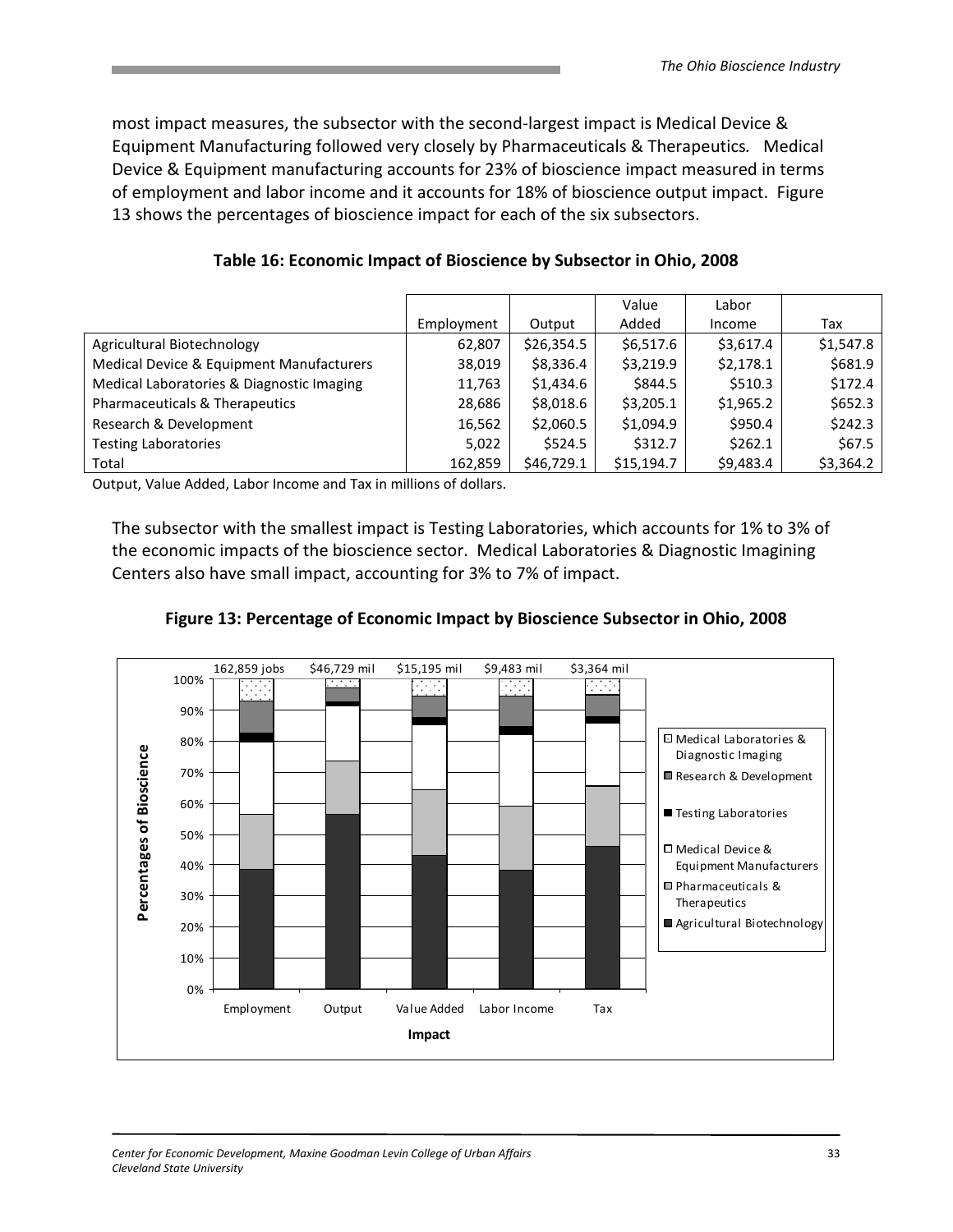most impact measures, the subsector with the second-largest impact is Medical Device & Equipment Manufacturing followed very closely by Pharmaceuticals & Therapeutics. Medical Device & Equipment manufacturing accounts for 23% of bioscience impact measured in terms of employment and labor income and it accounts for 18% of bioscience output impact. Figure 13 shows the percentages of bioscience impact for each of the six subsectors.

|                                           |            |            | Value      | Labor     |           |
|-------------------------------------------|------------|------------|------------|-----------|-----------|
|                                           | Employment | Output     | Added      | Income    | Tax       |
| Agricultural Biotechnology                | 62,807     | \$26,354.5 | \$6,517.6  | \$3,617.4 | \$1,547.8 |
| Medical Device & Equipment Manufacturers  | 38,019     | \$8,336.4  | \$3,219.9  | \$2,178.1 | \$681.9   |
| Medical Laboratories & Diagnostic Imaging | 11,763     | \$1,434.6  | \$844.5    | \$510.3   | \$172.4   |
| Pharmaceuticals & Therapeutics            | 28,686     | \$8,018.6  | \$3,205.1  | \$1,965.2 | \$652.3   |
| Research & Development                    | 16,562     | \$2,060.5  | \$1,094.9  | \$950.4   | \$242.3   |
| <b>Testing Laboratories</b>               | 5,022      | \$524.5    | \$312.7    | \$262.1   | \$67.5    |
| Total                                     | 162.859    | \$46,729.1 | \$15,194.7 | \$9,483.4 | \$3,364.2 |

Table 16: Economic Impact of Bioscience by Subsector in Ohio, 2008

Output, Value Added, Labor Income and Tax in millions of dollars.

The subsector with the smallest impact is Testing Laboratories, which accounts for 1% to 3% of the economic impacts of the bioscience sector. Medical Laboratories & Diagnostic Imagining Centers also have small impact, accounting for 3% to 7% of impact.



Figure 13: Percentage of Economic Impact by Bioscience Subsector in Ohio, 2008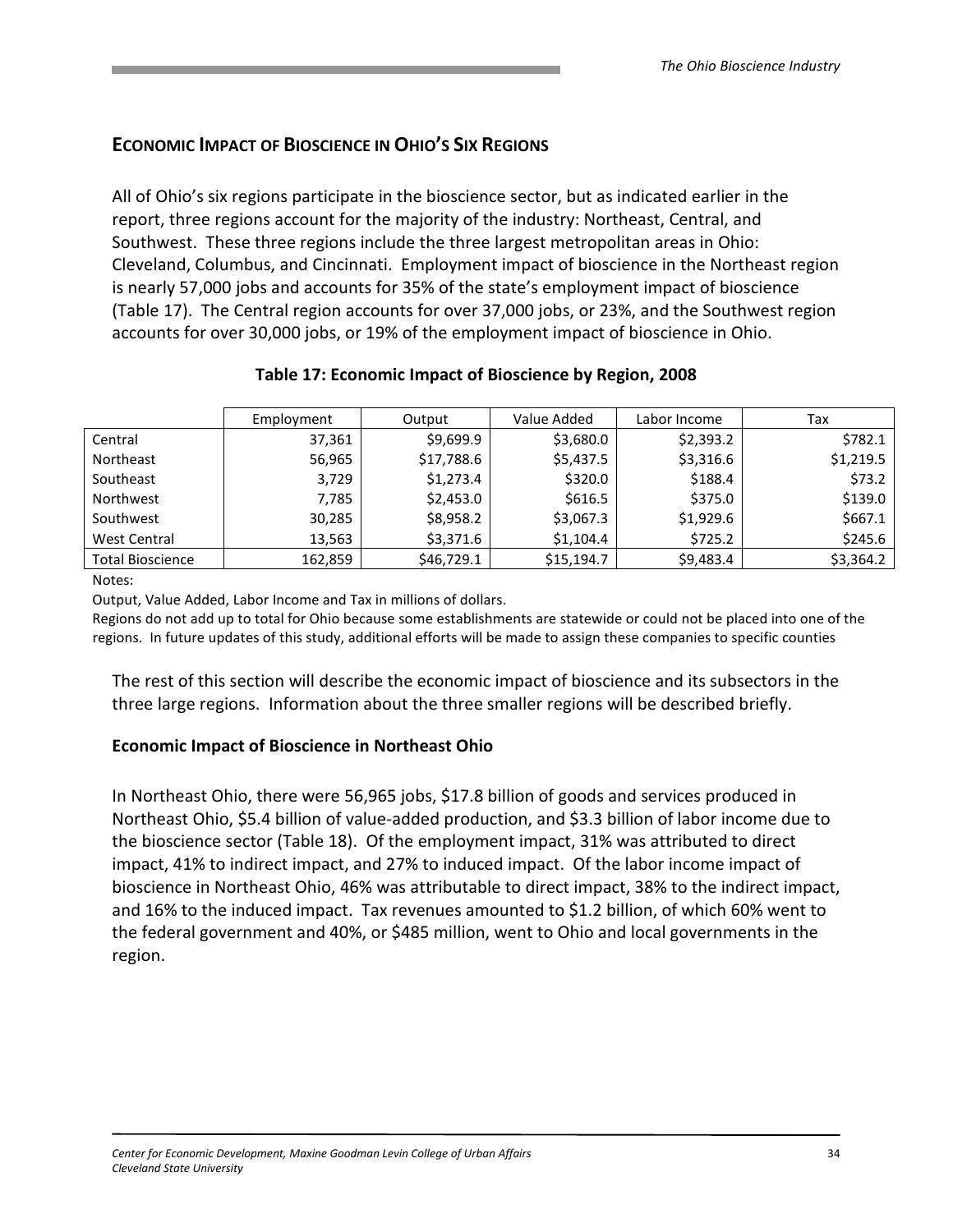# ECONOMIC IMPACT OF BIOSCIENCE IN OHIO'S SIX REGIONS

All of Ohio's six regions participate in the bioscience sector, but as indicated earlier in the report, three regions account for the majority of the industry: Northeast, Central, and Southwest. These three regions include the three largest metropolitan areas in Ohio: Cleveland, Columbus, and Cincinnati. Employment impact of bioscience in the Northeast region is nearly 57,000 jobs and accounts for 35% of the state's employment impact of bioscience (Table 17). The Central region accounts for over 37,000 jobs, or 23%, and the Southwest region accounts for over 30,000 jobs, or 19% of the employment impact of bioscience in Ohio.

|                         | Employment | Output     | Value Added | Labor Income | Tax       |
|-------------------------|------------|------------|-------------|--------------|-----------|
| Central                 | 37,361     | \$9,699.9  | \$3,680.0   | \$2,393.2    | \$782.1   |
| Northeast               | 56,965     | \$17,788.6 | \$5,437.5   | \$3,316.6    | \$1,219.5 |
| Southeast               | 3,729      | \$1,273.4  | \$320.0     | \$188.4      | \$73.2    |
| Northwest               | 7,785      | \$2,453.0  | \$616.5     | \$375.0      | \$139.0   |
| Southwest               | 30,285     | \$8,958.2  | \$3,067.3   | \$1,929.6    | \$667.1   |
| West Central            | 13,563     | \$3,371.6  | \$1,104.4   | \$725.2      | \$245.6   |
| <b>Total Bioscience</b> | 162,859    | \$46,729.1 | \$15,194.7  | \$9,483.4    | \$3,364.2 |

#### Table 17: Economic Impact of Bioscience by Region, 2008

Notes:

Output, Value Added, Labor Income and Tax in millions of dollars.

Regions do not add up to total for Ohio because some establishments are statewide or could not be placed into one of the regions. In future updates of this study, additional efforts will be made to assign these companies to specific counties

The rest of this section will describe the economic impact of bioscience and its subsectors in the three large regions. Information about the three smaller regions will be described briefly.

#### Economic Impact of Bioscience in Northeast Ohio

In Northeast Ohio, there were 56,965 jobs, \$17.8 billion of goods and services produced in Northeast Ohio, \$5.4 billion of value-added production, and \$3.3 billion of labor income due to the bioscience sector (Table 18). Of the employment impact, 31% was attributed to direct impact, 41% to indirect impact, and 27% to induced impact. Of the labor income impact of bioscience in Northeast Ohio, 46% was attributable to direct impact, 38% to the indirect impact, and 16% to the induced impact. Tax revenues amounted to \$1.2 billion, of which 60% went to the federal government and 40%, or \$485 million, went to Ohio and local governments in the region.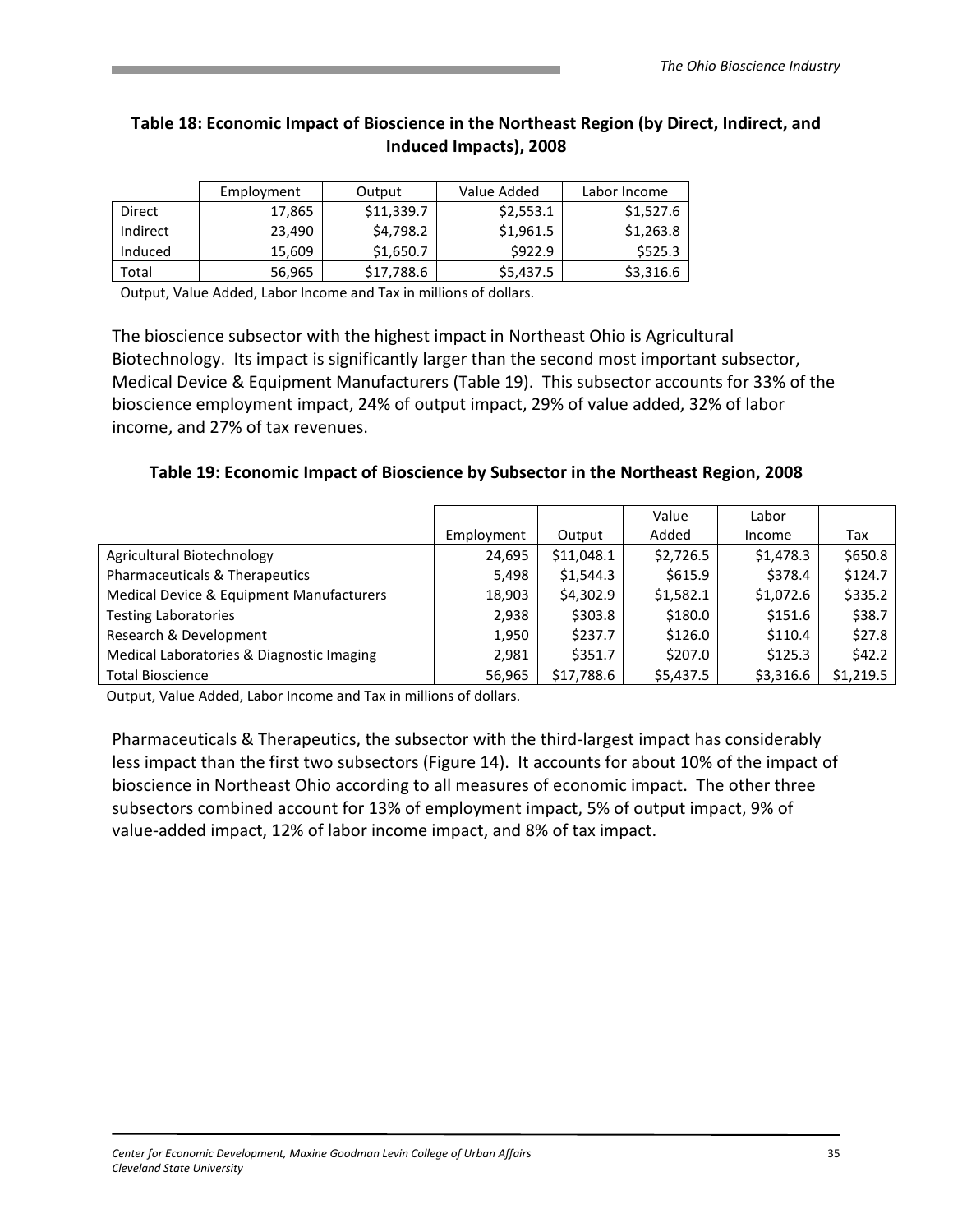### Table 18: Economic Impact of Bioscience in the Northeast Region (by Direct, Indirect, and Induced Impacts), 2008

|          | Employment | Output     | Value Added | Labor Income |
|----------|------------|------------|-------------|--------------|
| Direct   | 17,865     | \$11,339.7 | \$2,553.1   | \$1,527.6    |
| Indirect | 23.490     | \$4,798.2  | \$1,961.5   | \$1,263.8    |
| Induced  | 15,609     | \$1,650.7  | \$922.9     | \$525.3      |
| Total    | 56,965     | \$17,788.6 | \$5,437.5   | \$3,316.6    |

Output, Value Added, Labor Income and Tax in millions of dollars.

The bioscience subsector with the highest impact in Northeast Ohio is Agricultural Biotechnology. Its impact is significantly larger than the second most important subsector, Medical Device & Equipment Manufacturers (Table 19). This subsector accounts for 33% of the bioscience employment impact, 24% of output impact, 29% of value added, 32% of labor income, and 27% of tax revenues.

Table 19: Economic Impact of Bioscience by Subsector in the Northeast Region, 2008

|                                           |            |            | Value     | Labor     |           |
|-------------------------------------------|------------|------------|-----------|-----------|-----------|
|                                           | Employment | Output     | Added     | Income    | Tax       |
| Agricultural Biotechnology                | 24,695     | \$11,048.1 | \$2,726.5 | \$1,478.3 | \$650.8   |
| Pharmaceuticals & Therapeutics            | 5,498      | \$1,544.3  | \$615.9   | \$378.4   | \$124.7   |
| Medical Device & Equipment Manufacturers  | 18,903     | \$4,302.9  | \$1,582.1 | \$1,072.6 | \$335.2   |
| <b>Testing Laboratories</b>               | 2,938      | \$303.8    | \$180.0   | \$151.6   | \$38.7    |
| Research & Development                    | 1,950      | \$237.7    | \$126.0   | \$110.4   | \$27.8    |
| Medical Laboratories & Diagnostic Imaging | 2.981      | \$351.7    | \$207.0   | \$125.3   | \$42.2    |
| <b>Total Bioscience</b>                   | 56,965     | \$17,788.6 | \$5,437.5 | \$3,316.6 | \$1,219.5 |

Output, Value Added, Labor Income and Tax in millions of dollars.

Pharmaceuticals & Therapeutics, the subsector with the third-largest impact has considerably less impact than the first two subsectors (Figure 14). It accounts for about 10% of the impact of bioscience in Northeast Ohio according to all measures of economic impact. The other three subsectors combined account for 13% of employment impact, 5% of output impact, 9% of value-added impact, 12% of labor income impact, and 8% of tax impact.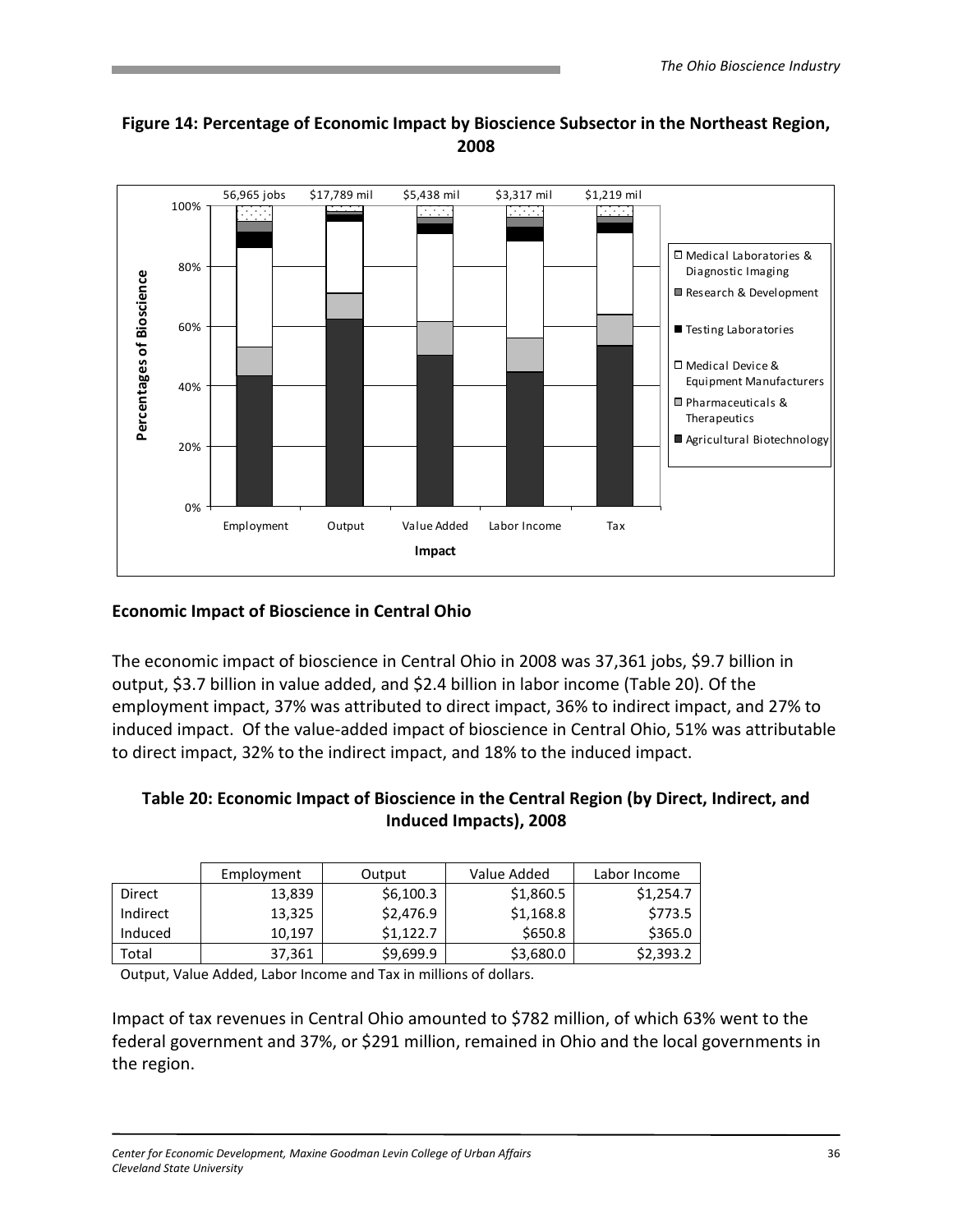

# Figure 14: Percentage of Economic Impact by Bioscience Subsector in the Northeast Region, 2008

# Economic Impact of Bioscience in Central Ohio

The economic impact of bioscience in Central Ohio in 2008 was 37,361 jobs, \$9.7 billion in output, \$3.7 billion in value added, and \$2.4 billion in labor income (Table 20). Of the employment impact, 37% was attributed to direct impact, 36% to indirect impact, and 27% to induced impact. Of the value-added impact of bioscience in Central Ohio, 51% was attributable to direct impact, 32% to the indirect impact, and 18% to the induced impact.

#### Table 20: Economic Impact of Bioscience in the Central Region (by Direct, Indirect, and Induced Impacts), 2008

|          | Employment | Output    | Value Added | Labor Income |
|----------|------------|-----------|-------------|--------------|
| Direct   | 13,839     | \$6,100.3 | \$1,860.5   | \$1,254.7    |
| Indirect | 13,325     | \$2,476.9 | \$1,168.8   | \$773.5      |
| Induced  | 10,197     | \$1,122.7 | \$650.8     | \$365.0      |
| Total    | 37,361     | \$9,699.9 | \$3,680.0   | \$2,393.2    |

Output, Value Added, Labor Income and Tax in millions of dollars.

Impact of tax revenues in Central Ohio amounted to \$782 million, of which 63% went to the federal government and 37%, or \$291 million, remained in Ohio and the local governments in the region.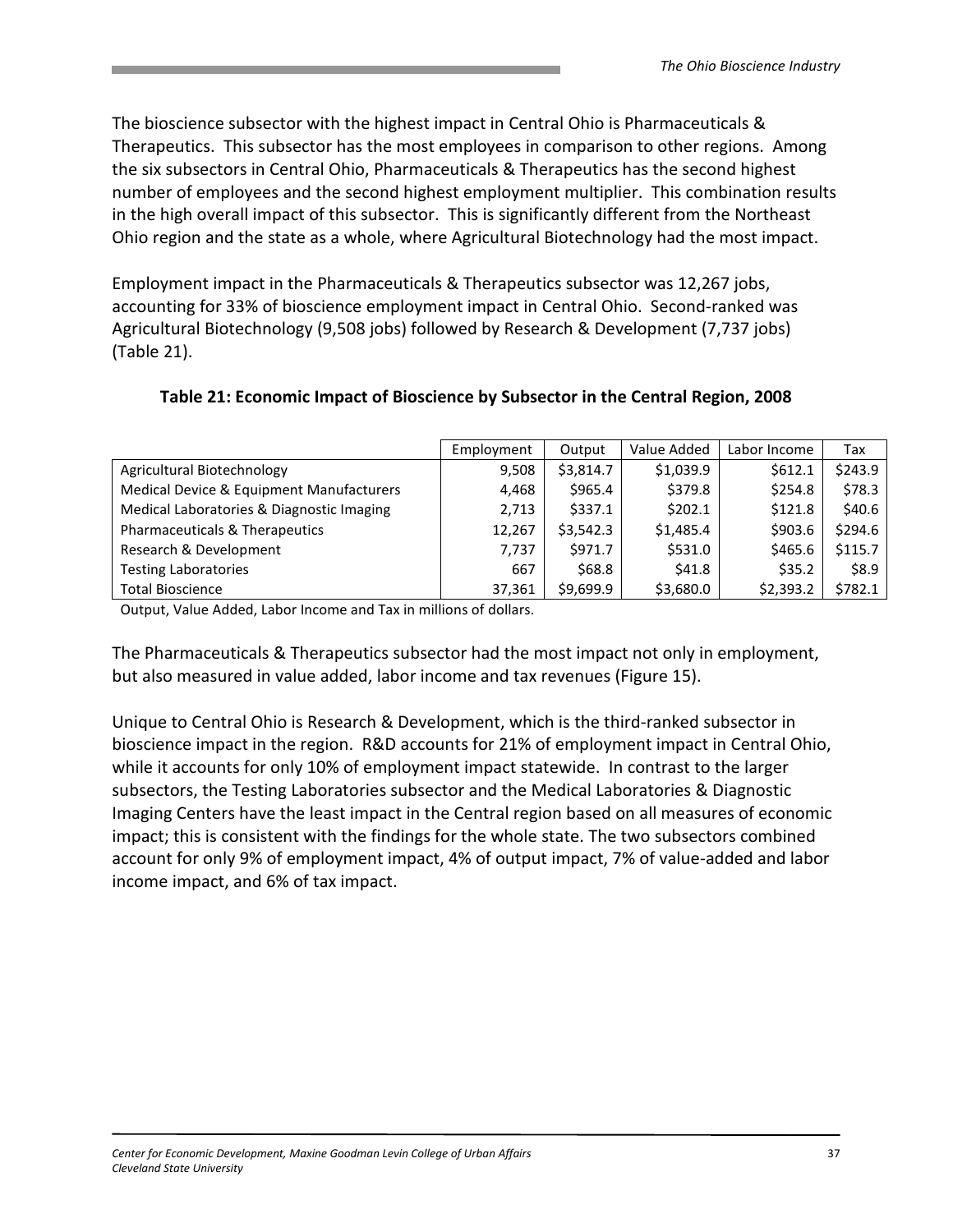The bioscience subsector with the highest impact in Central Ohio is Pharmaceuticals & Therapeutics. This subsector has the most employees in comparison to other regions. Among the six subsectors in Central Ohio, Pharmaceuticals & Therapeutics has the second highest number of employees and the second highest employment multiplier. This combination results in the high overall impact of this subsector. This is significantly different from the Northeast Ohio region and the state as a whole, where Agricultural Biotechnology had the most impact.

Employment impact in the Pharmaceuticals & Therapeutics subsector was 12,267 jobs, accounting for 33% of bioscience employment impact in Central Ohio. Second-ranked was Agricultural Biotechnology (9,508 jobs) followed by Research & Development (7,737 jobs) (Table 21).

|                                           | Employment | Output    | Value Added | Labor Income | Tax     |
|-------------------------------------------|------------|-----------|-------------|--------------|---------|
| Agricultural Biotechnology                | 9.508      | \$3,814.7 | \$1,039.9   | \$612.1      | \$243.9 |
| Medical Device & Equipment Manufacturers  | 4.468      | \$965.4   | \$379.8     | \$254.8      | \$78.3  |
| Medical Laboratories & Diagnostic Imaging | 2,713      | \$337.1   | \$202.1     | \$121.8      | \$40.6  |
| Pharmaceuticals & Therapeutics            | 12.267     | \$3,542.3 | \$1,485.4   | \$903.6      | \$294.6 |
| Research & Development                    | 7,737      | \$971.7   | \$531.0     | \$465.6      | \$115.7 |
| <b>Testing Laboratories</b>               | 667        | \$68.8    | \$41.8      | \$35.2       | \$8.9   |
| <b>Total Bioscience</b>                   | 37,361     | \$9.699.9 | \$3,680.0   | \$2.393.2    | \$782.1 |

#### Table 21: Economic Impact of Bioscience by Subsector in the Central Region, 2008

Output, Value Added, Labor Income and Tax in millions of dollars.

The Pharmaceuticals & Therapeutics subsector had the most impact not only in employment, but also measured in value added, labor income and tax revenues (Figure 15).

Unique to Central Ohio is Research & Development, which is the third-ranked subsector in bioscience impact in the region. R&D accounts for 21% of employment impact in Central Ohio, while it accounts for only 10% of employment impact statewide. In contrast to the larger subsectors, the Testing Laboratories subsector and the Medical Laboratories & Diagnostic Imaging Centers have the least impact in the Central region based on all measures of economic impact; this is consistent with the findings for the whole state. The two subsectors combined account for only 9% of employment impact, 4% of output impact, 7% of value-added and labor income impact, and 6% of tax impact.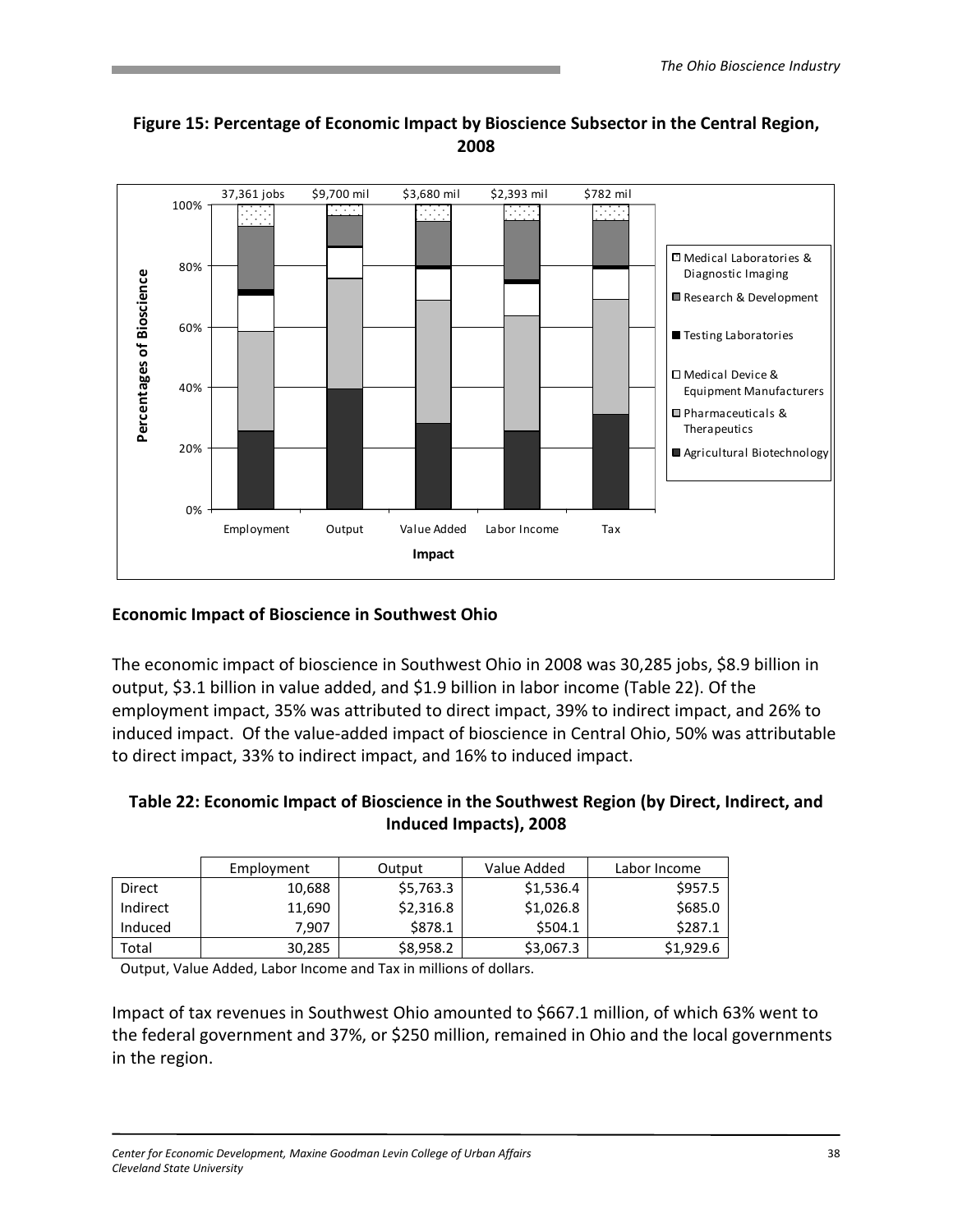

# Figure 15: Percentage of Economic Impact by Bioscience Subsector in the Central Region, 2008

### Economic Impact of Bioscience in Southwest Ohio

The economic impact of bioscience in Southwest Ohio in 2008 was 30,285 jobs, \$8.9 billion in output, \$3.1 billion in value added, and \$1.9 billion in labor income (Table 22). Of the employment impact, 35% was attributed to direct impact, 39% to indirect impact, and 26% to induced impact. Of the value-added impact of bioscience in Central Ohio, 50% was attributable to direct impact, 33% to indirect impact, and 16% to induced impact.

#### Table 22: Economic Impact of Bioscience in the Southwest Region (by Direct, Indirect, and Induced Impacts), 2008

|          | Employment | Output    | Value Added | Labor Income |
|----------|------------|-----------|-------------|--------------|
| Direct   | 10,688     | \$5,763.3 | \$1,536.4   | \$957.5      |
| Indirect | 11,690     | \$2,316.8 | \$1,026.8   | \$685.0      |
| Induced  | 7,907      | \$878.1   | \$504.1     | \$287.1      |
| Total    | 30,285     | \$8,958.2 | \$3,067.3   | \$1,929.6    |

Output, Value Added, Labor Income and Tax in millions of dollars.

Impact of tax revenues in Southwest Ohio amounted to \$667.1 million, of which 63% went to the federal government and 37%, or \$250 million, remained in Ohio and the local governments in the region.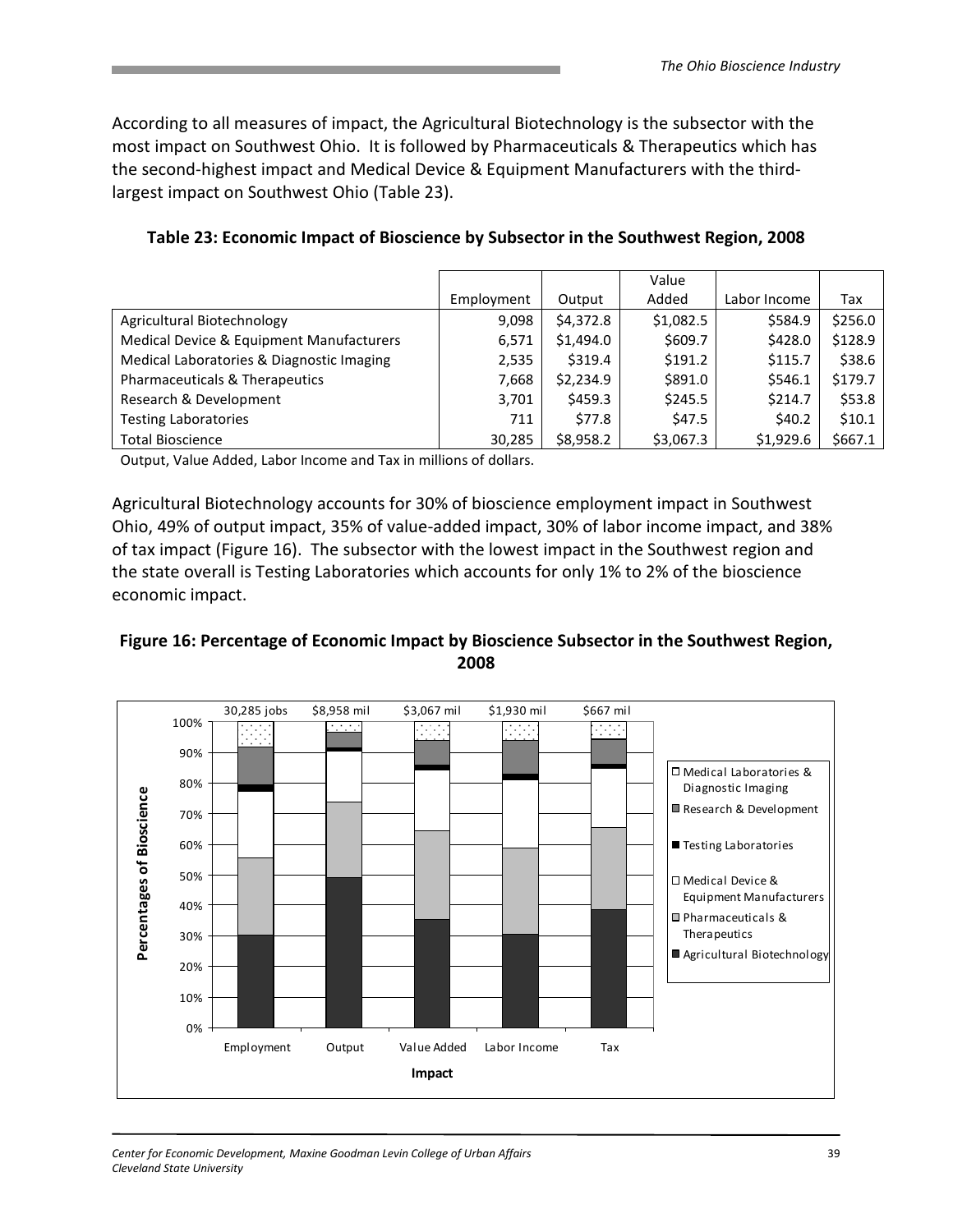According to all measures of impact, the Agricultural Biotechnology is the subsector with the most impact on Southwest Ohio. It is followed by Pharmaceuticals & Therapeutics which has the second-highest impact and Medical Device & Equipment Manufacturers with the thirdlargest impact on Southwest Ohio (Table 23).

|                                           |            |           | Value     |              |         |
|-------------------------------------------|------------|-----------|-----------|--------------|---------|
|                                           | Employment | Output    | Added     | Labor Income | Tax     |
| Agricultural Biotechnology                | 9.098      | \$4.372.8 | \$1,082.5 | \$584.9      | \$256.0 |
| Medical Device & Equipment Manufacturers  | 6.571      | \$1,494.0 | \$609.7   | \$428.0      | \$128.9 |
| Medical Laboratories & Diagnostic Imaging | 2,535      | \$319.4   | \$191.2   | \$115.7      | \$38.6  |
| Pharmaceuticals & Therapeutics            | 7,668      | \$2,234.9 | \$891.0   | \$546.1      | \$179.7 |
| Research & Development                    | 3,701      | \$459.3   | \$245.5   | \$214.7      | \$53.8  |
| <b>Testing Laboratories</b>               | 711        | \$77.8    | \$47.5    | \$40.2       | \$10.1  |
| <b>Total Bioscience</b>                   | 30,285     | \$8,958.2 | \$3,067.3 | \$1,929.6    | \$667.1 |

Table 23: Economic Impact of Bioscience by Subsector in the Southwest Region, 2008

Output, Value Added, Labor Income and Tax in millions of dollars.

Agricultural Biotechnology accounts for 30% of bioscience employment impact in Southwest Ohio, 49% of output impact, 35% of value-added impact, 30% of labor income impact, and 38% of tax impact (Figure 16). The subsector with the lowest impact in the Southwest region and the state overall is Testing Laboratories which accounts for only 1% to 2% of the bioscience economic impact.



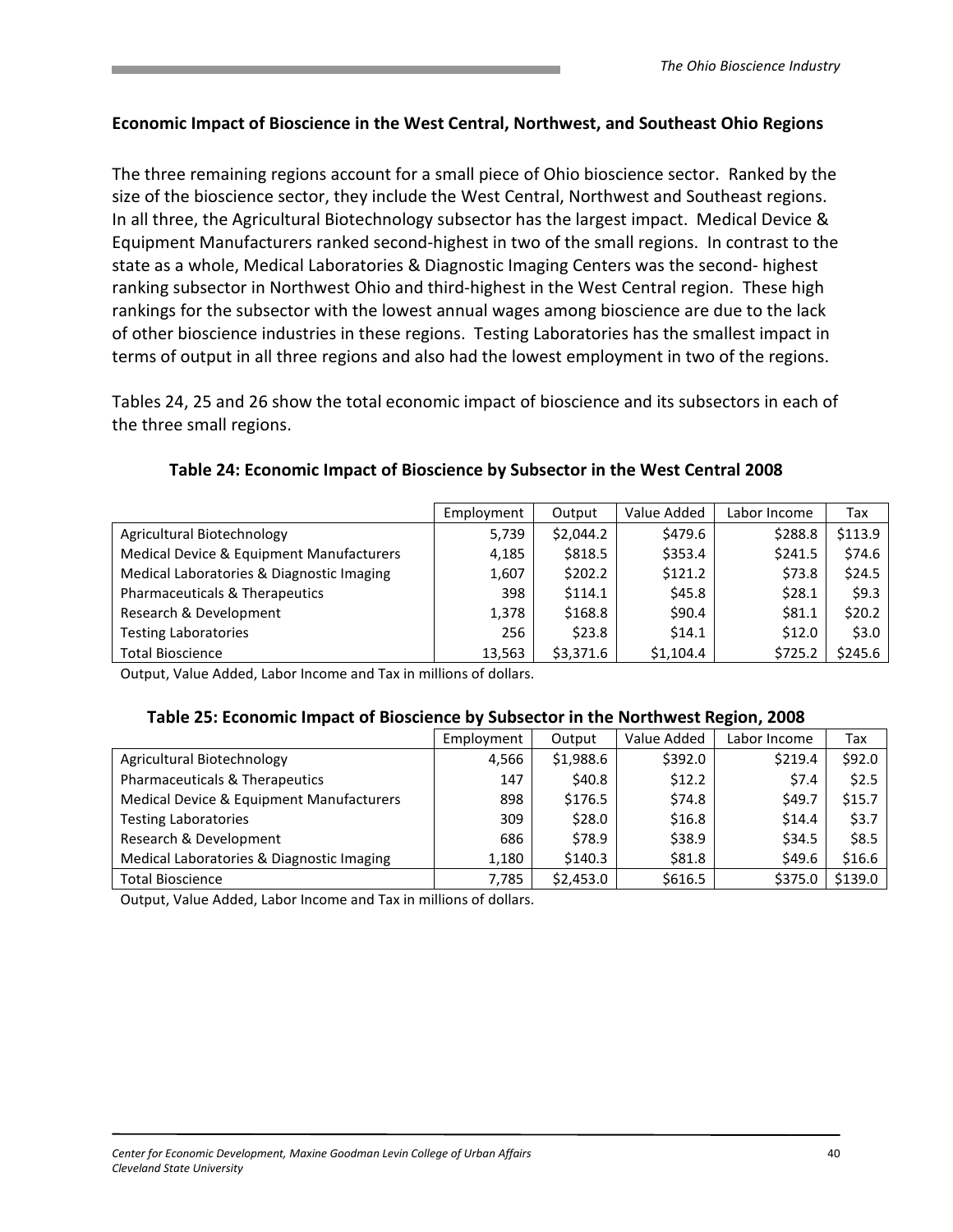#### Economic Impact of Bioscience in the West Central, Northwest, and Southeast Ohio Regions

The three remaining regions account for a small piece of Ohio bioscience sector. Ranked by the size of the bioscience sector, they include the West Central, Northwest and Southeast regions. In all three, the Agricultural Biotechnology subsector has the largest impact. Medical Device & Equipment Manufacturers ranked second-highest in two of the small regions. In contrast to the state as a whole, Medical Laboratories & Diagnostic Imaging Centers was the second- highest ranking subsector in Northwest Ohio and third-highest in the West Central region. These high rankings for the subsector with the lowest annual wages among bioscience are due to the lack of other bioscience industries in these regions. Testing Laboratories has the smallest impact in terms of output in all three regions and also had the lowest employment in two of the regions.

Tables 24, 25 and 26 show the total economic impact of bioscience and its subsectors in each of the three small regions.

| Table 24: Economic Impact of Bioscience by Subsector in the West Central 2008 |  |
|-------------------------------------------------------------------------------|--|
|-------------------------------------------------------------------------------|--|

|                                           | Employment | Output    | Value Added | Labor Income | Tax      |
|-------------------------------------------|------------|-----------|-------------|--------------|----------|
| Agricultural Biotechnology                | 5,739      | \$2,044.2 | \$479.6     | \$288.8      | \$113.9  |
| Medical Device & Equipment Manufacturers  | 4,185      | \$818.5   | \$353.4     | \$241.5      | \$74.6   |
| Medical Laboratories & Diagnostic Imaging | 1,607      | \$202.2   | \$121.2     | \$73.8       | \$24.5   |
| Pharmaceuticals & Therapeutics            | 398        | \$114.1   | \$45.8      | \$28.1       | 59.3     |
| Research & Development                    | 1,378      | \$168.8   | \$90.4\$    | \$81.1       | \$20.2\$ |
| <b>Testing Laboratories</b>               | 256        | \$23.8    | \$14.1      | \$12.0       | \$3.0    |
| <b>Total Bioscience</b>                   | 13,563     | \$3,371.6 | \$1,104.4   | \$725.2      | \$245.6  |

Output, Value Added, Labor Income and Tax in millions of dollars.

#### Table 25: Economic Impact of Bioscience by Subsector in the Northwest Region, 2008

|                                           | Employment | Output    | Value Added | Labor Income | Tax     |
|-------------------------------------------|------------|-----------|-------------|--------------|---------|
| Agricultural Biotechnology                | 4,566      | \$1,988.6 | \$392.0     | \$219.4      | \$92.0  |
| Pharmaceuticals & Therapeutics            | 147        | \$40.8    | \$12.2      | \$7.4        | \$2.5   |
| Medical Device & Equipment Manufacturers  | 898        | \$176.5   | \$74.8      | \$49.7       | \$15.7  |
| <b>Testing Laboratories</b>               | 309        | \$28.0    | \$16.8      | \$14.4       | \$3.7   |
| Research & Development                    | 686        | \$78.9    | \$38.9      | \$34.5       | \$8.5   |
| Medical Laboratories & Diagnostic Imaging | 1,180      | \$140.3   | \$81.8      | \$49.6       | \$16.6  |
| <b>Total Bioscience</b>                   | 7,785      | \$2,453.0 | \$616.5     | \$375.0      | \$139.0 |

Output, Value Added, Labor Income and Tax in millions of dollars.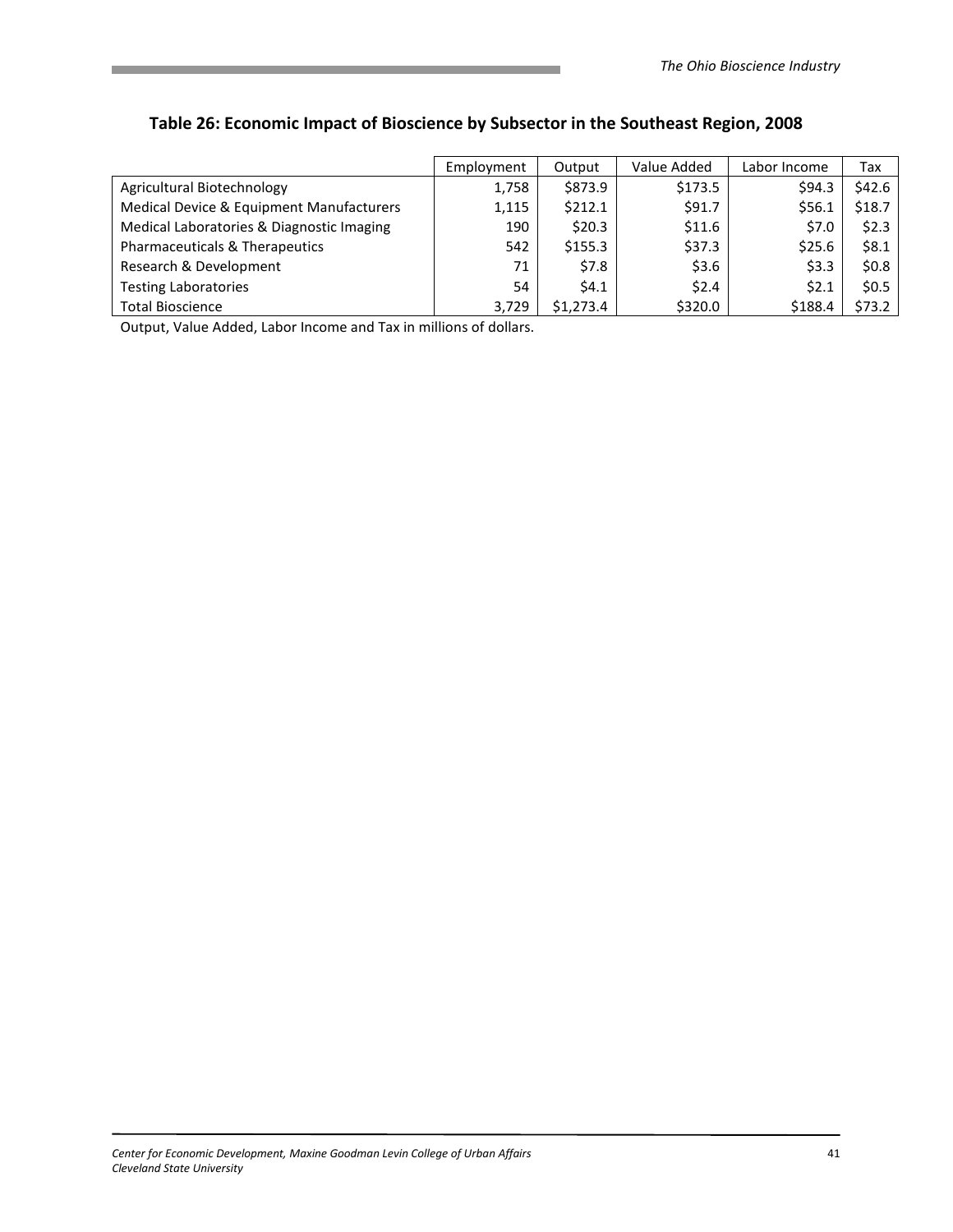|                                           | Employment | Output    | Value Added | Labor Income | Tax     |
|-------------------------------------------|------------|-----------|-------------|--------------|---------|
| Agricultural Biotechnology                | 1,758      | \$873.9   | \$173.5     | \$94.3       | \$42.6  |
| Medical Device & Equipment Manufacturers  | 1,115      | \$212.1   | \$91.7      | \$56.1       | \$18.7  |
| Medical Laboratories & Diagnostic Imaging | 190        | \$20.3\$  | \$11.6      | \$7.0        | \$2.3   |
| Pharmaceuticals & Therapeutics            | 542        | \$155.3   | \$37.3      | \$25.6       | \$8.1   |
| Research & Development                    | 71         | \$7.8     | \$3.6       | \$3.3        | \$0.8\$ |
| <b>Testing Laboratories</b>               | 54         | 54.1      | \$2.4       | 52.1         | \$0.5   |
| <b>Total Bioscience</b>                   | 3,729      | \$1,273.4 | \$320.0     | \$188.4      | \$73.2  |

# Table 26: Economic Impact of Bioscience by Subsector in the Southeast Region, 2008

Output, Value Added, Labor Income and Tax in millions of dollars.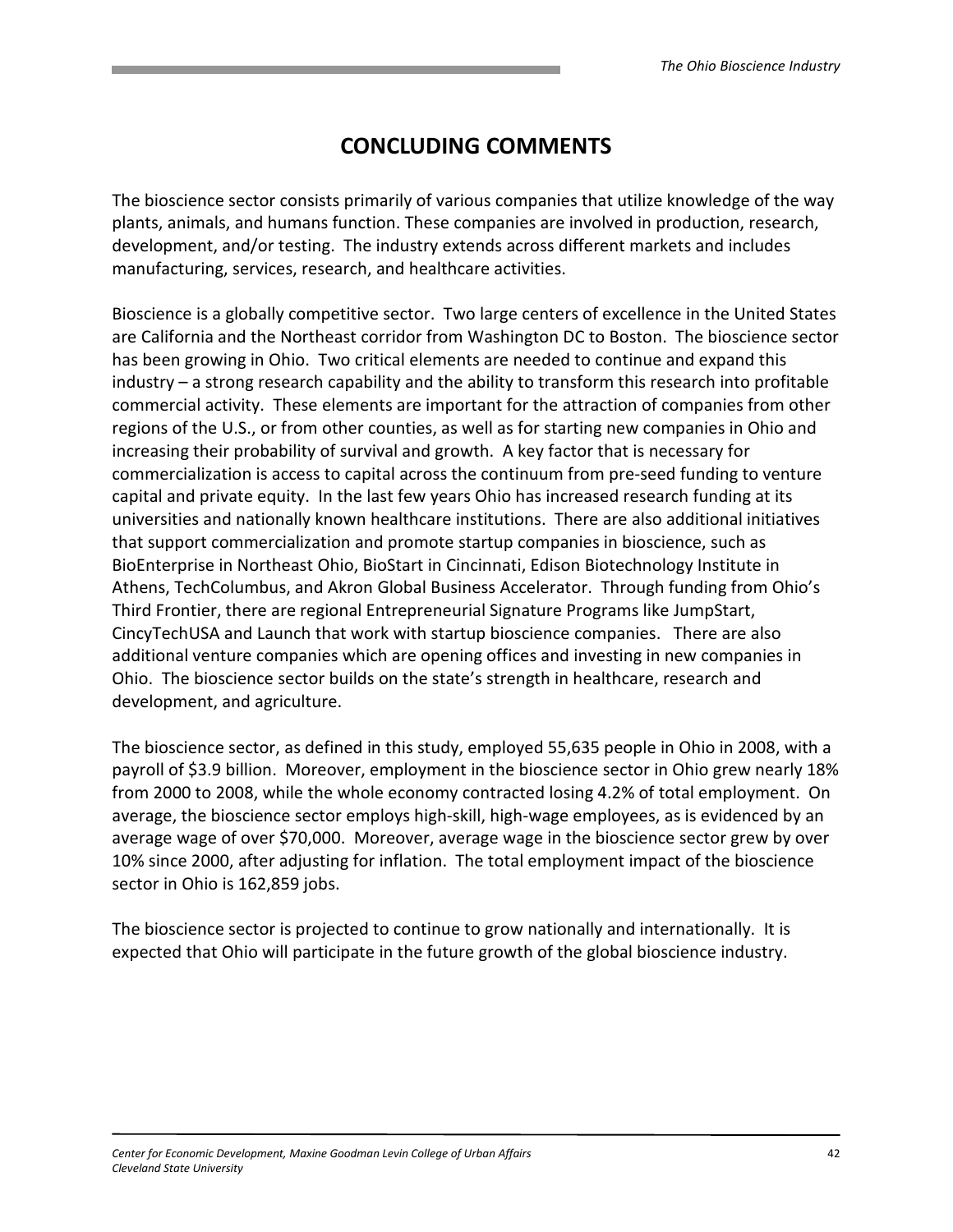# CONCLUDING COMMENTS

The bioscience sector consists primarily of various companies that utilize knowledge of the way plants, animals, and humans function. These companies are involved in production, research, development, and/or testing. The industry extends across different markets and includes manufacturing, services, research, and healthcare activities.

Bioscience is a globally competitive sector. Two large centers of excellence in the United States are California and the Northeast corridor from Washington DC to Boston. The bioscience sector has been growing in Ohio. Two critical elements are needed to continue and expand this industry – a strong research capability and the ability to transform this research into profitable commercial activity. These elements are important for the attraction of companies from other regions of the U.S., or from other counties, as well as for starting new companies in Ohio and increasing their probability of survival and growth. A key factor that is necessary for commercialization is access to capital across the continuum from pre-seed funding to venture capital and private equity. In the last few years Ohio has increased research funding at its universities and nationally known healthcare institutions. There are also additional initiatives that support commercialization and promote startup companies in bioscience, such as BioEnterprise in Northeast Ohio, BioStart in Cincinnati, Edison Biotechnology Institute in Athens, TechColumbus, and Akron Global Business Accelerator. Through funding from Ohio's Third Frontier, there are regional Entrepreneurial Signature Programs like JumpStart, CincyTechUSA and Launch that work with startup bioscience companies. There are also additional venture companies which are opening offices and investing in new companies in Ohio. The bioscience sector builds on the state's strength in healthcare, research and development, and agriculture.

The bioscience sector, as defined in this study, employed 55,635 people in Ohio in 2008, with a payroll of \$3.9 billion. Moreover, employment in the bioscience sector in Ohio grew nearly 18% from 2000 to 2008, while the whole economy contracted losing 4.2% of total employment. On average, the bioscience sector employs high-skill, high-wage employees, as is evidenced by an average wage of over \$70,000. Moreover, average wage in the bioscience sector grew by over 10% since 2000, after adjusting for inflation. The total employment impact of the bioscience sector in Ohio is 162,859 jobs.

The bioscience sector is projected to continue to grow nationally and internationally. It is expected that Ohio will participate in the future growth of the global bioscience industry.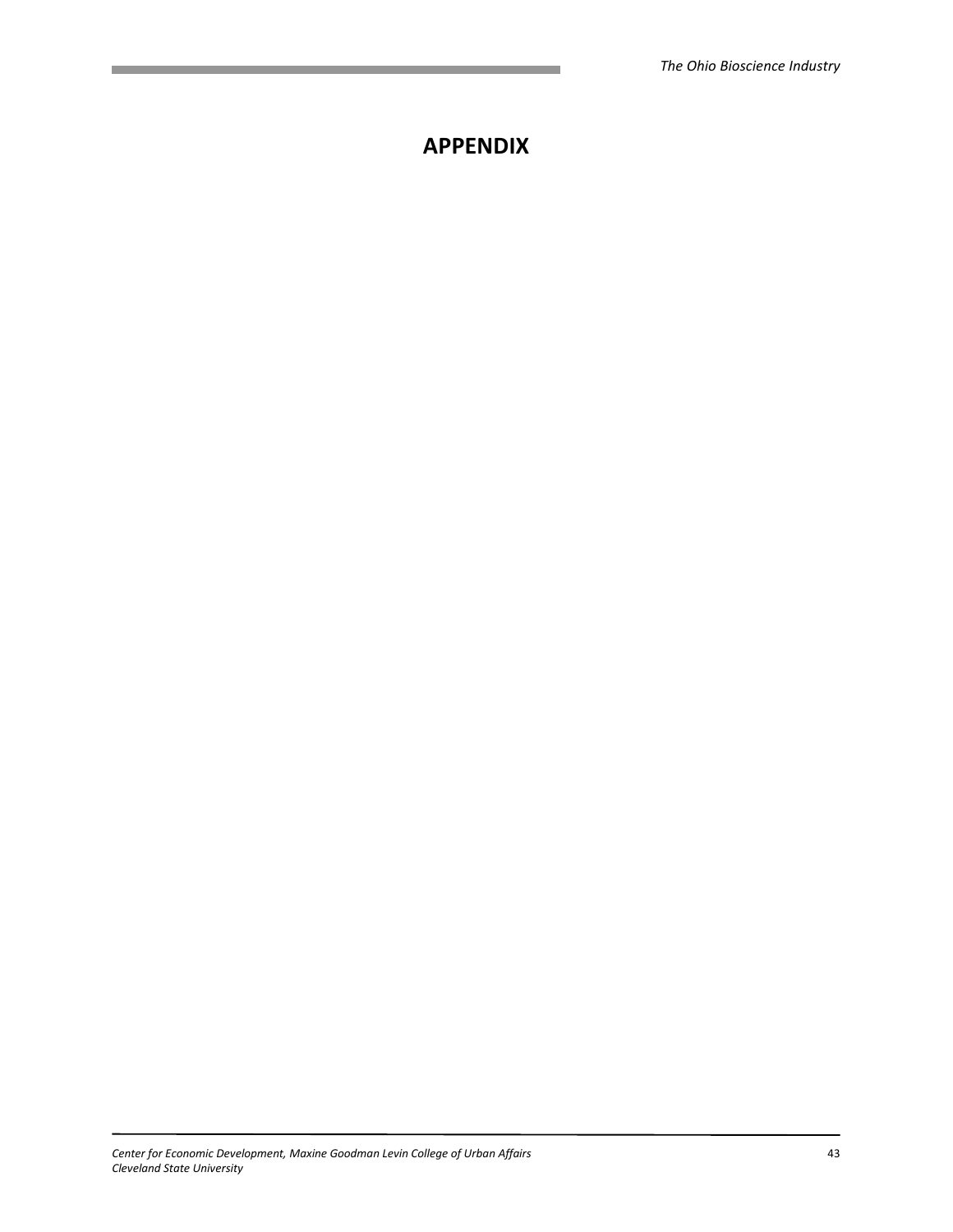# APPENDIX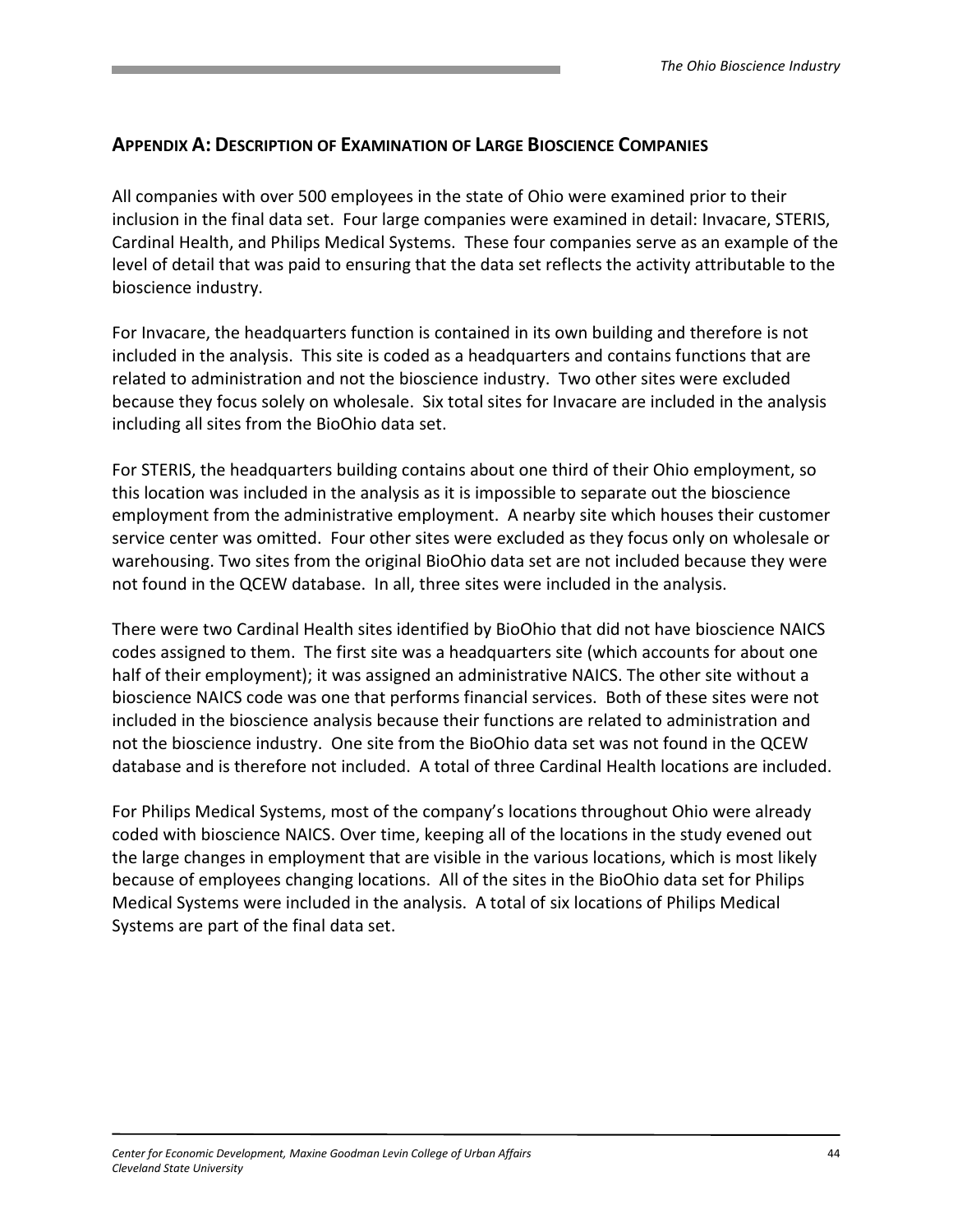# APPENDIX A: DESCRIPTION OF EXAMINATION OF LARGE BIOSCIENCE COMPANIES

All companies with over 500 employees in the state of Ohio were examined prior to their inclusion in the final data set. Four large companies were examined in detail: Invacare, STERIS, Cardinal Health, and Philips Medical Systems. These four companies serve as an example of the level of detail that was paid to ensuring that the data set reflects the activity attributable to the bioscience industry.

For Invacare, the headquarters function is contained in its own building and therefore is not included in the analysis. This site is coded as a headquarters and contains functions that are related to administration and not the bioscience industry. Two other sites were excluded because they focus solely on wholesale. Six total sites for Invacare are included in the analysis including all sites from the BioOhio data set.

For STERIS, the headquarters building contains about one third of their Ohio employment, so this location was included in the analysis as it is impossible to separate out the bioscience employment from the administrative employment. A nearby site which houses their customer service center was omitted. Four other sites were excluded as they focus only on wholesale or warehousing. Two sites from the original BioOhio data set are not included because they were not found in the QCEW database. In all, three sites were included in the analysis.

There were two Cardinal Health sites identified by BioOhio that did not have bioscience NAICS codes assigned to them. The first site was a headquarters site (which accounts for about one half of their employment); it was assigned an administrative NAICS. The other site without a bioscience NAICS code was one that performs financial services. Both of these sites were not included in the bioscience analysis because their functions are related to administration and not the bioscience industry. One site from the BioOhio data set was not found in the QCEW database and is therefore not included. A total of three Cardinal Health locations are included.

For Philips Medical Systems, most of the company's locations throughout Ohio were already coded with bioscience NAICS. Over time, keeping all of the locations in the study evened out the large changes in employment that are visible in the various locations, which is most likely because of employees changing locations. All of the sites in the BioOhio data set for Philips Medical Systems were included in the analysis. A total of six locations of Philips Medical Systems are part of the final data set.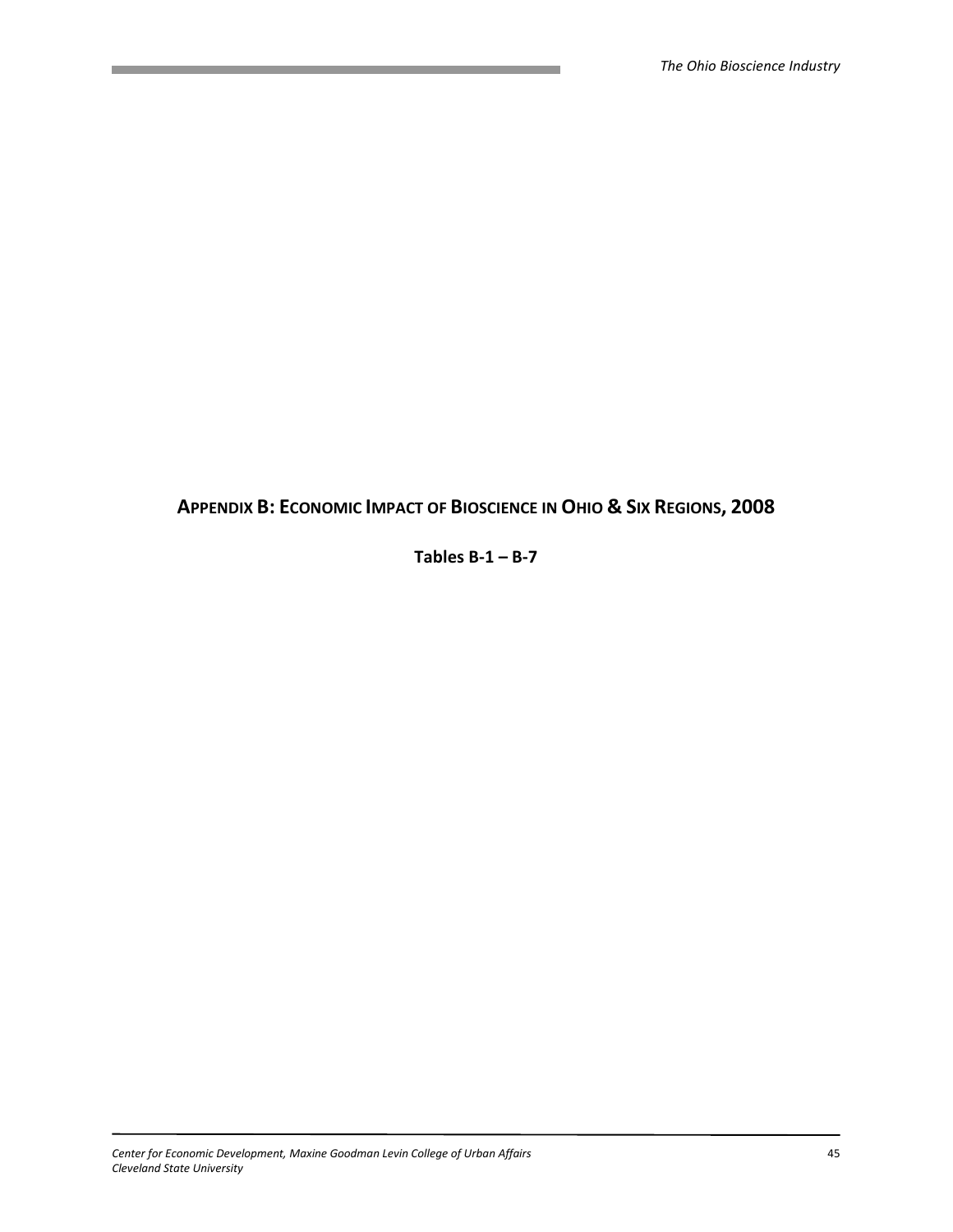# APPENDIX B: ECONOMIC IMPACT OF BIOSCIENCE IN OHIO & SIX REGIONS, 2008

Tables  $B-1 - B-7$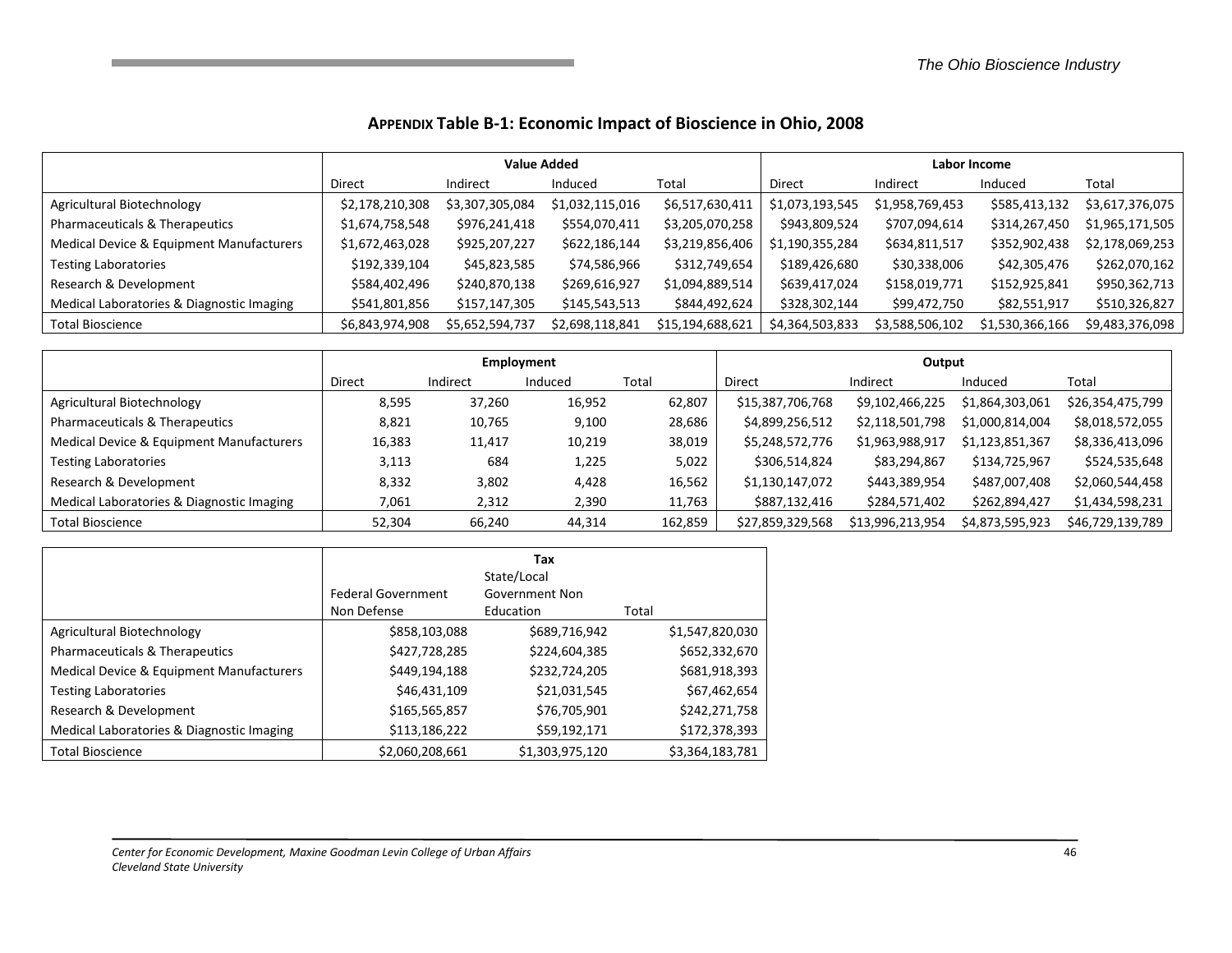#### APPENDIX Table B-1: Economic Impact of Bioscience in Ohio, 2008

|                                           | <b>Value Added</b> |                 |                 |                  | Labor Income    |                 |                 |                 |
|-------------------------------------------|--------------------|-----------------|-----------------|------------------|-----------------|-----------------|-----------------|-----------------|
|                                           | Direct             | Indirect        | Induced         | Total            | Direct          | Indirect        | Induced         | Total           |
| Agricultural Biotechnology                | \$2,178,210,308    | \$3,307,305,084 | \$1,032,115,016 | \$6,517,630,411  | \$1,073,193,545 | \$1,958,769,453 | \$585,413,132   | \$3,617,376,075 |
| Pharmaceuticals & Therapeutics            | \$1,674,758,548    | \$976,241,418   | \$554,070,411   | \$3,205,070,258  | \$943,809,524   | \$707,094,614   | \$314,267,450   | \$1,965,171,505 |
| Medical Device & Equipment Manufacturers  | \$1,672,463,028    | \$925,207,227   | \$622,186,144   | \$3,219,856,406  | \$1,190,355,284 | \$634,811,517   | \$352,902,438   | \$2,178,069,253 |
| <b>Testing Laboratories</b>               | \$192,339,104      | \$45,823,585    | \$74,586,966    | \$312,749,654    | \$189,426,680   | \$30,338,006    | \$42,305,476    | \$262,070,162   |
| Research & Development                    | \$584,402,496      | \$240,870,138   | \$269,616,927   | \$1,094,889,514  | \$639,417,024   | \$158,019,771   | \$152,925,841   | \$950,362,713   |
| Medical Laboratories & Diagnostic Imaging | \$541,801,856      | \$157,147,305   | \$145,543,513   | \$844,492,624    | \$328,302,144   | \$99,472,750    | \$82,551,917    | \$510,326,827   |
| <b>Total Bioscience</b>                   | \$6,843,974,908    | \$5,652,594,737 | \$2,698,118,841 | \$15,194,688,621 | \$4,364,503,833 | \$3,588,506,102 | \$1,530,366,166 | \$9,483,376,098 |

|                                           | Employment    |          |         |         | Output           |                  |                 |                  |
|-------------------------------------------|---------------|----------|---------|---------|------------------|------------------|-----------------|------------------|
|                                           | <b>Direct</b> | Indirect | Induced | Total   | Direct           | Indirect         | Induced         | Total            |
| Agricultural Biotechnology                | 8,595         | 37,260   | 16,952  | 62,807  | \$15,387,706,768 | \$9,102,466,225  | \$1,864,303,061 | \$26,354,475,799 |
| Pharmaceuticals & Therapeutics            | 8,821         | 10,765   | 9,100   | 28,686  | \$4,899,256,512  | \$2,118,501,798  | \$1,000,814,004 | \$8,018,572,055  |
| Medical Device & Equipment Manufacturers  | 16,383        | 11,417   | 10,219  | 38,019  | \$5,248,572,776  | \$1,963,988,917  | \$1,123,851,367 | \$8,336,413,096  |
| <b>Testing Laboratories</b>               | 3,113         | 684      | 1,225   | 5,022   | \$306,514,824    | \$83,294,867     | \$134,725,967   | \$524,535,648    |
| Research & Development                    | 8,332         | 3,802    | 4,428   | 16,562  | \$1,130,147,072  | \$443,389,954    | \$487,007,408   | \$2,060,544,458  |
| Medical Laboratories & Diagnostic Imaging | 7,061         | 2,312    | 2,390   | 11,763  | \$887,132,416    | \$284,571,402    | \$262,894,427   | \$1,434,598,231  |
| <b>Total Bioscience</b>                   | 52,304        | 66,240   | 44,314  | 162,859 | \$27,859,329,568 | \$13,996,213,954 | \$4,873,595,923 | \$46,729,139,789 |

|                                                     | <b>Federal Government</b><br>Non Defense | Tax<br>State/Local<br>Government Non<br>Education | Total           |
|-----------------------------------------------------|------------------------------------------|---------------------------------------------------|-----------------|
| Agricultural Biotechnology                          | \$858,103,088                            | \$689,716,942                                     | \$1,547,820,030 |
| Pharmaceuticals & Therapeutics                      | \$427,728,285                            | \$224,604,385                                     | \$652,332,670   |
| <b>Medical Device &amp; Equipment Manufacturers</b> | \$449,194,188                            | \$232,724,205                                     | \$681,918,393   |
| <b>Testing Laboratories</b>                         | \$46,431,109                             | \$21,031,545                                      | \$67,462,654    |
| Research & Development                              | \$165,565,857                            | \$76,705,901                                      | \$242,271,758   |
| Medical Laboratories & Diagnostic Imaging           | \$113,186,222                            | \$59,192,171                                      | \$172,378,393   |
| <b>Total Bioscience</b>                             | \$2,060,208,661                          | \$1,303,975,120                                   | \$3,364,183,781 |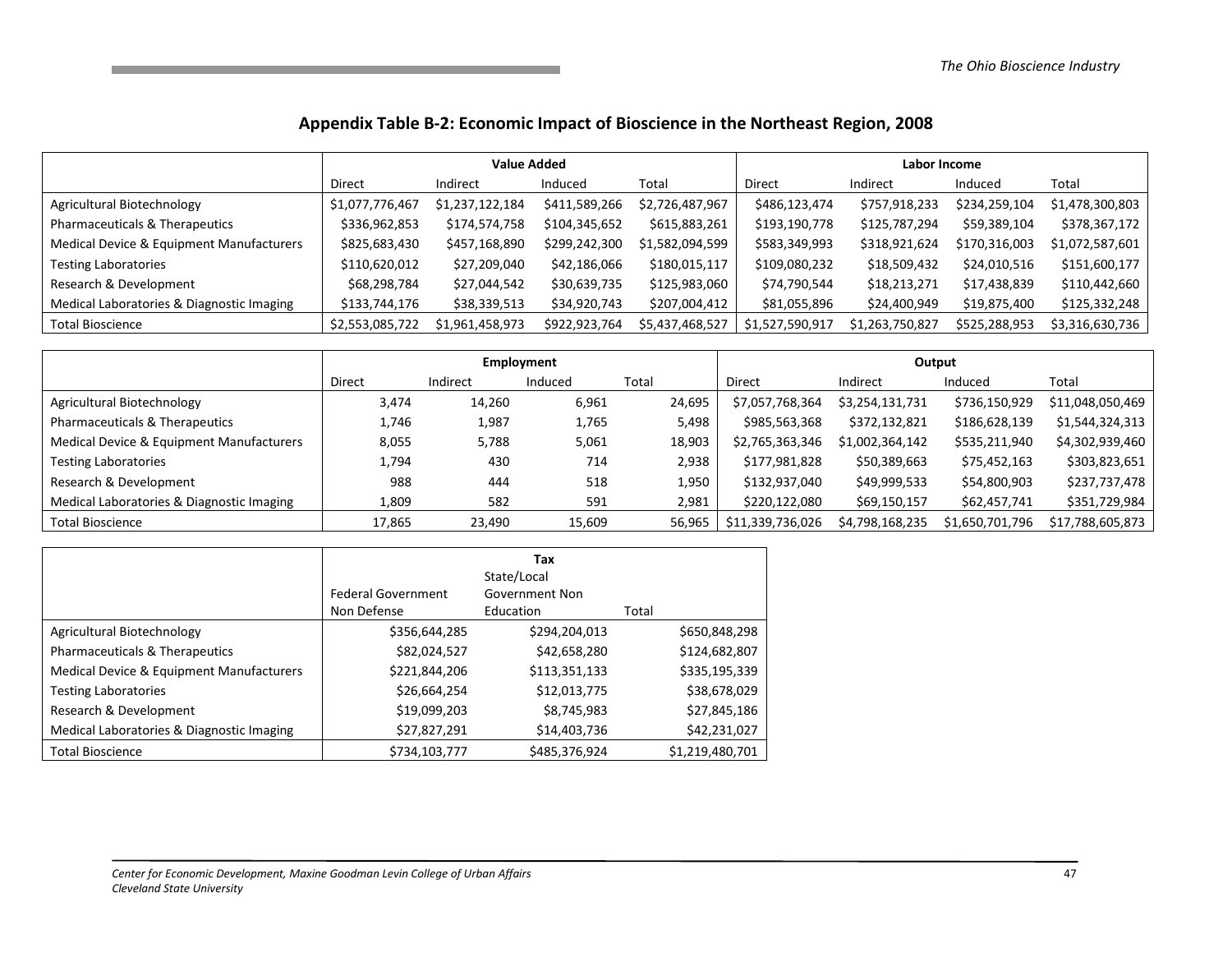#### Appendix Table B-2: Economic Impact of Bioscience in the Northeast Region, 2008

|                                           |                 | <b>Value Added</b> |               |                 |                 | Labor Income    |               |                 |  |
|-------------------------------------------|-----------------|--------------------|---------------|-----------------|-----------------|-----------------|---------------|-----------------|--|
|                                           | Direct          | Indirect           | Induced       | Total           | Direct          | Indirect        | Induced       | Total           |  |
| Agricultural Biotechnology                | \$1,077,776,467 | \$1,237,122,184    | \$411,589,266 | \$2,726,487,967 | \$486,123,474   | \$757,918,233   | \$234,259,104 | \$1,478,300,803 |  |
| Pharmaceuticals & Therapeutics            | \$336,962,853   | \$174,574,758      | \$104,345,652 | \$615,883,261   | \$193,190,778   | \$125,787,294   | \$59,389,104  | \$378,367,172   |  |
| Medical Device & Equipment Manufacturers  | \$825,683,430   | \$457,168,890      | \$299,242,300 | \$1,582,094,599 | \$583,349,993   | \$318,921,624   | \$170,316,003 | \$1,072,587,601 |  |
| <b>Testing Laboratories</b>               | \$110,620,012   | \$27,209,040       | \$42,186,066  | \$180,015,117   | \$109,080,232   | \$18,509,432    | \$24,010,516  | \$151,600,177   |  |
| Research & Development                    | \$68,298,784    | \$27,044,542       | \$30,639,735  | \$125,983,060   | \$74,790,544    | \$18,213,271    | \$17,438,839  | \$110,442,660   |  |
| Medical Laboratories & Diagnostic Imaging | \$133,744,176   | \$38,339,513       | \$34,920,743  | \$207,004,412   | \$81,055,896    | \$24,400,949    | \$19,875,400  | \$125,332,248   |  |
| <b>Total Bioscience</b>                   | \$2,553,085,722 | \$1,961,458,973    | \$922,923,764 | \$5,437,468,527 | \$1,527,590,917 | \$1,263,750,827 | \$525,288,953 | \$3,316,630,736 |  |

|                                           |        |          | Employment |        | Output           |                 |                 |                  |
|-------------------------------------------|--------|----------|------------|--------|------------------|-----------------|-----------------|------------------|
|                                           | Direct | Indirect | Induced    | Total  | Direct           | Indirect        | Induced         | Total            |
| Agricultural Biotechnology                | 3,474  | 14,260   | 6,961      | 24,695 | \$7,057,768,364  | \$3,254,131,731 | \$736,150,929   | \$11,048,050,469 |
| Pharmaceuticals & Therapeutics            | 1,746  | 1,987    | 1,765      | 5.498  | \$985,563,368    | \$372,132,821   | \$186,628,139   | \$1,544,324,313  |
| Medical Device & Equipment Manufacturers  | 8,055  | 5,788    | 5,061      | 18,903 | \$2,765,363,346  | \$1,002,364,142 | \$535,211,940   | \$4,302,939,460  |
| <b>Testing Laboratories</b>               | 1,794  | 430      | 714        | 2,938  | \$177,981,828    | \$50,389,663    | \$75,452,163    | \$303,823,651    |
| Research & Development                    | 988    | 444      | 518        | 1,950  | \$132,937,040    | \$49,999,533    | \$54,800,903    | \$237,737,478    |
| Medical Laboratories & Diagnostic Imaging | 1,809  | 582      | 591        | 2,981  | \$220,122,080    | \$69,150,157    | \$62,457,741    | \$351,729,984    |
| <b>Total Bioscience</b>                   | 17,865 | 23,490   | 15,609     | 56,965 | \$11,339,736,026 | \$4,798,168,235 | \$1,650,701,796 | \$17,788,605,873 |

|                                           | <b>Federal Government</b><br>Non Defense | Tax<br>State/Local<br>Government Non<br>Education | Total           |
|-------------------------------------------|------------------------------------------|---------------------------------------------------|-----------------|
| Agricultural Biotechnology                | \$356,644,285                            | \$294,204,013                                     | \$650,848,298   |
| Pharmaceuticals & Therapeutics            | \$82,024,527                             | \$42,658,280                                      | \$124,682,807   |
| Medical Device & Equipment Manufacturers  | \$221,844,206                            | \$113,351,133                                     | \$335,195,339   |
| <b>Testing Laboratories</b>               | \$26,664,254                             | \$12,013,775                                      | \$38,678,029    |
| Research & Development                    | \$19,099,203                             | \$8,745,983                                       | \$27,845,186    |
| Medical Laboratories & Diagnostic Imaging | \$27,827,291                             | \$14,403,736                                      | \$42,231,027    |
| <b>Total Bioscience</b>                   | \$734,103,777                            | \$485,376,924                                     | \$1,219,480,701 |

**这个人的人,我们也不能在这个人的人,我们也不能在这个人的人,我们也不能在这个人的人,我们也不能在这个人的人,我们也不能在这个人的人,我们也不能在这个人的人**,我们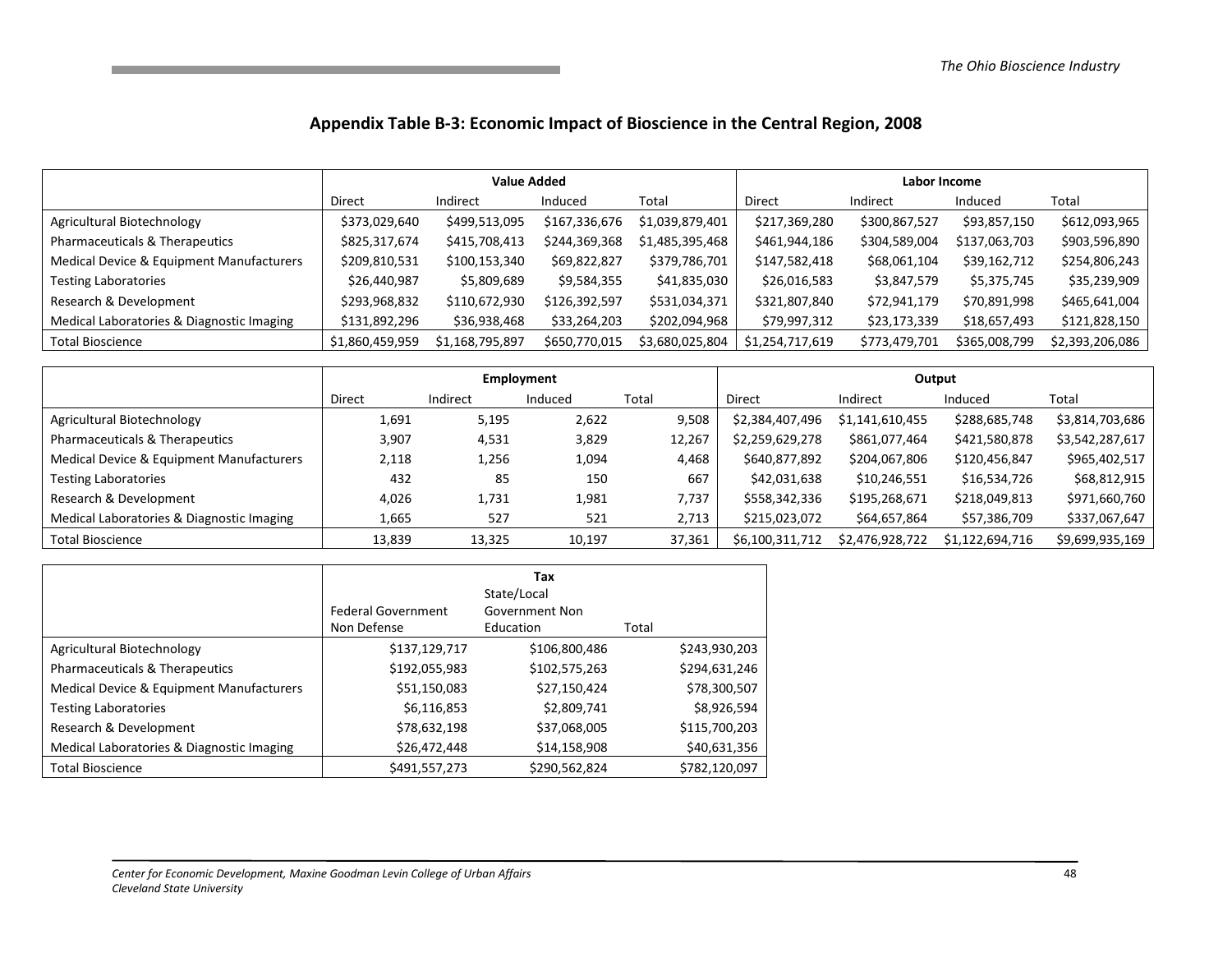#### Appendix Table B-3: Economic Impact of Bioscience in the Central Region, 2008

|                                           |                 | <b>Value Added</b> |               |                 |                 | Labor Income  |               |                 |  |
|-------------------------------------------|-----------------|--------------------|---------------|-----------------|-----------------|---------------|---------------|-----------------|--|
|                                           | <b>Direct</b>   | Indirect           | Induced       | Total           | Direct          | Indirect      | Induced       | Total           |  |
| Agricultural Biotechnology                | \$373,029,640   | \$499,513,095      | \$167,336,676 | \$1,039,879,401 | \$217,369,280   | \$300,867,527 | \$93,857,150  | \$612,093,965   |  |
| Pharmaceuticals & Therapeutics            | \$825,317,674   | \$415,708,413      | \$244,369,368 | \$1,485,395,468 | \$461,944,186   | \$304,589,004 | \$137,063,703 | \$903,596,890   |  |
| Medical Device & Equipment Manufacturers  | \$209,810,531   | \$100,153,340      | \$69,822,827  | \$379,786,701   | \$147,582,418   | \$68,061,104  | \$39,162,712  | \$254,806,243   |  |
| <b>Testing Laboratories</b>               | \$26,440,987    | \$5,809,689        | \$9,584,355   | \$41,835,030    | \$26,016,583    | \$3,847,579   | \$5,375,745   | \$35,239,909    |  |
| Research & Development                    | \$293,968,832   | \$110,672,930      | \$126,392,597 | \$531,034,371   | \$321,807,840   | \$72,941,179  | \$70,891,998  | \$465,641,004   |  |
| Medical Laboratories & Diagnostic Imaging | \$131,892,296   | \$36,938,468       | \$33,264,203  | \$202,094,968   | \$79,997,312    | \$23,173,339  | \$18,657,493  | \$121,828,150   |  |
| <b>Total Bioscience</b>                   | \$1,860,459,959 | \$1,168,795,897    | \$650,770,015 | \$3,680,025,804 | \$1,254,717,619 | \$773,479,701 | \$365,008,799 | \$2,393,206,086 |  |

|                                           |        | Employment |         |        |                 | Output          |                 |                 |  |
|-------------------------------------------|--------|------------|---------|--------|-----------------|-----------------|-----------------|-----------------|--|
|                                           | Direct | Indirect   | Induced | Total  | Direct          | Indirect        | Induced         | Total           |  |
| Agricultural Biotechnology                | 1,691  | 5,195      | 2,622   | 9,508  | \$2,384,407,496 | \$1,141,610,455 | \$288,685,748   | \$3,814,703,686 |  |
| Pharmaceuticals & Therapeutics            | 3,907  | 4,531      | 3,829   | 12,267 | \$2,259,629,278 | \$861,077,464   | \$421,580,878   | \$3,542,287,617 |  |
| Medical Device & Equipment Manufacturers  | 2,118  | 1,256      | 1,094   | 4,468  | \$640,877,892   | \$204,067,806   | \$120,456,847   | \$965,402,517   |  |
| <b>Testing Laboratories</b>               | 432    | 85         | 150     | 667    | \$42,031,638    | \$10,246,551    | \$16,534,726    | \$68,812,915    |  |
| Research & Development                    | 4,026  | 1,731      | 1,981   | 7,737  | \$558,342,336   | \$195,268,671   | \$218,049,813   | \$971,660,760   |  |
| Medical Laboratories & Diagnostic Imaging | 1,665  | 527        | 521     | 2,713  | \$215,023,072   | \$64,657,864    | \$57,386,709    | \$337,067,647   |  |
| <b>Total Bioscience</b>                   | 13,839 | 13,325     | 10,197  | 37,361 | \$6,100,311,712 | \$2,476,928,722 | \$1,122,694,716 | \$9,699,935,169 |  |

|                                                     | <b>Federal Government</b><br>Non Defense | Tax<br>State/Local<br>Government Non<br>Education | Total         |
|-----------------------------------------------------|------------------------------------------|---------------------------------------------------|---------------|
| Agricultural Biotechnology                          | \$137,129,717                            | \$106,800,486                                     | \$243,930,203 |
| Pharmaceuticals & Therapeutics                      | \$192,055,983                            | \$102,575,263                                     | \$294,631,246 |
| <b>Medical Device &amp; Equipment Manufacturers</b> | \$51,150,083                             | \$27,150,424                                      | \$78,300,507  |
| <b>Testing Laboratories</b>                         | \$6,116,853                              | \$2,809,741                                       | \$8,926,594   |
| Research & Development                              | \$78,632,198                             | \$37,068,005                                      | \$115,700,203 |
| Medical Laboratories & Diagnostic Imaging           | \$26,472,448                             | \$14,158,908                                      | \$40,631,356  |
| <b>Total Bioscience</b>                             | \$491,557,273                            | \$290,562,824                                     | \$782,120,097 |

the control of the control of the control of the control of the control of the control of the control of the c

the control of the control of the control of the control of the control of the control of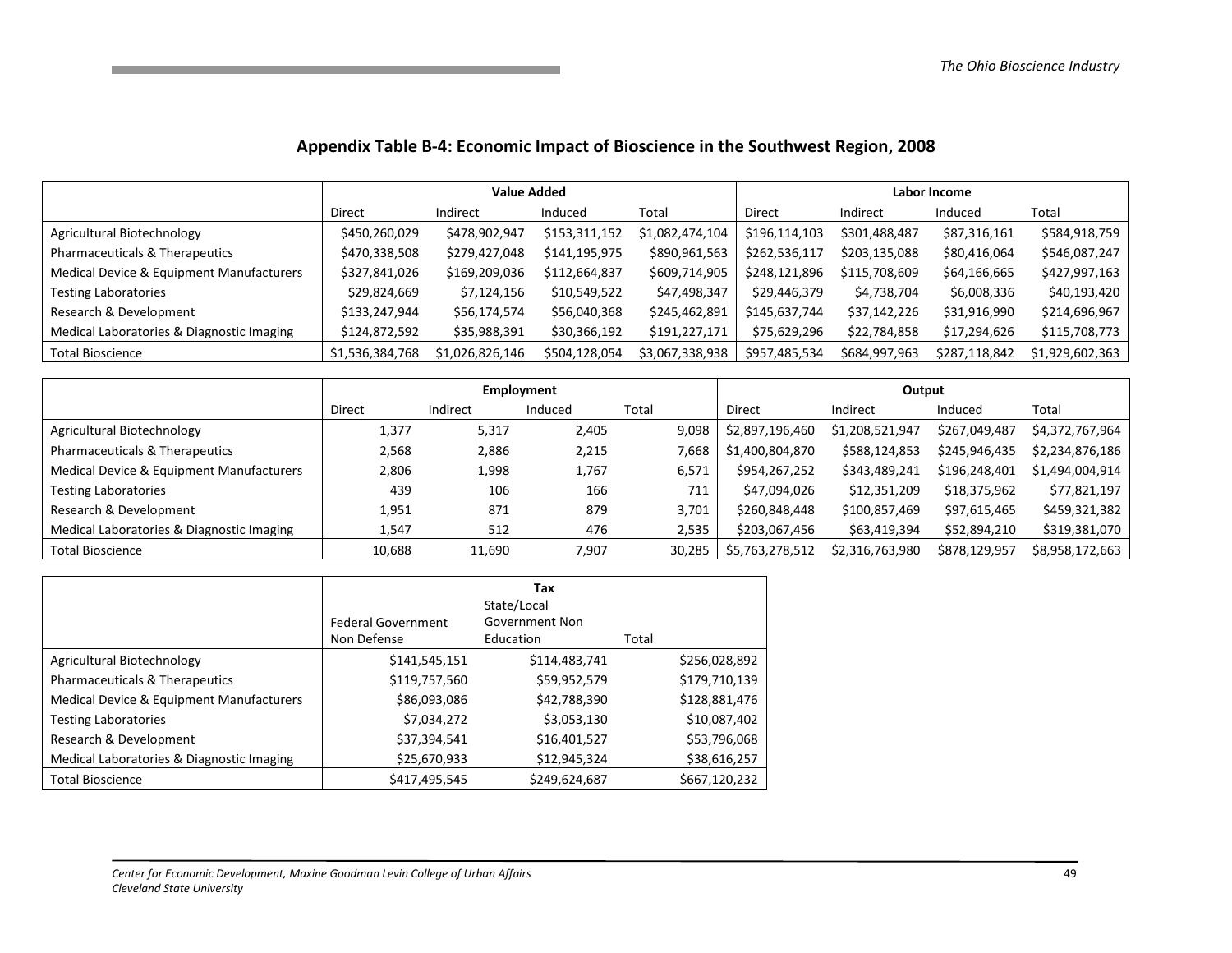### Appendix Table B-4: Economic Impact of Bioscience in the Southwest Region, 2008

|                                           |                 | <b>Value Added</b> |               |                 | Labor Income  |               |               |                 |
|-------------------------------------------|-----------------|--------------------|---------------|-----------------|---------------|---------------|---------------|-----------------|
|                                           | <b>Direct</b>   | Indirect           | Induced       | Total           | Direct        | Indirect      | Induced       | Total           |
| Agricultural Biotechnology                | \$450,260,029   | \$478,902,947      | \$153,311,152 | \$1,082,474,104 | \$196,114,103 | \$301,488,487 | \$87,316,161  | \$584,918,759   |
| Pharmaceuticals & Therapeutics            | \$470,338,508   | \$279,427,048      | \$141,195,975 | \$890,961,563   | \$262,536,117 | \$203,135,088 | \$80,416,064  | \$546,087,247   |
| Medical Device & Equipment Manufacturers  | \$327,841,026   | \$169,209,036      | \$112,664,837 | \$609,714,905   | \$248,121,896 | \$115,708,609 | \$64,166,665  | \$427,997,163   |
| <b>Testing Laboratories</b>               | \$29,824,669    | \$7,124,156        | \$10,549,522  | \$47,498,347    | \$29,446,379  | \$4,738,704   | \$6,008,336   | \$40,193,420    |
| Research & Development                    | \$133,247,944   | \$56,174,574       | \$56,040,368  | \$245,462,891   | \$145,637,744 | \$37,142,226  | \$31,916,990  | \$214,696,967   |
| Medical Laboratories & Diagnostic Imaging | \$124,872,592   | \$35,988,391       | \$30,366,192  | \$191,227,171   | \$75,629,296  | \$22,784,858  | \$17,294,626  | \$115,708,773   |
| <b>Total Bioscience</b>                   | \$1,536,384,768 | \$1,026,826,146    | \$504,128,054 | \$3,067,338,938 | \$957,485,534 | \$684,997,963 | \$287,118,842 | \$1,929,602,363 |

|                                           |        |          | <b>Employment</b> |        | Output          |                 |               |                 |
|-------------------------------------------|--------|----------|-------------------|--------|-----------------|-----------------|---------------|-----------------|
|                                           | Direct | Indirect | Induced           | Total  | <b>Direct</b>   | Indirect        | Induced       | Total           |
| Agricultural Biotechnology                | 1,377  | 5,317    | 2,405             | 9,098  | \$2,897,196,460 | \$1,208,521,947 | \$267,049,487 | \$4,372,767,964 |
| Pharmaceuticals & Therapeutics            | 2,568  | 2,886    | 2,215             | 7,668  | \$1,400,804,870 | \$588,124,853   | \$245,946,435 | \$2,234,876,186 |
| Medical Device & Equipment Manufacturers  | 2,806  | 1,998    | 1,767             | 6,571  | \$954,267,252   | \$343,489,241   | \$196,248,401 | \$1,494,004,914 |
| <b>Testing Laboratories</b>               | 439    | 106      | 166               | 711    | \$47,094,026    | \$12,351,209    | \$18,375,962  | \$77,821,197    |
| Research & Development                    | 1,951  | 871      | 879               | 3,701  | \$260,848,448   | \$100,857,469   | \$97,615,465  | \$459,321,382   |
| Medical Laboratories & Diagnostic Imaging | 1,547  | 512      | 476               | 2,535  | \$203,067,456   | \$63,419,394    | \$52,894,210  | \$319,381,070   |
| <b>Total Bioscience</b>                   | 10,688 | 11,690   | 7,907             | 30,285 | \$5,763,278,512 | \$2,316,763,980 | \$878,129,957 | \$8,958,172,663 |

|                                           | <b>Federal Government</b><br>Non Defense | Tax<br>State/Local<br>Government Non<br>Education | Total         |
|-------------------------------------------|------------------------------------------|---------------------------------------------------|---------------|
| Agricultural Biotechnology                | \$141,545,151                            | \$114,483,741                                     | \$256,028,892 |
| Pharmaceuticals & Therapeutics            | \$119,757,560                            | \$59,952,579                                      | \$179,710,139 |
| Medical Device & Equipment Manufacturers  | \$86,093,086                             | \$42,788,390                                      | \$128,881,476 |
| <b>Testing Laboratories</b>               | \$7,034,272                              | \$3,053,130                                       | \$10,087,402  |
| Research & Development                    | \$37,394,541                             | \$16,401,527                                      | \$53,796,068  |
| Medical Laboratories & Diagnostic Imaging | \$25,670,933                             | \$12,945,324                                      | \$38,616,257  |
| <b>Total Bioscience</b>                   | \$417,495,545                            | \$249,624,687                                     | \$667,120,232 |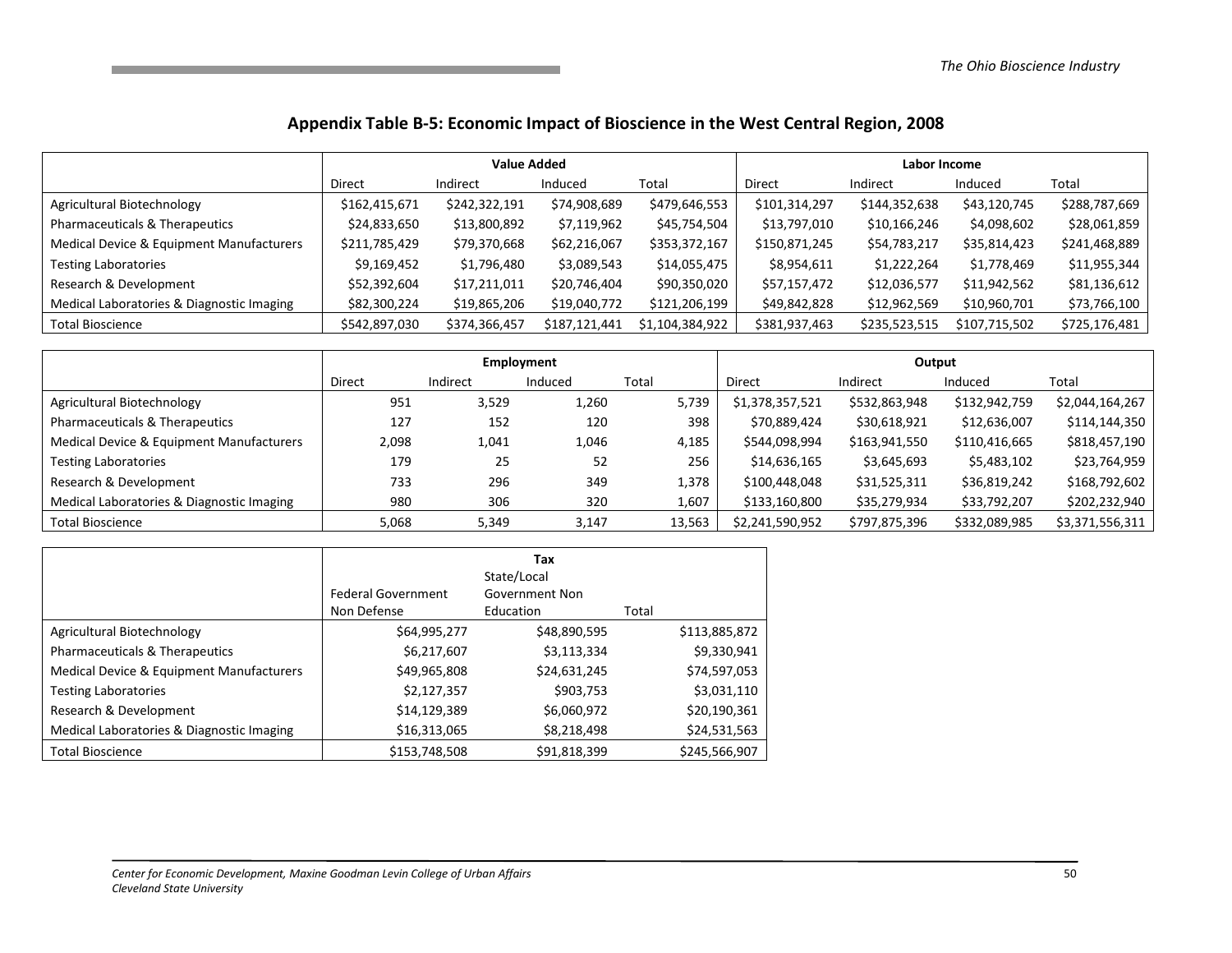#### Appendix Table B-5: Economic Impact of Bioscience in the West Central Region, 2008

|                                           |               | <b>Value Added</b> |               |                 |               | Labor Income  |               |               |  |
|-------------------------------------------|---------------|--------------------|---------------|-----------------|---------------|---------------|---------------|---------------|--|
|                                           | <b>Direct</b> | Indirect           | Induced       | Total           | Direct        | Indirect      | Induced       | Total         |  |
| Agricultural Biotechnology                | \$162,415,671 | \$242,322,191      | \$74,908,689  | \$479,646,553   | \$101,314,297 | \$144,352,638 | \$43,120,745  | \$288,787,669 |  |
| Pharmaceuticals & Therapeutics            | \$24,833,650  | \$13,800,892       | \$7,119,962   | \$45,754,504    | \$13,797,010  | \$10,166,246  | \$4,098,602   | \$28,061,859  |  |
| Medical Device & Equipment Manufacturers  | \$211,785,429 | \$79,370,668       | \$62,216,067  | \$353,372,167   | \$150,871,245 | \$54,783,217  | \$35,814,423  | \$241,468,889 |  |
| <b>Testing Laboratories</b>               | \$9,169,452   | \$1,796,480        | \$3,089,543   | \$14,055,475    | \$8,954,611   | \$1,222,264   | \$1,778,469   | \$11,955,344  |  |
| Research & Development                    | \$52,392,604  | \$17,211,011       | \$20,746,404  | \$90,350,020    | \$57,157,472  | \$12,036,577  | \$11,942,562  | \$81,136,612  |  |
| Medical Laboratories & Diagnostic Imaging | \$82,300,224  | \$19,865,206       | \$19,040,772  | \$121,206,199   | \$49,842,828  | \$12,962,569  | \$10,960,701  | \$73,766,100  |  |
| <b>Total Bioscience</b>                   | \$542,897,030 | \$374,366,457      | \$187,121,441 | \$1,104,384,922 | \$381,937,463 | \$235,523,515 | \$107,715,502 | \$725,176,481 |  |

|                                           |               | Employment |         |        |                 | Output        |               |                 |  |
|-------------------------------------------|---------------|------------|---------|--------|-----------------|---------------|---------------|-----------------|--|
|                                           | <b>Direct</b> | Indirect   | Induced | Total  | Direct          | Indirect      | Induced       | Total           |  |
| Agricultural Biotechnology                | 951           | 3,529      | 1,260   | 5,739  | \$1,378,357,521 | \$532,863,948 | \$132,942,759 | \$2,044,164,267 |  |
| Pharmaceuticals & Therapeutics            | 127           | 152        | 120     | 398    | \$70,889,424    | \$30,618,921  | \$12,636,007  | \$114,144,350   |  |
| Medical Device & Equipment Manufacturers  | 2,098         | 1,041      | 1,046   | 4,185  | \$544,098,994   | \$163,941,550 | \$110,416,665 | \$818,457,190   |  |
| <b>Testing Laboratories</b>               | 179           | 25         | 52      | 256    | \$14,636,165    | \$3,645,693   | \$5,483,102   | \$23,764,959    |  |
| Research & Development                    | 733           | 296        | 349     | 1,378  | \$100,448,048   | \$31,525,311  | \$36,819,242  | \$168,792,602   |  |
| Medical Laboratories & Diagnostic Imaging | 980           | 306        | 320     | 1,607  | \$133,160,800   | \$35,279,934  | \$33,792,207  | \$202,232,940   |  |
| <b>Total Bioscience</b>                   | 5,068         | 5,349      | 3,147   | 13,563 | \$2,241,590,952 | \$797,875,396 | \$332,089,985 | \$3,371,556,311 |  |

|                                           | <b>Federal Government</b><br>Non Defense | Tax<br>State/Local<br>Government Non<br>Education | Total         |
|-------------------------------------------|------------------------------------------|---------------------------------------------------|---------------|
| Agricultural Biotechnology                | \$64,995,277                             | \$48,890,595                                      | \$113,885,872 |
| Pharmaceuticals & Therapeutics            | \$6,217,607                              | \$3,113,334                                       | \$9,330,941   |
| Medical Device & Equipment Manufacturers  | \$49,965,808                             | \$24,631,245                                      | \$74,597,053  |
| <b>Testing Laboratories</b>               | \$2,127,357                              | \$903,753                                         | \$3,031,110   |
| Research & Development                    | \$14,129,389                             | \$6,060,972                                       | \$20,190,361  |
| Medical Laboratories & Diagnostic Imaging | \$16,313,065                             | \$8,218,498                                       | \$24,531,563  |
| <b>Total Bioscience</b>                   | \$153,748,508                            | \$91,818,399                                      | \$245,566,907 |

the control of the control of the control of the control of the control of the control of the control of the c

the control of the control of the control of the control of the control of the control of the control of the c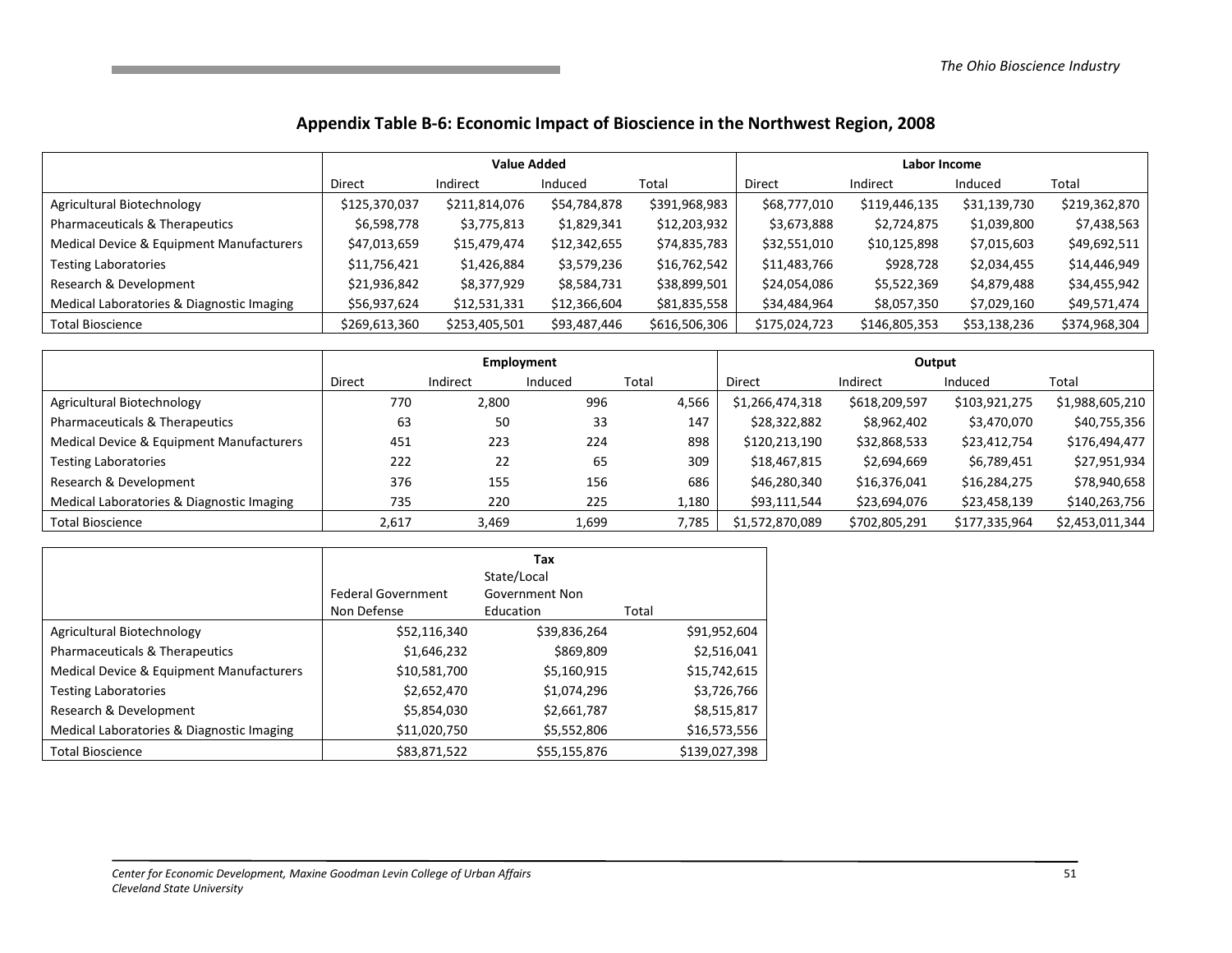#### Appendix Table B-6: Economic Impact of Bioscience in the Northwest Region, 2008

|                                           | <b>Value Added</b> |               |              |               | Labor Income  |               |              |               |
|-------------------------------------------|--------------------|---------------|--------------|---------------|---------------|---------------|--------------|---------------|
|                                           | <b>Direct</b>      | Indirect      | Induced      | Total         | <b>Direct</b> | Indirect      | Induced      | Total         |
| Agricultural Biotechnology                | \$125,370,037      | \$211,814,076 | \$54,784,878 | \$391,968,983 | \$68,777,010  | \$119,446,135 | \$31,139,730 | \$219,362,870 |
| Pharmaceuticals & Therapeutics            | \$6,598,778        | \$3,775,813   | \$1,829,341  | \$12,203,932  | \$3,673,888   | \$2,724,875   | \$1,039,800  | \$7,438,563   |
| Medical Device & Equipment Manufacturers  | \$47,013,659       | \$15,479,474  | \$12,342,655 | \$74,835,783  | \$32,551,010  | \$10,125,898  | \$7,015,603  | \$49,692,511  |
| <b>Testing Laboratories</b>               | \$11,756,421       | \$1,426,884   | \$3,579,236  | \$16,762,542  | \$11,483,766  | \$928,728     | \$2,034,455  | \$14,446,949  |
| Research & Development                    | \$21,936,842       | \$8,377,929   | \$8,584,731  | \$38,899,501  | \$24,054,086  | \$5,522,369   | \$4,879,488  | \$34,455,942  |
| Medical Laboratories & Diagnostic Imaging | \$56,937,624       | \$12,531,331  | \$12,366,604 | \$81,835,558  | \$34,484,964  | \$8,057,350   | \$7,029,160  | \$49,571,474  |
| <b>Total Bioscience</b>                   | \$269,613,360      | \$253,405,501 | \$93,487,446 | \$616,506,306 | \$175,024,723 | \$146,805,353 | \$53,138,236 | \$374,968,304 |

|                                           | Employment    |          |         |       | Output          |               |               |                 |
|-------------------------------------------|---------------|----------|---------|-------|-----------------|---------------|---------------|-----------------|
|                                           | <b>Direct</b> | Indirect | Induced | Total | <b>Direct</b>   | Indirect      | Induced       | Total           |
| Agricultural Biotechnology                | 770           | 2,800    | 996     | 4,566 | \$1,266,474,318 | \$618,209,597 | \$103,921,275 | \$1,988,605,210 |
| Pharmaceuticals & Therapeutics            | 63            | 50       | 33      | 147   | \$28,322,882    | \$8,962,402   | \$3,470,070   | \$40,755,356    |
| Medical Device & Equipment Manufacturers  | 451           | 223      | 224     | 898   | \$120,213,190   | \$32,868,533  | \$23,412,754  | \$176,494,477   |
| <b>Testing Laboratories</b>               | 222           | 22       | 65      | 309   | \$18,467,815    | \$2,694,669   | \$6,789,451   | \$27,951,934    |
| Research & Development                    | 376           | 155      | 156     | 686   | \$46,280,340    | \$16,376,041  | \$16,284,275  | \$78,940,658    |
| Medical Laboratories & Diagnostic Imaging | 735           | 220      | 225     | 1,180 | \$93,111,544    | \$23,694,076  | \$23,458,139  | \$140,263,756   |
| <b>Total Bioscience</b>                   | 2,617         | 3,469    | 1,699   | 7,785 | \$1,572,870,089 | \$702,805,291 | \$177,335,964 | \$2,453,011,344 |

|                                           | <b>Federal Government</b><br>Non Defense | Tax<br>State/Local<br>Government Non<br>Education | Total         |
|-------------------------------------------|------------------------------------------|---------------------------------------------------|---------------|
| Agricultural Biotechnology                | \$52,116,340                             | \$39,836,264                                      | \$91,952,604  |
| Pharmaceuticals & Therapeutics            | \$1,646,232                              | \$869,809                                         | \$2,516,041   |
| Medical Device & Equipment Manufacturers  | \$10,581,700                             | \$5,160,915                                       | \$15,742,615  |
| <b>Testing Laboratories</b>               | \$2,652,470                              | \$1,074,296                                       | \$3,726,766   |
| Research & Development                    | \$5,854,030                              | \$2,661,787                                       | \$8,515,817   |
| Medical Laboratories & Diagnostic Imaging | \$11,020,750                             | \$5,552,806                                       | \$16,573,556  |
| <b>Total Bioscience</b>                   | \$83,871,522                             | \$55,155,876                                      | \$139,027,398 |

the control of the control of the control of the control of the control of the control of the control of the c

the control of the control of the control of the control of the control of the control of